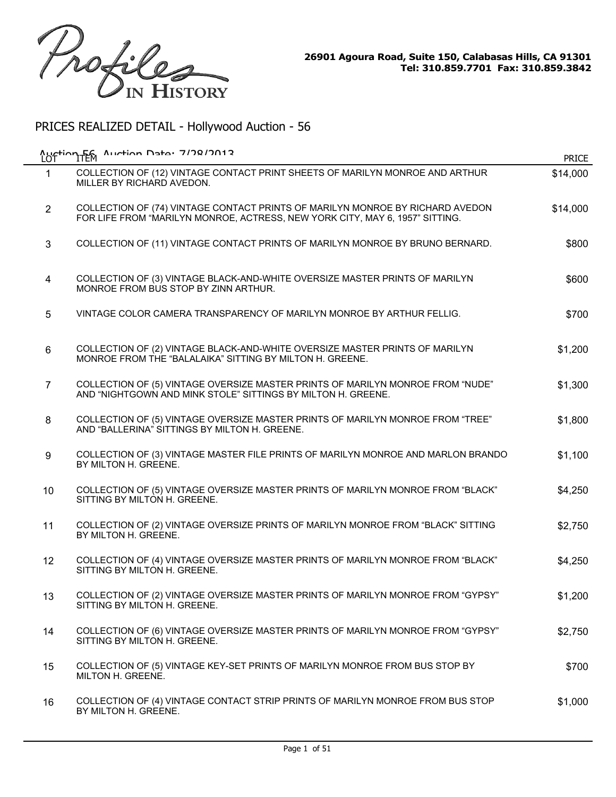

| LOT            | Auction 56, Auction Data, 7/78/7012                                                                                                                           | <b>PRICE</b> |
|----------------|---------------------------------------------------------------------------------------------------------------------------------------------------------------|--------------|
| $\mathbf{1}$   | COLLECTION OF (12) VINTAGE CONTACT PRINT SHEETS OF MARILYN MONROE AND ARTHUR<br>MILLER BY RICHARD AVEDON.                                                     | \$14,000     |
| $\overline{2}$ | COLLECTION OF (74) VINTAGE CONTACT PRINTS OF MARILYN MONROE BY RICHARD AVEDON<br>FOR LIFE FROM "MARILYN MONROE, ACTRESS, NEW YORK CITY, MAY 6, 1957" SITTING. | \$14,000     |
| 3              | COLLECTION OF (11) VINTAGE CONTACT PRINTS OF MARILYN MONROE BY BRUNO BERNARD.                                                                                 | \$800        |
| 4              | COLLECTION OF (3) VINTAGE BLACK-AND-WHITE OVERSIZE MASTER PRINTS OF MARILYN<br>MONROE FROM BUS STOP BY ZINN ARTHUR.                                           | \$600        |
| 5              | VINTAGE COLOR CAMERA TRANSPARENCY OF MARILYN MONROE BY ARTHUR FELLIG.                                                                                         | \$700        |
| 6              | COLLECTION OF (2) VINTAGE BLACK-AND-WHITE OVERSIZE MASTER PRINTS OF MARILYN<br>MONROE FROM THE "BALALAIKA" SITTING BY MILTON H. GREENE.                       | \$1,200      |
| $\overline{7}$ | COLLECTION OF (5) VINTAGE OVERSIZE MASTER PRINTS OF MARILYN MONROE FROM "NUDE"<br>AND "NIGHTGOWN AND MINK STOLE" SITTINGS BY MILTON H. GREENE.                | \$1,300      |
| 8              | COLLECTION OF (5) VINTAGE OVERSIZE MASTER PRINTS OF MARILYN MONROE FROM "TREE"<br>AND "BALLERINA" SITTINGS BY MILTON H. GREENE.                               | \$1,800      |
| 9              | COLLECTION OF (3) VINTAGE MASTER FILE PRINTS OF MARILYN MONROE AND MARLON BRANDO<br>BY MILTON H. GREENE.                                                      | \$1,100      |
| 10             | COLLECTION OF (5) VINTAGE OVERSIZE MASTER PRINTS OF MARILYN MONROE FROM "BLACK"<br>SITTING BY MILTON H. GREENE.                                               | \$4,250      |
| 11             | COLLECTION OF (2) VINTAGE OVERSIZE PRINTS OF MARILYN MONROE FROM "BLACK" SITTING<br>BY MILTON H. GREENE.                                                      | \$2,750      |
| 12             | COLLECTION OF (4) VINTAGE OVERSIZE MASTER PRINTS OF MARILYN MONROE FROM "BLACK"<br>SITTING BY MILTON H. GREENE.                                               | \$4,250      |
| 13             | COLLECTION OF (2) VINTAGE OVERSIZE MASTER PRINTS OF MARILYN MONROE FROM "GYPSY"<br>SITTING BY MILTON H. GREENE.                                               | \$1,200      |
| 14             | COLLECTION OF (6) VINTAGE OVERSIZE MASTER PRINTS OF MARILYN MONROE FROM "GYPSY"<br>SITTING BY MILTON H. GREENE.                                               | \$2,750      |
| 15             | COLLECTION OF (5) VINTAGE KEY-SET PRINTS OF MARILYN MONROE FROM BUS STOP BY<br>MILTON H. GREENE.                                                              | \$700        |
| 16             | COLLECTION OF (4) VINTAGE CONTACT STRIP PRINTS OF MARILYN MONROE FROM BUS STOP<br>BY MILTON H. GREENE.                                                        | \$1,000      |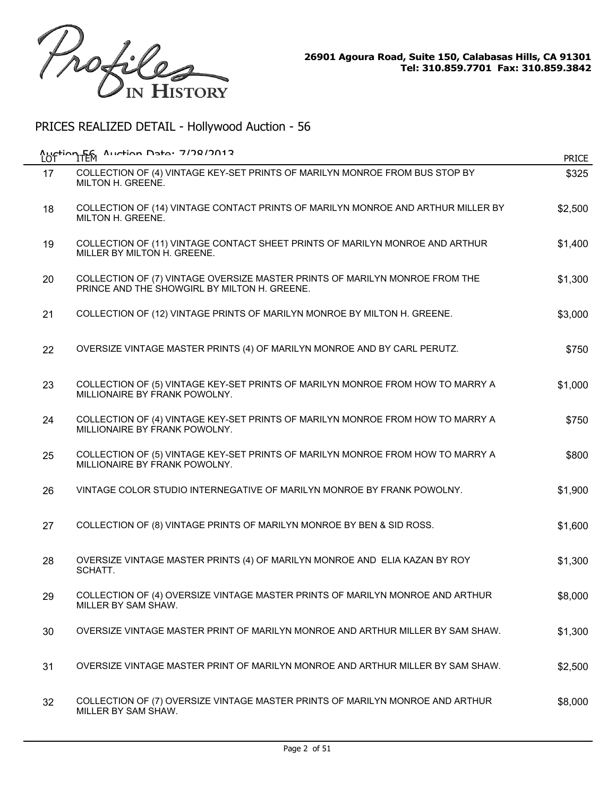

| LOT | Auction F6 Auction Data: 7/78/7012                                                                                          | <b>PRICE</b> |
|-----|-----------------------------------------------------------------------------------------------------------------------------|--------------|
| 17  | COLLECTION OF (4) VINTAGE KEY-SET PRINTS OF MARILYN MONROE FROM BUS STOP BY<br>MILTON H. GREENE.                            | \$325        |
| 18  | COLLECTION OF (14) VINTAGE CONTACT PRINTS OF MARILYN MONROE AND ARTHUR MILLER BY<br>MILTON H. GREENE.                       | \$2,500      |
| 19  | COLLECTION OF (11) VINTAGE CONTACT SHEET PRINTS OF MARILYN MONROE AND ARTHUR<br>MILLER BY MILTON H. GREENE.                 | \$1,400      |
| 20  | COLLECTION OF (7) VINTAGE OVERSIZE MASTER PRINTS OF MARILYN MONROE FROM THE<br>PRINCE AND THE SHOWGIRL BY MILTON H. GREENE. | \$1,300      |
| 21  | COLLECTION OF (12) VINTAGE PRINTS OF MARILYN MONROE BY MILTON H. GREENE.                                                    | \$3,000      |
| 22  | OVERSIZE VINTAGE MASTER PRINTS (4) OF MARILYN MONROE AND BY CARL PERUTZ.                                                    | \$750        |
| 23  | COLLECTION OF (5) VINTAGE KEY-SET PRINTS OF MARILYN MONROE FROM HOW TO MARRY A<br>MILLIONAIRE BY FRANK POWOLNY.             | \$1,000      |
| 24  | COLLECTION OF (4) VINTAGE KEY-SET PRINTS OF MARILYN MONROE FROM HOW TO MARRY A<br>MILLIONAIRE BY FRANK POWOLNY.             | \$750        |
| 25  | COLLECTION OF (5) VINTAGE KEY-SET PRINTS OF MARILYN MONROE FROM HOW TO MARRY A<br>MILLIONAIRE BY FRANK POWOLNY.             | \$800        |
| 26  | VINTAGE COLOR STUDIO INTERNEGATIVE OF MARILYN MONROE BY FRANK POWOLNY.                                                      | \$1,900      |
| 27  | COLLECTION OF (8) VINTAGE PRINTS OF MARILYN MONROE BY BEN & SID ROSS.                                                       | \$1,600      |
| 28  | OVERSIZE VINTAGE MASTER PRINTS (4) OF MARILYN MONROE AND ELIA KAZAN BY ROY<br>SCHATT.                                       | \$1,300      |
| 29  | COLLECTION OF (4) OVERSIZE VINTAGE MASTER PRINTS OF MARILYN MONROE AND ARTHUR<br>MILLER BY SAM SHAW.                        | \$8,000      |
| 30  | OVERSIZE VINTAGE MASTER PRINT OF MARILYN MONROE AND ARTHUR MILLER BY SAM SHAW.                                              | \$1,300      |
| 31  | OVERSIZE VINTAGE MASTER PRINT OF MARILYN MONROE AND ARTHUR MILLER BY SAM SHAW.                                              | \$2,500      |
| 32  | COLLECTION OF (7) OVERSIZE VINTAGE MASTER PRINTS OF MARILYN MONROE AND ARTHUR<br>MILLER BY SAM SHAW.                        | \$8,000      |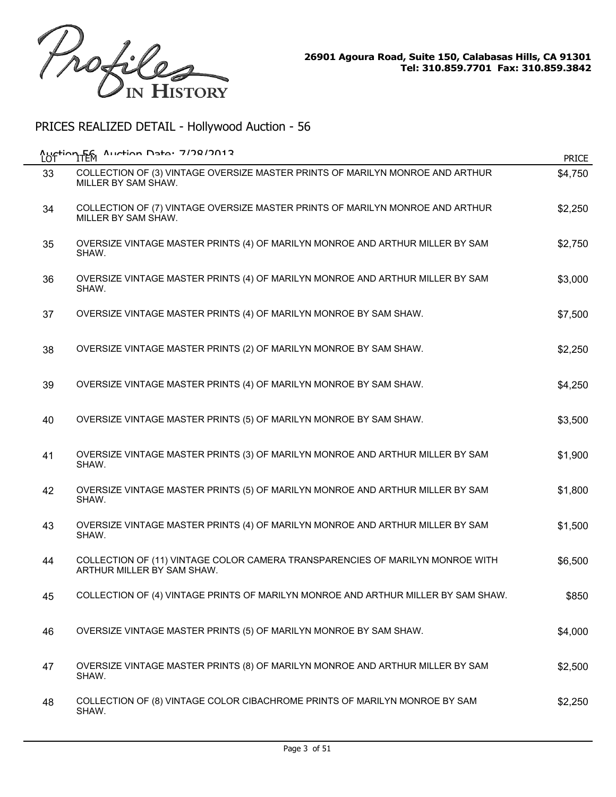

| <b>LOT</b> | Auction F6 Auction Data: 7/78/2012                                                                          | <b>PRICE</b> |
|------------|-------------------------------------------------------------------------------------------------------------|--------------|
| 33         | COLLECTION OF (3) VINTAGE OVERSIZE MASTER PRINTS OF MARILYN MONROE AND ARTHUR<br>MILLER BY SAM SHAW.        | \$4,750      |
| 34         | COLLECTION OF (7) VINTAGE OVERSIZE MASTER PRINTS OF MARILYN MONROE AND ARTHUR<br>MILLER BY SAM SHAW.        | \$2,250      |
| 35         | OVERSIZE VINTAGE MASTER PRINTS (4) OF MARILYN MONROE AND ARTHUR MILLER BY SAM<br>SHAW.                      | \$2,750      |
| 36         | OVERSIZE VINTAGE MASTER PRINTS (4) OF MARILYN MONROE AND ARTHUR MILLER BY SAM<br>SHAW.                      | \$3,000      |
| 37         | OVERSIZE VINTAGE MASTER PRINTS (4) OF MARILYN MONROE BY SAM SHAW.                                           | \$7,500      |
| 38         | OVERSIZE VINTAGE MASTER PRINTS (2) OF MARILYN MONROE BY SAM SHAW.                                           | \$2,250      |
| 39         | OVERSIZE VINTAGE MASTER PRINTS (4) OF MARILYN MONROE BY SAM SHAW.                                           | \$4,250      |
| 40         | OVERSIZE VINTAGE MASTER PRINTS (5) OF MARILYN MONROE BY SAM SHAW.                                           | \$3,500      |
| 41         | OVERSIZE VINTAGE MASTER PRINTS (3) OF MARILYN MONROE AND ARTHUR MILLER BY SAM<br>SHAW.                      | \$1,900      |
| 42         | OVERSIZE VINTAGE MASTER PRINTS (5) OF MARILYN MONROE AND ARTHUR MILLER BY SAM<br>SHAW.                      | \$1,800      |
| 43         | OVERSIZE VINTAGE MASTER PRINTS (4) OF MARILYN MONROE AND ARTHUR MILLER BY SAM<br>SHAW.                      | \$1,500      |
| 44         | COLLECTION OF (11) VINTAGE COLOR CAMERA TRANSPARENCIES OF MARILYN MONROE WITH<br>ARTHUR MILLER BY SAM SHAW. | \$6,500      |
| 45         | COLLECTION OF (4) VINTAGE PRINTS OF MARILYN MONROE AND ARTHUR MILLER BY SAM SHAW.                           | \$850        |
| 46         | OVERSIZE VINTAGE MASTER PRINTS (5) OF MARILYN MONROE BY SAM SHAW.                                           | \$4,000      |
| 47         | OVERSIZE VINTAGE MASTER PRINTS (8) OF MARILYN MONROE AND ARTHUR MILLER BY SAM<br>SHAW.                      | \$2,500      |
| 48         | COLLECTION OF (8) VINTAGE COLOR CIBACHROME PRINTS OF MARILYN MONROE BY SAM<br>SHAW.                         | \$2,250      |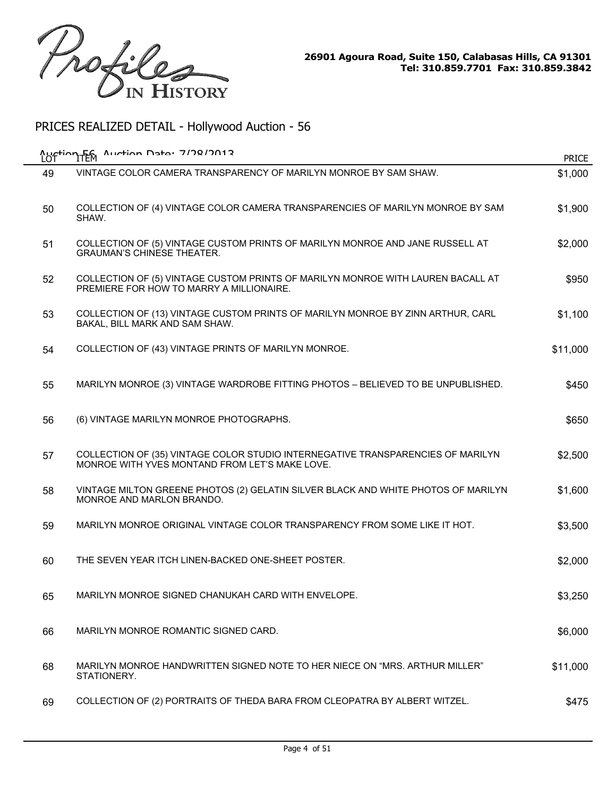

|    | Auction TEM Auction Data: 7/78/2012                                                                                               | <b>PRICE</b> |
|----|-----------------------------------------------------------------------------------------------------------------------------------|--------------|
| 49 | VINTAGE COLOR CAMERA TRANSPARENCY OF MARILYN MONROE BY SAM SHAW.                                                                  | \$1,000      |
| 50 | COLLECTION OF (4) VINTAGE COLOR CAMERA TRANSPARENCIES OF MARILYN MONROE BY SAM<br>SHAW.                                           | \$1,900      |
| 51 | COLLECTION OF (5) VINTAGE CUSTOM PRINTS OF MARILYN MONROE AND JANE RUSSELL AT<br><b>GRAUMAN'S CHINESE THEATER.</b>                | \$2,000      |
| 52 | COLLECTION OF (5) VINTAGE CUSTOM PRINTS OF MARILYN MONROE WITH LAUREN BACALL AT<br>PREMIERE FOR HOW TO MARRY A MILLIONAIRE.       | \$950        |
| 53 | COLLECTION OF (13) VINTAGE CUSTOM PRINTS OF MARILYN MONROE BY ZINN ARTHUR, CARL<br>BAKAL, BILL MARK AND SAM SHAW.                 | \$1,100      |
| 54 | COLLECTION OF (43) VINTAGE PRINTS OF MARILYN MONROE.                                                                              | \$11,000     |
| 55 | MARILYN MONROE (3) VINTAGE WARDROBE FITTING PHOTOS - BELIEVED TO BE UNPUBLISHED.                                                  | \$450        |
| 56 | (6) VINTAGE MARILYN MONROE PHOTOGRAPHS.                                                                                           | \$650        |
| 57 | COLLECTION OF (35) VINTAGE COLOR STUDIO INTERNEGATIVE TRANSPARENCIES OF MARILYN<br>MONROE WITH YVES MONTAND FROM LET'S MAKE LOVE. | \$2,500      |
| 58 | VINTAGE MILTON GREENE PHOTOS (2) GELATIN SILVER BLACK AND WHITE PHOTOS OF MARILYN<br>MONROE AND MARLON BRANDO.                    | \$1,600      |
| 59 | MARILYN MONROE ORIGINAL VINTAGE COLOR TRANSPARENCY FROM SOME LIKE IT HOT.                                                         | \$3,500      |
| 60 | THE SEVEN YEAR ITCH LINEN-BACKED ONE-SHEET POSTER.                                                                                | \$2,000      |
| 65 | MARILYN MONROE SIGNED CHANUKAH CARD WITH ENVELOPE                                                                                 | \$3,250      |
| 66 | MARILYN MONROE ROMANTIC SIGNED CARD.                                                                                              | \$6,000      |
| 68 | MARILYN MONROE HANDWRITTEN SIGNED NOTE TO HER NIECE ON "MRS. ARTHUR MILLER"<br>STATIONERY.                                        | \$11,000     |
| 69 | COLLECTION OF (2) PORTRAITS OF THEDA BARA FROM CLEOPATRA BY ALBERT WITZEL.                                                        | \$475        |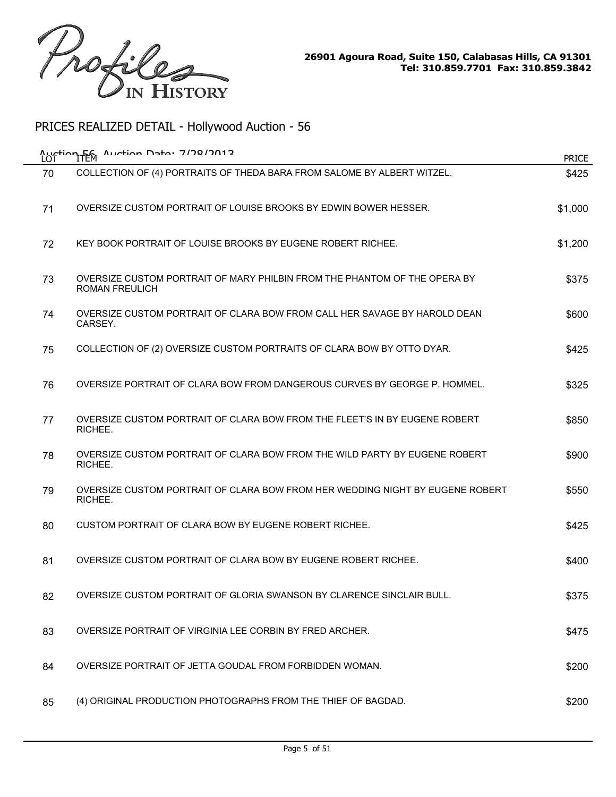

| LOT | Austion F6 Austion Date: 7/78/2012                                                                 | <b>PRICE</b> |
|-----|----------------------------------------------------------------------------------------------------|--------------|
| 70  | COLLECTION OF (4) PORTRAITS OF THEDA BARA FROM SALOME BY ALBERT WITZEL.                            | \$425        |
| 71  | OVERSIZE CUSTOM PORTRAIT OF LOUISE BROOKS BY EDWIN BOWER HESSER.                                   | \$1,000      |
| 72  | KEY BOOK PORTRAIT OF LOUISE BROOKS BY EUGENE ROBERT RICHEE.                                        | \$1,200      |
| 73  | OVERSIZE CUSTOM PORTRAIT OF MARY PHILBIN FROM THE PHANTOM OF THE OPERA BY<br><b>ROMAN FREULICH</b> | \$375        |
| 74  | OVERSIZE CUSTOM PORTRAIT OF CLARA BOW FROM CALL HER SAVAGE BY HAROLD DEAN<br>CARSEY.               | \$600        |
| 75  | COLLECTION OF (2) OVERSIZE CUSTOM PORTRAITS OF CLARA BOW BY OTTO DYAR.                             | \$425        |
| 76  | OVERSIZE PORTRAIT OF CLARA BOW FROM DANGEROUS CURVES BY GEORGE P. HOMMEL.                          | \$325        |
| 77  | OVERSIZE CUSTOM PORTRAIT OF CLARA BOW FROM THE FLEET'S IN BY EUGENE ROBERT<br>RICHEE.              | \$850        |
| 78  | OVERSIZE CUSTOM PORTRAIT OF CLARA BOW FROM THE WILD PARTY BY EUGENE ROBERT<br>RICHEE.              | \$900        |
| 79  | OVERSIZE CUSTOM PORTRAIT OF CLARA BOW FROM HER WEDDING NIGHT BY EUGENE ROBERT<br>RICHEE.           | \$550        |
| 80  | CUSTOM PORTRAIT OF CLARA BOW BY EUGENE ROBERT RICHEE.                                              | \$425        |
| 81  | OVERSIZE CUSTOM PORTRAIT OF CLARA BOW BY EUGENE ROBERT RICHEE.                                     | \$400        |
| 82  | OVERSIZE CUSTOM PORTRAIT OF GLORIA SWANSON BY CLARENCE SINCLAIR BULL                               | \$375        |
| 83  | OVERSIZE PORTRAIT OF VIRGINIA LEE CORBIN BY FRED ARCHER.                                           | \$475        |
| 84  | OVERSIZE PORTRAIT OF JETTA GOUDAL FROM FORBIDDEN WOMAN.                                            | \$200        |
| 85  | (4) ORIGINAL PRODUCTION PHOTOGRAPHS FROM THE THIEF OF BAGDAD.                                      | \$200        |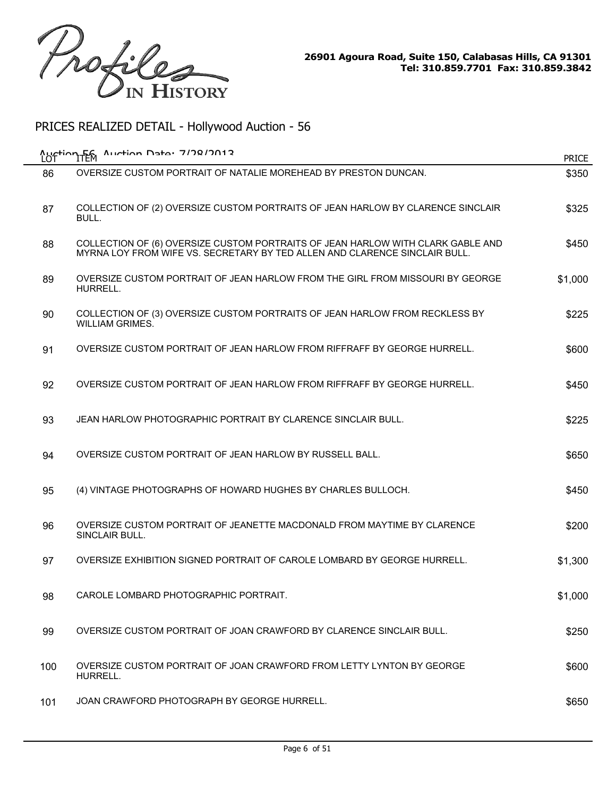

| <b>Austion Fem</b><br>LOT | $A$ uction Data: 7/78/7013                                                                                                                                    | <b>PRICE</b> |
|---------------------------|---------------------------------------------------------------------------------------------------------------------------------------------------------------|--------------|
| 86                        | OVERSIZE CUSTOM PORTRAIT OF NATALIE MOREHEAD BY PRESTON DUNCAN.                                                                                               | \$350        |
| 87                        | COLLECTION OF (2) OVERSIZE CUSTOM PORTRAITS OF JEAN HARLOW BY CLARENCE SINCLAIR<br>BULL.                                                                      | \$325        |
| 88                        | COLLECTION OF (6) OVERSIZE CUSTOM PORTRAITS OF JEAN HARLOW WITH CLARK GABLE AND<br>MYRNA LOY FROM WIFE VS. SECRETARY BY TED ALLEN AND CLARENCE SINCLAIR BULL. | \$450        |
| 89                        | OVERSIZE CUSTOM PORTRAIT OF JEAN HARLOW FROM THE GIRL FROM MISSOURI BY GEORGE<br>HURRELL.                                                                     | \$1,000      |
| 90                        | COLLECTION OF (3) OVERSIZE CUSTOM PORTRAITS OF JEAN HARLOW FROM RECKLESS BY<br><b>WILLIAM GRIMES.</b>                                                         | \$225        |
| 91                        | OVERSIZE CUSTOM PORTRAIT OF JEAN HARLOW FROM RIFFRAFF BY GEORGE HURRELL.                                                                                      | \$600        |
| 92                        | OVERSIZE CUSTOM PORTRAIT OF JEAN HARLOW FROM RIFFRAFF BY GEORGE HURRELL.                                                                                      | \$450        |
| 93                        | JEAN HARLOW PHOTOGRAPHIC PORTRAIT BY CLARENCE SINCLAIR BULL.                                                                                                  | \$225        |
| 94                        | OVERSIZE CUSTOM PORTRAIT OF JEAN HARLOW BY RUSSELL BALL.                                                                                                      | \$650        |
| 95                        | (4) VINTAGE PHOTOGRAPHS OF HOWARD HUGHES BY CHARLES BULLOCH.                                                                                                  | \$450        |
| 96                        | OVERSIZE CUSTOM PORTRAIT OF JEANETTE MACDONALD FROM MAYTIME BY CLARENCE<br>SINCLAIR BULL.                                                                     | \$200        |
| 97                        | OVERSIZE EXHIBITION SIGNED PORTRAIT OF CAROLE LOMBARD BY GEORGE HURRELL.                                                                                      | \$1,300      |
| 98                        | CAROLE LOMBARD PHOTOGRAPHIC PORTRAIT.                                                                                                                         | \$1,000      |
| 99                        | OVERSIZE CUSTOM PORTRAIT OF JOAN CRAWFORD BY CLARENCE SINCLAIR BULL.                                                                                          | \$250        |
| 100                       | OVERSIZE CUSTOM PORTRAIT OF JOAN CRAWFORD FROM LETTY LYNTON BY GEORGE<br>HURRELL.                                                                             | \$600        |
| 101                       | JOAN CRAWFORD PHOTOGRAPH BY GEORGE HURRELL.                                                                                                                   | \$650        |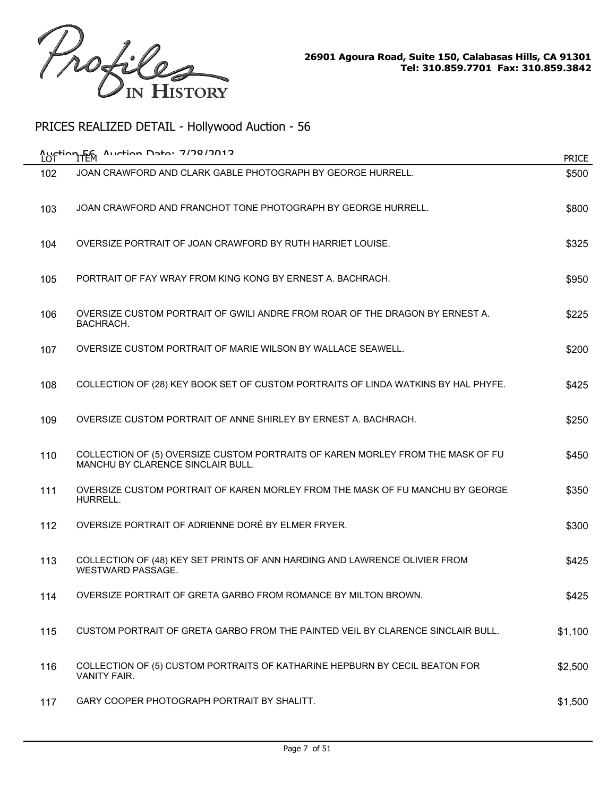

| LOT | Auction F6 Auction Data: 7/78/2012                                                                                   | <b>PRICE</b> |
|-----|----------------------------------------------------------------------------------------------------------------------|--------------|
| 102 | JOAN CRAWFORD AND CLARK GABLE PHOTOGRAPH BY GEORGE HURRELL.                                                          | \$500        |
| 103 | JOAN CRAWFORD AND FRANCHOT TONE PHOTOGRAPH BY GEORGE HURRELL.                                                        | \$800        |
| 104 | OVERSIZE PORTRAIT OF JOAN CRAWFORD BY RUTH HARRIET LOUISE.                                                           | \$325        |
| 105 | PORTRAIT OF FAY WRAY FROM KING KONG BY ERNEST A. BACHRACH.                                                           | \$950        |
| 106 | OVERSIZE CUSTOM PORTRAIT OF GWILI ANDRE FROM ROAR OF THE DRAGON BY ERNEST A.<br>BACHRACH.                            | \$225        |
| 107 | OVERSIZE CUSTOM PORTRAIT OF MARIE WILSON BY WALLACE SEAWELL.                                                         | \$200        |
| 108 | COLLECTION OF (28) KEY BOOK SET OF CUSTOM PORTRAITS OF LINDA WATKINS BY HAL PHYFE.                                   | \$425        |
| 109 | OVERSIZE CUSTOM PORTRAIT OF ANNE SHIRLEY BY ERNEST A. BACHRACH.                                                      | \$250        |
| 110 | COLLECTION OF (5) OVERSIZE CUSTOM PORTRAITS OF KAREN MORLEY FROM THE MASK OF FU<br>MANCHU BY CLARENCE SINCLAIR BULL. | \$450        |
| 111 | OVERSIZE CUSTOM PORTRAIT OF KAREN MORLEY FROM THE MASK OF FU MANCHU BY GEORGE<br>HURRELL.                            | \$350        |
| 112 | OVERSIZE PORTRAIT OF ADRIENNE DORÉ BY ELMER FRYER.                                                                   | \$300        |
| 113 | COLLECTION OF (48) KEY SET PRINTS OF ANN HARDING AND LAWRENCE OLIVIER FROM<br><b>WESTWARD PASSAGE.</b>               | \$425        |
| 114 | OVERSIZE PORTRAIT OF GRETA GARBO FROM ROMANCE BY MILTON BROWN.                                                       | \$425        |
| 115 | CUSTOM PORTRAIT OF GRETA GARBO FROM THE PAINTED VEIL BY CLARENCE SINCLAIR BULL.                                      | \$1,100      |
| 116 | COLLECTION OF (5) CUSTOM PORTRAITS OF KATHARINE HEPBURN BY CECIL BEATON FOR<br><b>VANITY FAIR.</b>                   | \$2,500      |
| 117 | GARY COOPER PHOTOGRAPH PORTRAIT BY SHALITT.                                                                          | \$1,500      |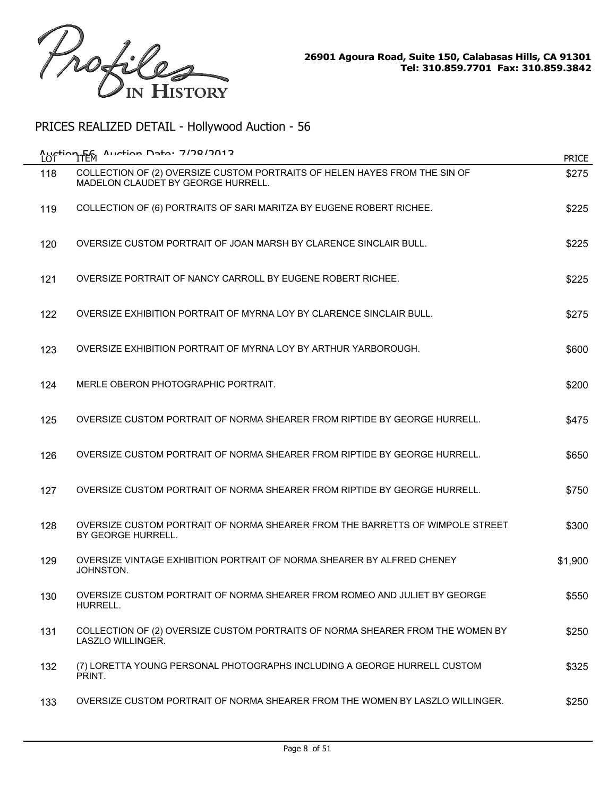

| LOT | Austion F6 Austion Data: 7/78/7012                                                                               | <b>PRICE</b> |
|-----|------------------------------------------------------------------------------------------------------------------|--------------|
| 118 | COLLECTION OF (2) OVERSIZE CUSTOM PORTRAITS OF HELEN HAYES FROM THE SIN OF<br>MADELON CLAUDET BY GEORGE HURRELL. | \$275        |
| 119 | COLLECTION OF (6) PORTRAITS OF SARI MARITZA BY EUGENE ROBERT RICHEE.                                             | \$225        |
| 120 | OVERSIZE CUSTOM PORTRAIT OF JOAN MARSH BY CLARENCE SINCLAIR BULL.                                                | \$225        |
| 121 | OVERSIZE PORTRAIT OF NANCY CARROLL BY EUGENE ROBERT RICHEE.                                                      | \$225        |
| 122 | OVERSIZE EXHIBITION PORTRAIT OF MYRNA LOY BY CLARENCE SINCLAIR BULL.                                             | \$275        |
| 123 | OVERSIZE EXHIBITION PORTRAIT OF MYRNA LOY BY ARTHUR YARBOROUGH.                                                  | \$600        |
| 124 | MERLE OBERON PHOTOGRAPHIC PORTRAIT.                                                                              | \$200        |
| 125 | OVERSIZE CUSTOM PORTRAIT OF NORMA SHEARER FROM RIPTIDE BY GEORGE HURRELL.                                        | \$475        |
| 126 | OVERSIZE CUSTOM PORTRAIT OF NORMA SHEARER FROM RIPTIDE BY GEORGE HURRELL.                                        | \$650        |
| 127 | OVERSIZE CUSTOM PORTRAIT OF NORMA SHEARER FROM RIPTIDE BY GEORGE HURRELL.                                        | \$750        |
| 128 | OVERSIZE CUSTOM PORTRAIT OF NORMA SHEARER FROM THE BARRETTS OF WIMPOLE STREET<br>BY GEORGE HURRELL.              | \$300        |
| 129 | OVERSIZE VINTAGE EXHIBITION PORTRAIT OF NORMA SHEARER BY ALFRED CHENEY<br>JOHNSTON.                              | \$1,900      |
| 130 | OVERSIZE CUSTOM PORTRAIT OF NORMA SHEARER FROM ROMEO AND JULIET BY GEORGE<br>HURRELL.                            | \$550        |
| 131 | COLLECTION OF (2) OVERSIZE CUSTOM PORTRAITS OF NORMA SHEARER FROM THE WOMEN BY<br>LASZLO WILLINGER.              | \$250        |
| 132 | (7) LORETTA YOUNG PERSONAL PHOTOGRAPHS INCLUDING A GEORGE HURRELL CUSTOM<br>PRINT.                               | \$325        |
| 133 | OVERSIZE CUSTOM PORTRAIT OF NORMA SHEARER FROM THE WOMEN BY LASZLO WILLINGER.                                    | \$250        |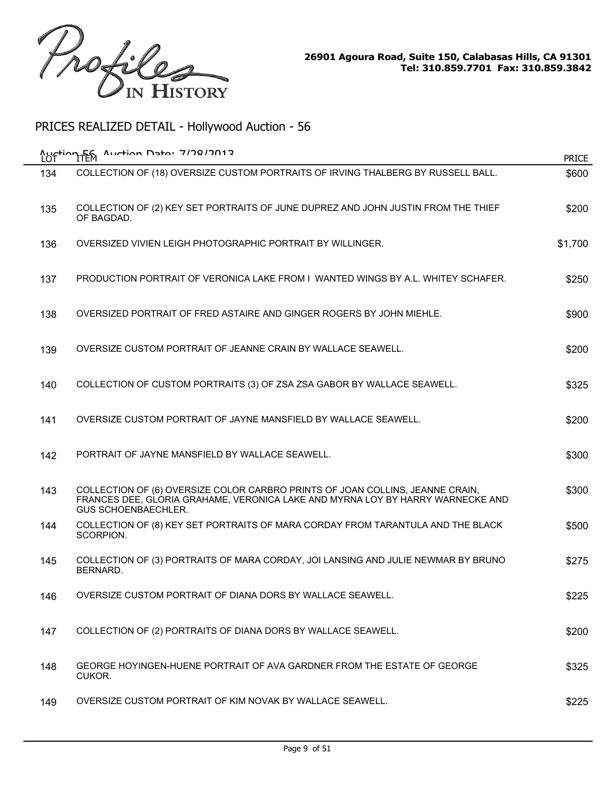

| LOT | Auction 56 Auction Data: 7/78/2012                                                                                                                                                            | <b>PRICE</b> |
|-----|-----------------------------------------------------------------------------------------------------------------------------------------------------------------------------------------------|--------------|
| 134 | COLLECTION OF (18) OVERSIZE CUSTOM PORTRAITS OF IRVING THALBERG BY RUSSELL BALL.                                                                                                              | \$600        |
| 135 | COLLECTION OF (2) KEY SET PORTRAITS OF JUNE DUPREZ AND JOHN JUSTIN FROM THE THIEF<br>OF BAGDAD.                                                                                               | \$200        |
| 136 | OVERSIZED VIVIEN LEIGH PHOTOGRAPHIC PORTRAIT BY WILLINGER.                                                                                                                                    | \$1,700      |
| 137 | PRODUCTION PORTRAIT OF VERONICA LAKE FROM L WANTED WINGS BY A.L. WHITEY SCHAFER.                                                                                                              | \$250        |
| 138 | OVERSIZED PORTRAIT OF FRED ASTAIRE AND GINGER ROGERS BY JOHN MIEHLE.                                                                                                                          | \$900        |
| 139 | OVERSIZE CUSTOM PORTRAIT OF JEANNE CRAIN BY WALLACE SEAWELL.                                                                                                                                  | \$200        |
| 140 | COLLECTION OF CUSTOM PORTRAITS (3) OF ZSA ZSA GABOR BY WALLACE SEAWELL.                                                                                                                       | \$325        |
| 141 | OVERSIZE CUSTOM PORTRAIT OF JAYNE MANSFIELD BY WALLACE SEAWELL.                                                                                                                               | \$200        |
| 142 | PORTRAIT OF JAYNE MANSFIELD BY WALLACE SEAWELL.                                                                                                                                               | \$300        |
| 143 | COLLECTION OF (6) OVERSIZE COLOR CARBRO PRINTS OF JOAN COLLINS, JEANNE CRAIN,<br>FRANCES DEE, GLORIA GRAHAME, VERONICA LAKE AND MYRNA LOY BY HARRY WARNECKE AND<br><b>GUS SCHOENBAECHLER.</b> | \$300        |
| 144 | COLLECTION OF (8) KEY SET PORTRAITS OF MARA CORDAY FROM TARANTULA AND THE BLACK<br>SCORPION.                                                                                                  | \$500        |
| 145 | COLLECTION OF (3) PORTRAITS OF MARA CORDAY, JOI LANSING AND JULIE NEWMAR BY BRUNO<br>BERNARD.                                                                                                 | \$275        |
| 146 | OVERSIZE CUSTOM PORTRAIT OF DIANA DORS BY WALLACE SEAWELL.                                                                                                                                    | \$225        |
| 147 | COLLECTION OF (2) PORTRAITS OF DIANA DORS BY WALLACE SEAWELL.                                                                                                                                 | \$200        |
| 148 | GEORGE HOYINGEN-HUENE PORTRAIT OF AVA GARDNER FROM THE ESTATE OF GEORGE<br>CUKOR.                                                                                                             | \$325        |
| 149 | OVERSIZE CUSTOM PORTRAIT OF KIM NOVAK BY WALLACE SEAWELL.                                                                                                                                     | \$225        |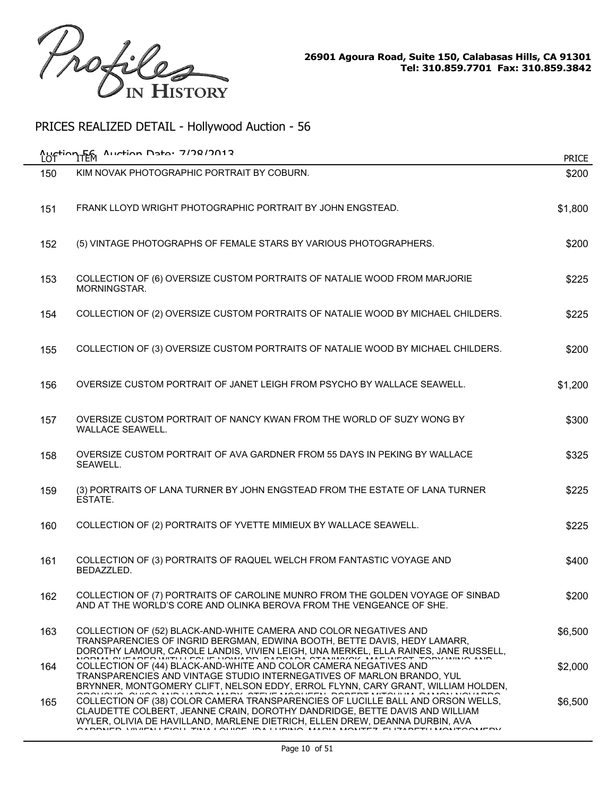

| LOT | Auction F6 Auction Data: 7/78/7012                                                                                                                                                                                                                                                         | <b>PRICE</b> |
|-----|--------------------------------------------------------------------------------------------------------------------------------------------------------------------------------------------------------------------------------------------------------------------------------------------|--------------|
| 150 | KIM NOVAK PHOTOGRAPHIC PORTRAIT BY COBURN.                                                                                                                                                                                                                                                 | \$200        |
| 151 | FRANK LLOYD WRIGHT PHOTOGRAPHIC PORTRAIT BY JOHN ENGSTEAD.                                                                                                                                                                                                                                 | \$1,800      |
| 152 | (5) VINTAGE PHOTOGRAPHS OF FEMALE STARS BY VARIOUS PHOTOGRAPHERS.                                                                                                                                                                                                                          | \$200        |
| 153 | COLLECTION OF (6) OVERSIZE CUSTOM PORTRAITS OF NATALIE WOOD FROM MARJORIE<br>MORNINGSTAR.                                                                                                                                                                                                  | \$225        |
| 154 | COLLECTION OF (2) OVERSIZE CUSTOM PORTRAITS OF NATALIE WOOD BY MICHAEL CHILDERS.                                                                                                                                                                                                           | \$225        |
| 155 | COLLECTION OF (3) OVERSIZE CUSTOM PORTRAITS OF NATALIE WOOD BY MICHAEL CHILDERS.                                                                                                                                                                                                           | \$200        |
| 156 | OVERSIZE CUSTOM PORTRAIT OF JANET LEIGH FROM PSYCHO BY WALLACE SEAWELL.                                                                                                                                                                                                                    | \$1,200      |
| 157 | OVERSIZE CUSTOM PORTRAIT OF NANCY KWAN FROM THE WORLD OF SUZY WONG BY<br>WALLACE SEAWELL.                                                                                                                                                                                                  | \$300        |
| 158 | OVERSIZE CUSTOM PORTRAIT OF AVA GARDNER FROM 55 DAYS IN PEKING BY WALLACE<br>SEAWELL.                                                                                                                                                                                                      | \$325        |
| 159 | (3) PORTRAITS OF LANA TURNER BY JOHN ENGSTEAD FROM THE ESTATE OF LANA TURNER<br>ESTATE.                                                                                                                                                                                                    | \$225        |
| 160 | COLLECTION OF (2) PORTRAITS OF YVETTE MIMIEUX BY WALLACE SEAWELL.                                                                                                                                                                                                                          | \$225        |
| 161 | COLLECTION OF (3) PORTRAITS OF RAQUEL WELCH FROM FANTASTIC VOYAGE AND<br>BEDAZZLED.                                                                                                                                                                                                        | \$400        |
| 162 | COLLECTION OF (7) PORTRAITS OF CAROLINE MUNRO FROM THE GOLDEN VOYAGE OF SINBAD<br>AND AT THE WORLD'S CORE AND OLINKA BEROVA FROM THE VENGEANCE OF SHE.                                                                                                                                     | \$200        |
| 163 | COLLECTION OF (52) BLACK-AND-WHITE CAMERA AND COLOR NEGATIVES AND<br>TRANSPARENCIES OF INGRID BERGMAN, EDWINA BOOTH, BETTE DAVIS, HEDY LAMARR,<br>DOROTHY LAMOUR, CAROLE LANDIS, VIVIEN LEIGH, UNA MERKEL, ELLA RAINES, JANE RUSSELL,                                                      | \$6,500      |
| 164 | OURARED WITH EQUE HOWARD BARBARA OTALINAZOZ AAF WEST TZ<br>COLLECTION OF (44) BLACK-AND-WHITE AND COLOR CAMERA NEGATIVES AND<br>TRANSPARENCIES AND VINTAGE STUDIO INTERNEGATIVES OF MARLON BRANDO, YUL<br>BRYNNER, MONTGOMERY CLIFT, NELSON EDDY, ERROL FLYNN, CARY GRANT, WILLIAM HOLDEN, | \$2,000      |
| 165 | COLLECTION OF (38) COLOR CAMERA TRANSPARENCIES OF LUCILLE BALL AND ORSON WELLS,<br>CLAUDETTE COLBERT, JEANNE CRAIN, DOROTHY DANDRIDGE, BETTE DAVIS AND WILLIAM<br>WYLER, OLIVIA DE HAVILLAND, MARLENE DIETRICH, ELLEN DREW, DEANNA DURBIN, AVA                                             | \$6,500      |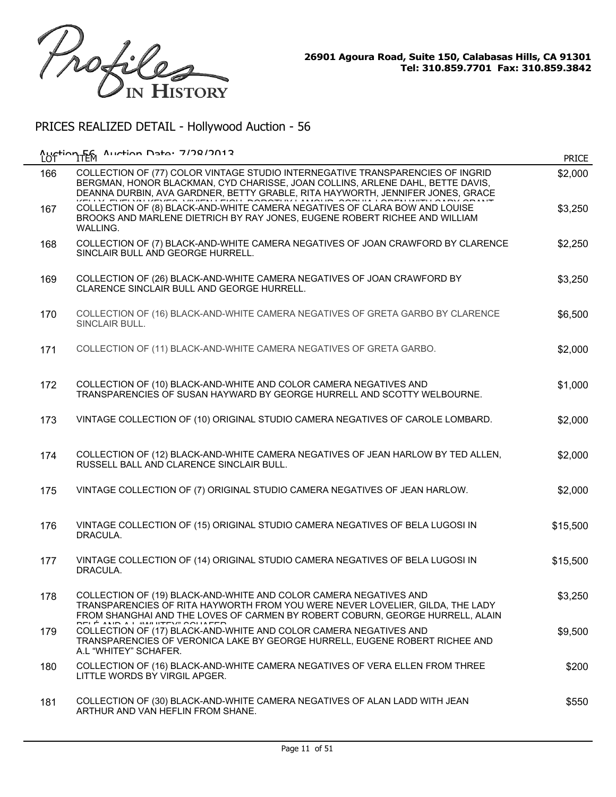

| LOT | Auction F6 Auction Data: 7/78/7012                                                                                                                                                                                                                 | <b>PRICE</b> |
|-----|----------------------------------------------------------------------------------------------------------------------------------------------------------------------------------------------------------------------------------------------------|--------------|
| 166 | COLLECTION OF (77) COLOR VINTAGE STUDIO INTERNEGATIVE TRANSPARENCIES OF INGRID<br>BERGMAN, HONOR BLACKMAN, CYD CHARISSE, JOAN COLLINS, ARLENE DAHL, BETTE DAVIS,<br>DEANNA DURBIN, AVA GARDNER, BETTY GRABLE, RITA HAYWORTH, JENNIFER JONES, GRACE | \$2,000      |
| 167 | COLLECTION OF (8) BLACK-AND-WHITE CAMERA NEGATIVES OF CLARA BOW AND LOUISE<br>BROOKS AND MARLENE DIETRICH BY RAY JONES, EUGENE ROBERT RICHEE AND WILLIAM<br>WALLING.                                                                               | \$3,250      |
| 168 | COLLECTION OF (7) BLACK-AND-WHITE CAMERA NEGATIVES OF JOAN CRAWFORD BY CLARENCE<br>SINCLAIR BULL AND GEORGE HURRELL.                                                                                                                               | \$2,250      |
| 169 | COLLECTION OF (26) BLACK-AND-WHITE CAMERA NEGATIVES OF JOAN CRAWFORD BY<br>CLARENCE SINCLAIR BULL AND GEORGE HURRELL.                                                                                                                              | \$3,250      |
| 170 | COLLECTION OF (16) BLACK-AND-WHITE CAMERA NEGATIVES OF GRETA GARBO BY CLARENCE<br>SINCLAIR BULL.                                                                                                                                                   | \$6,500      |
| 171 | COLLECTION OF (11) BLACK-AND-WHITE CAMERA NEGATIVES OF GRETA GARBO.                                                                                                                                                                                | \$2,000      |
| 172 | COLLECTION OF (10) BLACK-AND-WHITE AND COLOR CAMERA NEGATIVES AND<br>TRANSPARENCIES OF SUSAN HAYWARD BY GEORGE HURRELL AND SCOTTY WELBOURNE.                                                                                                       | \$1,000      |
| 173 | VINTAGE COLLECTION OF (10) ORIGINAL STUDIO CAMERA NEGATIVES OF CAROLE LOMBARD.                                                                                                                                                                     | \$2,000      |
| 174 | COLLECTION OF (12) BLACK-AND-WHITE CAMERA NEGATIVES OF JEAN HARLOW BY TED ALLEN,<br>RUSSELL BALL AND CLARENCE SINCLAIR BULL.                                                                                                                       | \$2,000      |
| 175 | VINTAGE COLLECTION OF (7) ORIGINAL STUDIO CAMERA NEGATIVES OF JEAN HARLOW.                                                                                                                                                                         | \$2,000      |
| 176 | VINTAGE COLLECTION OF (15) ORIGINAL STUDIO CAMERA NEGATIVES OF BELA LUGOSI IN<br>DRACULA.                                                                                                                                                          | \$15,500     |
| 177 | VINTAGE COLLECTION OF (14) ORIGINAL STUDIO CAMERA NEGATIVES OF BELA LUGOSI IN<br>DRACULA.                                                                                                                                                          | \$15,500     |
| 178 | COLLECTION OF (19) BLACK-AND-WHITE AND COLOR CAMERA NEGATIVES AND<br>TRANSPARENCIES OF RITA HAYWORTH FROM YOU WERE NEVER LOVELIER, GILDA, THE LADY<br>FROM SHANGHAI AND THE LOVES OF CARMEN BY ROBERT COBURN, GEORGE HURRELL, ALAIN                | \$3,250      |
| 179 | COLLECTION OF (17) BLACK-AND-WHITE AND COLOR CAMERA NEGATIVES AND<br>TRANSPARENCIES OF VERONICA LAKE BY GEORGE HURRELL, EUGENE ROBERT RICHEE AND<br>A.L "WHITEY" SCHAFER.                                                                          | \$9,500      |
| 180 | COLLECTION OF (16) BLACK-AND-WHITE CAMERA NEGATIVES OF VERA ELLEN FROM THREE<br>LITTLE WORDS BY VIRGIL APGER.                                                                                                                                      | \$200        |
| 181 | COLLECTION OF (30) BLACK-AND-WHITE CAMERA NEGATIVES OF ALAN LADD WITH JEAN<br>ARTHUR AND VAN HEFLIN FROM SHANE.                                                                                                                                    | \$550        |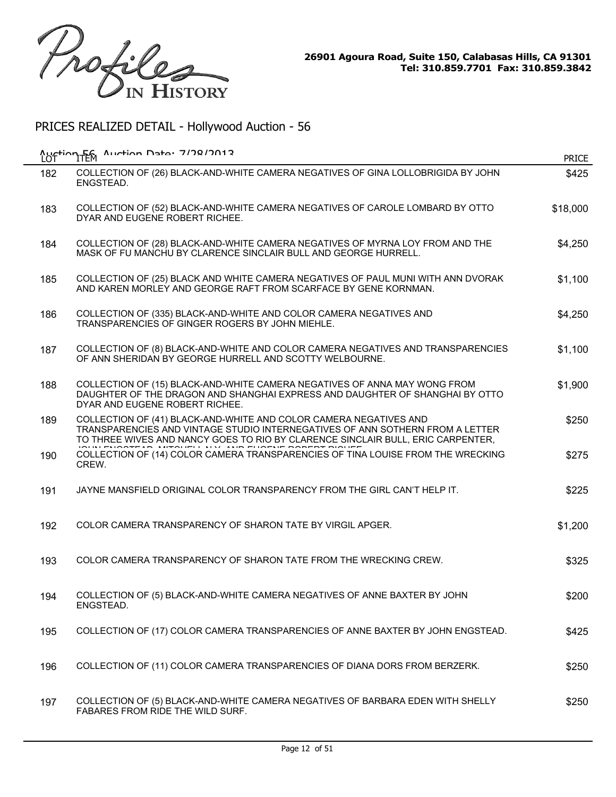

| LOT | Auction F6 Auction Data: 7/78/2012                                                                                                                                                                                                    | <b>PRICE</b> |
|-----|---------------------------------------------------------------------------------------------------------------------------------------------------------------------------------------------------------------------------------------|--------------|
| 182 | COLLECTION OF (26) BLACK-AND-WHITE CAMERA NEGATIVES OF GINA LOLLOBRIGIDA BY JOHN<br>ENGSTEAD.                                                                                                                                         | \$425        |
| 183 | COLLECTION OF (52) BLACK-AND-WHITE CAMERA NEGATIVES OF CAROLE LOMBARD BY OTTO<br>DYAR AND EUGENE ROBERT RICHEE.                                                                                                                       | \$18,000     |
| 184 | COLLECTION OF (28) BLACK-AND-WHITE CAMERA NEGATIVES OF MYRNA LOY FROM AND THE<br>MASK OF FU MANCHU BY CLARENCE SINCLAIR BULL AND GEORGE HURRELL.                                                                                      | \$4,250      |
| 185 | COLLECTION OF (25) BLACK AND WHITE CAMERA NEGATIVES OF PAUL MUNI WITH ANN DVORAK<br>AND KAREN MORLEY AND GEORGE RAFT FROM SCARFACE BY GENE KORNMAN.                                                                                   | \$1,100      |
| 186 | COLLECTION OF (335) BLACK-AND-WHITE AND COLOR CAMERA NEGATIVES AND<br>TRANSPARENCIES OF GINGER ROGERS BY JOHN MIEHLE.                                                                                                                 | \$4,250      |
| 187 | COLLECTION OF (8) BLACK-AND-WHITE AND COLOR CAMERA NEGATIVES AND TRANSPARENCIES<br>OF ANN SHERIDAN BY GEORGE HURRELL AND SCOTTY WELBOURNE.                                                                                            | \$1,100      |
| 188 | COLLECTION OF (15) BLACK-AND-WHITE CAMERA NEGATIVES OF ANNA MAY WONG FROM<br>DAUGHTER OF THE DRAGON AND SHANGHAI EXPRESS AND DAUGHTER OF SHANGHAI BY OTTO<br>DYAR AND EUGENE ROBERT RICHEE.                                           | \$1,900      |
| 189 | COLLECTION OF (41) BLACK-AND-WHITE AND COLOR CAMERA NEGATIVES AND<br>TRANSPARENCIES AND VINTAGE STUDIO INTERNEGATIVES OF ANN SOTHERN FROM A LETTER<br>TO THREE WIVES AND NANCY GOES TO RIO BY CLARENCE SINCLAIR BULL, ERIC CARPENTER, | \$250        |
| 190 | COLLECTION OF (14) COLOR CAMERA TRANSPARENCIES OF TINA LOUISE FROM THE WRECKING<br>CREW.                                                                                                                                              | \$275        |
| 191 | JAYNE MANSFIELD ORIGINAL COLOR TRANSPARENCY FROM THE GIRL CAN'T HELP IT.                                                                                                                                                              | \$225        |
| 192 | COLOR CAMERA TRANSPARENCY OF SHARON TATE BY VIRGIL APGER.                                                                                                                                                                             | \$1,200      |
| 193 | COLOR CAMERA TRANSPARENCY OF SHARON TATE FROM THE WRECKING CREW.                                                                                                                                                                      | \$325        |
| 194 | COLLECTION OF (5) BLACK-AND-WHITE CAMERA NEGATIVES OF ANNE BAXTER BY JOHN<br>ENGSTEAD.                                                                                                                                                | \$200        |
| 195 | COLLECTION OF (17) COLOR CAMERA TRANSPARENCIES OF ANNE BAXTER BY JOHN ENGSTEAD.                                                                                                                                                       | \$425        |
| 196 | COLLECTION OF (11) COLOR CAMERA TRANSPARENCIES OF DIANA DORS FROM BERZERK.                                                                                                                                                            | \$250        |
| 197 | COLLECTION OF (5) BLACK-AND-WHITE CAMERA NEGATIVES OF BARBARA EDEN WITH SHELLY<br><b>FABARES FROM RIDE THE WILD SURF.</b>                                                                                                             | \$250        |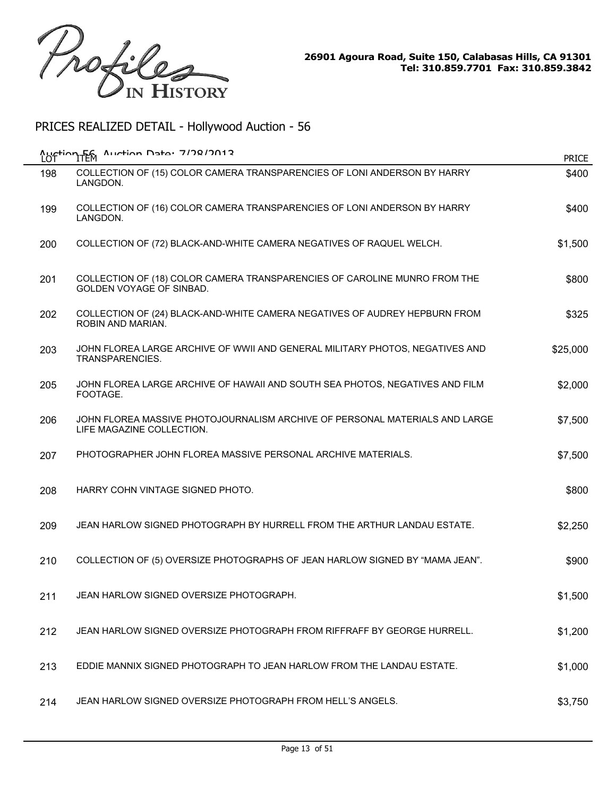

| Auction Fen<br>LOT | $\Lambda$ uction Date: 7/28/2013                                                                             | <b>PRICE</b> |
|--------------------|--------------------------------------------------------------------------------------------------------------|--------------|
| 198                | COLLECTION OF (15) COLOR CAMERA TRANSPARENCIES OF LONI ANDERSON BY HARRY<br>LANGDON.                         | \$400        |
| 199                | COLLECTION OF (16) COLOR CAMERA TRANSPARENCIES OF LONI ANDERSON BY HARRY<br>LANGDON.                         | \$400        |
| 200                | COLLECTION OF (72) BLACK-AND-WHITE CAMERA NEGATIVES OF RAQUEL WELCH.                                         | \$1,500      |
| 201                | COLLECTION OF (18) COLOR CAMERA TRANSPARENCIES OF CAROLINE MUNRO FROM THE<br><b>GOLDEN VOYAGE OF SINBAD.</b> | \$800        |
| 202                | COLLECTION OF (24) BLACK-AND-WHITE CAMERA NEGATIVES OF AUDREY HEPBURN FROM<br>ROBIN AND MARIAN.              | \$325        |
| 203                | JOHN FLOREA LARGE ARCHIVE OF WWII AND GENERAL MILITARY PHOTOS, NEGATIVES AND<br>TRANSPARENCIES.              | \$25,000     |
| 205                | JOHN FLOREA LARGE ARCHIVE OF HAWAII AND SOUTH SEA PHOTOS, NEGATIVES AND FILM<br>FOOTAGE.                     | \$2,000      |
| 206                | JOHN FLOREA MASSIVE PHOTOJOURNALISM ARCHIVE OF PERSONAL MATERIALS AND LARGE<br>LIFE MAGAZINE COLLECTION.     | \$7,500      |
| 207                | PHOTOGRAPHER JOHN FLOREA MASSIVE PERSONAL ARCHIVE MATERIALS.                                                 | \$7,500      |
| 208                | HARRY COHN VINTAGE SIGNED PHOTO.                                                                             | \$800        |
| 209                | JEAN HARLOW SIGNED PHOTOGRAPH BY HURRELL FROM THE ARTHUR LANDAU ESTATE.                                      | \$2,250      |
| 210                | COLLECTION OF (5) OVERSIZE PHOTOGRAPHS OF JEAN HARLOW SIGNED BY "MAMA JEAN".                                 | \$900        |
| 211                | JEAN HARLOW SIGNED OVERSIZE PHOTOGRAPH.                                                                      | \$1,500      |
| 212                | JEAN HARLOW SIGNED OVERSIZE PHOTOGRAPH FROM RIFFRAFF BY GEORGE HURRELL.                                      | \$1,200      |
| 213                | EDDIE MANNIX SIGNED PHOTOGRAPH TO JEAN HARLOW FROM THE LANDAU ESTATE.                                        | \$1,000      |
| 214                | JEAN HARLOW SIGNED OVERSIZE PHOTOGRAPH FROM HELL'S ANGELS.                                                   | \$3,750      |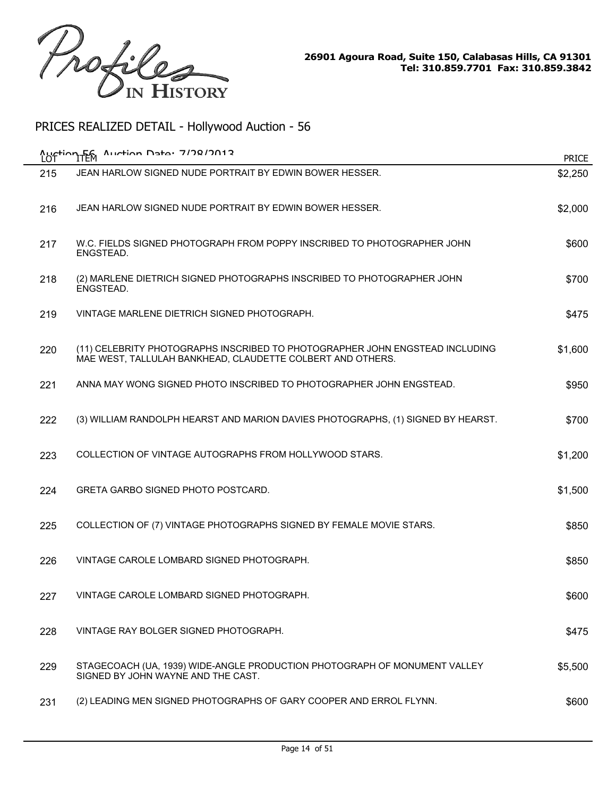

| LOT | Auction 56 Auction Data: 7/78/2012                                                                                                         | <b>PRICE</b> |
|-----|--------------------------------------------------------------------------------------------------------------------------------------------|--------------|
| 215 | JEAN HARLOW SIGNED NUDE PORTRAIT BY EDWIN BOWER HESSER.                                                                                    | \$2,250      |
| 216 | JEAN HARLOW SIGNED NUDE PORTRAIT BY EDWIN BOWER HESSER.                                                                                    | \$2,000      |
| 217 | W.C. FIELDS SIGNED PHOTOGRAPH FROM POPPY INSCRIBED TO PHOTOGRAPHER JOHN<br>ENGSTEAD.                                                       | \$600        |
| 218 | (2) MARLENE DIETRICH SIGNED PHOTOGRAPHS INSCRIBED TO PHOTOGRAPHER JOHN<br>ENGSTEAD.                                                        | \$700        |
| 219 | VINTAGE MARLENE DIETRICH SIGNED PHOTOGRAPH.                                                                                                | \$475        |
| 220 | (11) CELEBRITY PHOTOGRAPHS INSCRIBED TO PHOTOGRAPHER JOHN ENGSTEAD INCLUDING<br>MAE WEST, TALLULAH BANKHEAD, CLAUDETTE COLBERT AND OTHERS. | \$1,600      |
| 221 | ANNA MAY WONG SIGNED PHOTO INSCRIBED TO PHOTOGRAPHER JOHN ENGSTEAD.                                                                        | \$950        |
| 222 | (3) WILLIAM RANDOLPH HEARST AND MARION DAVIES PHOTOGRAPHS, (1) SIGNED BY HEARST.                                                           | \$700        |
| 223 | COLLECTION OF VINTAGE AUTOGRAPHS FROM HOLLYWOOD STARS.                                                                                     | \$1,200      |
| 224 | <b>GRETA GARBO SIGNED PHOTO POSTCARD.</b>                                                                                                  | \$1,500      |
| 225 | COLLECTION OF (7) VINTAGE PHOTOGRAPHS SIGNED BY FEMALE MOVIE STARS.                                                                        | \$850        |
| 226 | VINTAGE CAROLE LOMBARD SIGNED PHOTOGRAPH.                                                                                                  | \$850        |
| 227 | VINTAGE CAROLE LOMBARD SIGNED PHOTOGRAPH.                                                                                                  | \$600        |
| 228 | VINTAGE RAY BOLGER SIGNED PHOTOGRAPH.                                                                                                      | \$475        |
| 229 | STAGECOACH (UA, 1939) WIDE-ANGLE PRODUCTION PHOTOGRAPH OF MONUMENT VALLEY<br>SIGNED BY JOHN WAYNE AND THE CAST.                            | \$5,500      |
| 231 | (2) LEADING MEN SIGNED PHOTOGRAPHS OF GARY COOPER AND ERROL FLYNN.                                                                         | \$600        |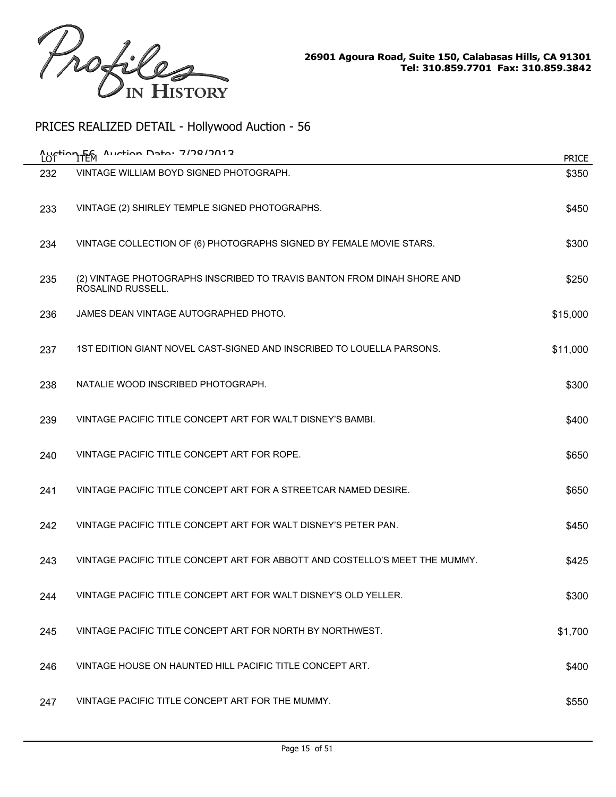

|     | Auction TEM Auction Data: 7/78/2012                                                          | <b>PRICE</b> |
|-----|----------------------------------------------------------------------------------------------|--------------|
| 232 | VINTAGE WILLIAM BOYD SIGNED PHOTOGRAPH.                                                      | \$350        |
| 233 | VINTAGE (2) SHIRLEY TEMPLE SIGNED PHOTOGRAPHS.                                               | \$450        |
| 234 | VINTAGE COLLECTION OF (6) PHOTOGRAPHS SIGNED BY FEMALE MOVIE STARS.                          | \$300        |
| 235 | (2) VINTAGE PHOTOGRAPHS INSCRIBED TO TRAVIS BANTON FROM DINAH SHORE AND<br>ROSALIND RUSSELL. | \$250        |
| 236 | JAMES DEAN VINTAGE AUTOGRAPHED PHOTO.                                                        | \$15,000     |
| 237 | 1ST EDITION GIANT NOVEL CAST-SIGNED AND INSCRIBED TO LOUELLA PARSONS.                        | \$11,000     |
| 238 | NATALIE WOOD INSCRIBED PHOTOGRAPH.                                                           | \$300        |
| 239 | VINTAGE PACIFIC TITLE CONCEPT ART FOR WALT DISNEY'S BAMBI.                                   | \$400        |
| 240 | VINTAGE PACIFIC TITLE CONCEPT ART FOR ROPE.                                                  | \$650        |
| 241 | VINTAGE PACIFIC TITLE CONCEPT ART FOR A STREETCAR NAMED DESIRE.                              | \$650        |
| 242 | VINTAGE PACIFIC TITLE CONCEPT ART FOR WALT DISNEY'S PETER PAN.                               | \$450        |
| 243 | VINTAGE PACIFIC TITLE CONCEPT ART FOR ABBOTT AND COSTELLO'S MEET THE MUMMY.                  | \$425        |
| 244 | VINTAGE PACIFIC TITLE CONCEPT ART FOR WALT DISNEY'S OLD YELLER.                              | \$300        |
| 245 | VINTAGE PACIFIC TITLE CONCEPT ART FOR NORTH BY NORTHWEST.                                    | \$1,700      |
| 246 | VINTAGE HOUSE ON HAUNTED HILL PACIFIC TITLE CONCEPT ART.                                     | \$400        |
| 247 | VINTAGE PACIFIC TITLE CONCEPT ART FOR THE MUMMY.                                             | \$550        |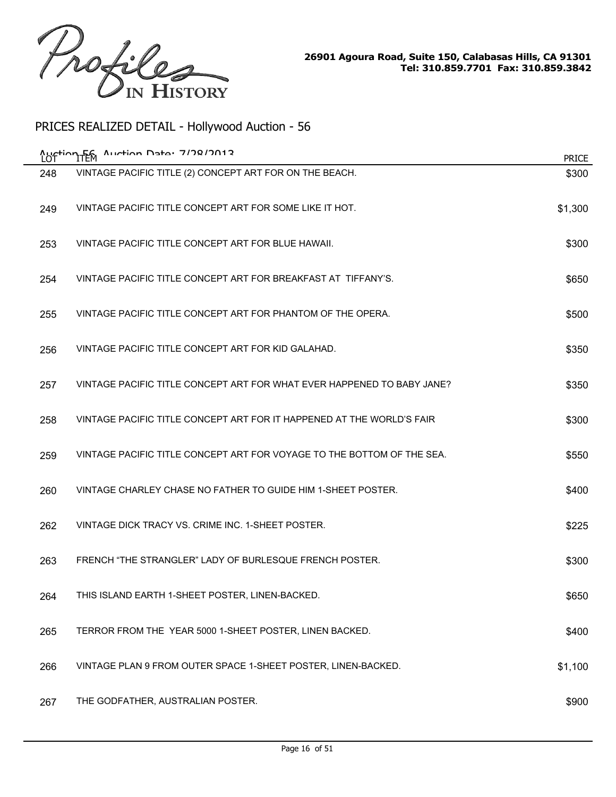

|     | 1/10/2/2017 יפ <del>ו</del> בח Aurtion<br>Auction Fem                  | <b>PRICE</b> |
|-----|------------------------------------------------------------------------|--------------|
| 248 | VINTAGE PACIFIC TITLE (2) CONCEPT ART FOR ON THE BEACH.                | \$300        |
| 249 | VINTAGE PACIFIC TITLE CONCEPT ART FOR SOME LIKE IT HOT.                | \$1,300      |
| 253 | VINTAGE PACIFIC TITLE CONCEPT ART FOR BLUE HAWAII.                     | \$300        |
| 254 | VINTAGE PACIFIC TITLE CONCEPT ART FOR BREAKFAST AT TIFFANY'S.          | \$650        |
| 255 | VINTAGE PACIFIC TITLE CONCEPT ART FOR PHANTOM OF THE OPERA.            | \$500        |
| 256 | VINTAGE PACIFIC TITLE CONCEPT ART FOR KID GALAHAD.                     | \$350        |
| 257 | VINTAGE PACIFIC TITLE CONCEPT ART FOR WHAT EVER HAPPENED TO BABY JANE? | \$350        |
| 258 | VINTAGE PACIFIC TITLE CONCEPT ART FOR IT HAPPENED AT THE WORLD'S FAIR  | \$300        |
| 259 | VINTAGE PACIFIC TITLE CONCEPT ART FOR VOYAGE TO THE BOTTOM OF THE SEA. | \$550        |
| 260 | VINTAGE CHARLEY CHASE NO FATHER TO GUIDE HIM 1-SHEET POSTER.           | \$400        |
| 262 | VINTAGE DICK TRACY VS. CRIME INC. 1-SHEET POSTER.                      | \$225        |
| 263 | FRENCH "THE STRANGLER" LADY OF BURLESQUE FRENCH POSTER.                | \$300        |
| 264 | THIS ISLAND EARTH 1-SHEET POSTER, LINEN-BACKED.                        | \$650        |
| 265 | TERROR FROM THE YEAR 5000 1-SHEET POSTER, LINEN BACKED.                | \$400        |
| 266 | VINTAGE PLAN 9 FROM OUTER SPACE 1-SHEET POSTER, LINEN-BACKED.          | \$1,100      |
| 267 | THE GODFATHER, AUSTRALIAN POSTER.                                      | \$900        |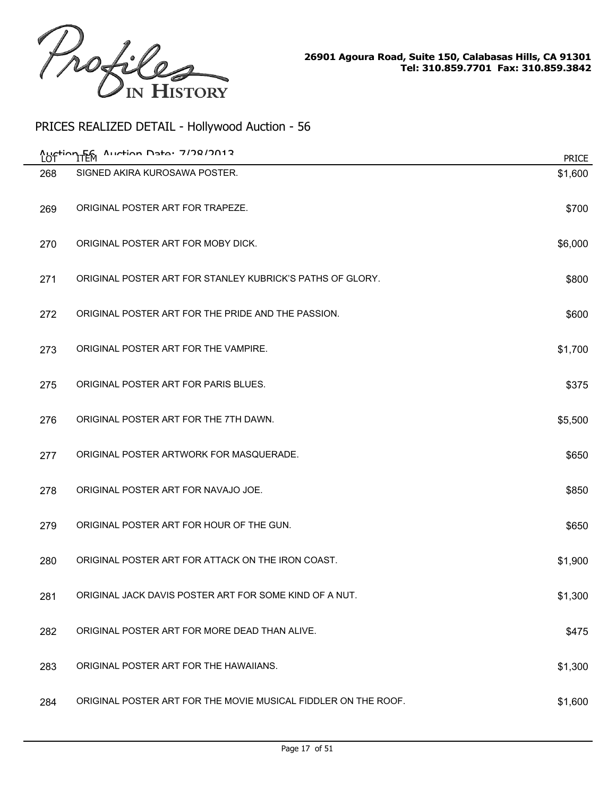

| LO1 | Auction Data: 7/78/7012<br><b>Austion Fem</b>                  | <b>PRICE</b> |
|-----|----------------------------------------------------------------|--------------|
| 268 | SIGNED AKIRA KUROSAWA POSTER.                                  | \$1,600      |
| 269 | ORIGINAL POSTER ART FOR TRAPEZE.                               | \$700        |
| 270 | ORIGINAL POSTER ART FOR MOBY DICK.                             | \$6,000      |
| 271 | ORIGINAL POSTER ART FOR STANLEY KUBRICK'S PATHS OF GLORY.      | \$800        |
| 272 | ORIGINAL POSTER ART FOR THE PRIDE AND THE PASSION.             | \$600        |
| 273 | ORIGINAL POSTER ART FOR THE VAMPIRE.                           | \$1,700      |
| 275 | ORIGINAL POSTER ART FOR PARIS BLUES.                           | \$375        |
| 276 | ORIGINAL POSTER ART FOR THE 7TH DAWN.                          | \$5,500      |
| 277 | ORIGINAL POSTER ARTWORK FOR MASQUERADE.                        | \$650        |
| 278 | ORIGINAL POSTER ART FOR NAVAJO JOE.                            | \$850        |
| 279 | ORIGINAL POSTER ART FOR HOUR OF THE GUN.                       | \$650        |
| 280 | ORIGINAL POSTER ART FOR ATTACK ON THE IRON COAST.              | \$1,900      |
| 281 | ORIGINAL JACK DAVIS POSTER ART FOR SOME KIND OF A NUT.         | \$1,300      |
| 282 | ORIGINAL POSTER ART FOR MORE DEAD THAN ALIVE.                  | \$475        |
| 283 | ORIGINAL POSTER ART FOR THE HAWAIIANS.                         | \$1,300      |
| 284 | ORIGINAL POSTER ART FOR THE MOVIE MUSICAL FIDDLER ON THE ROOF. | \$1,600      |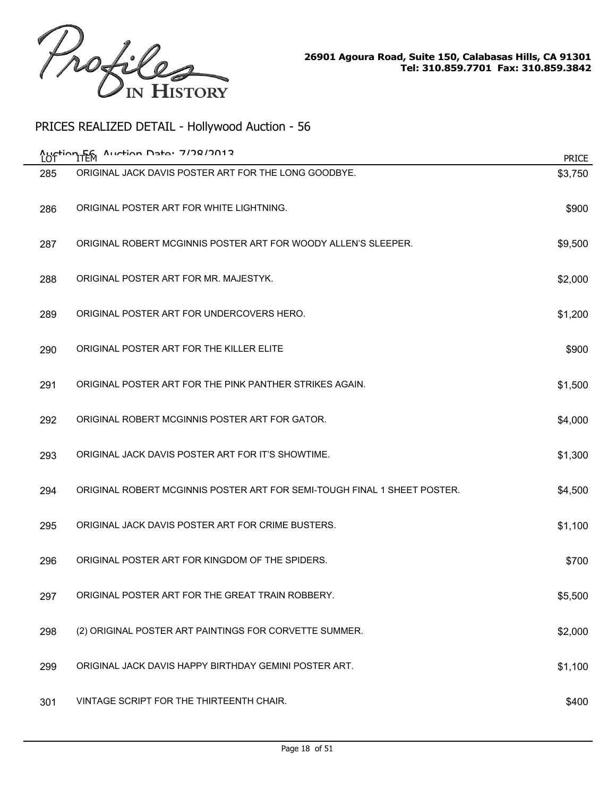

|     | Auction F6 Auction Data: 7/78/7012                                       | <b>PRICE</b> |
|-----|--------------------------------------------------------------------------|--------------|
| 285 | ORIGINAL JACK DAVIS POSTER ART FOR THE LONG GOODBYE.                     | \$3,750      |
| 286 | ORIGINAL POSTER ART FOR WHITE LIGHTNING.                                 | \$900        |
| 287 | ORIGINAL ROBERT MCGINNIS POSTER ART FOR WOODY ALLEN'S SLEEPER.           | \$9,500      |
| 288 | ORIGINAL POSTER ART FOR MR. MAJESTYK.                                    | \$2,000      |
| 289 | ORIGINAL POSTER ART FOR UNDERCOVERS HERO.                                | \$1,200      |
| 290 | ORIGINAL POSTER ART FOR THE KILLER ELITE                                 | \$900        |
| 291 | ORIGINAL POSTER ART FOR THE PINK PANTHER STRIKES AGAIN.                  | \$1,500      |
| 292 | ORIGINAL ROBERT MCGINNIS POSTER ART FOR GATOR.                           | \$4,000      |
| 293 | ORIGINAL JACK DAVIS POSTER ART FOR IT'S SHOWTIME.                        | \$1,300      |
| 294 | ORIGINAL ROBERT MCGINNIS POSTER ART FOR SEMI-TOUGH FINAL 1 SHEET POSTER. | \$4,500      |
| 295 | ORIGINAL JACK DAVIS POSTER ART FOR CRIME BUSTERS.                        | \$1,100      |
| 296 | ORIGINAL POSTER ART FOR KINGDOM OF THE SPIDERS.                          | \$700        |
| 297 | ORIGINAL POSTER ART FOR THE GREAT TRAIN ROBBERY.                         | \$5,500      |
| 298 | (2) ORIGINAL POSTER ART PAINTINGS FOR CORVETTE SUMMER.                   | \$2,000      |
| 299 | ORIGINAL JACK DAVIS HAPPY BIRTHDAY GEMINI POSTER ART.                    | \$1,100      |
| 301 | VINTAGE SCRIPT FOR THE THIRTEENTH CHAIR.                                 | \$400        |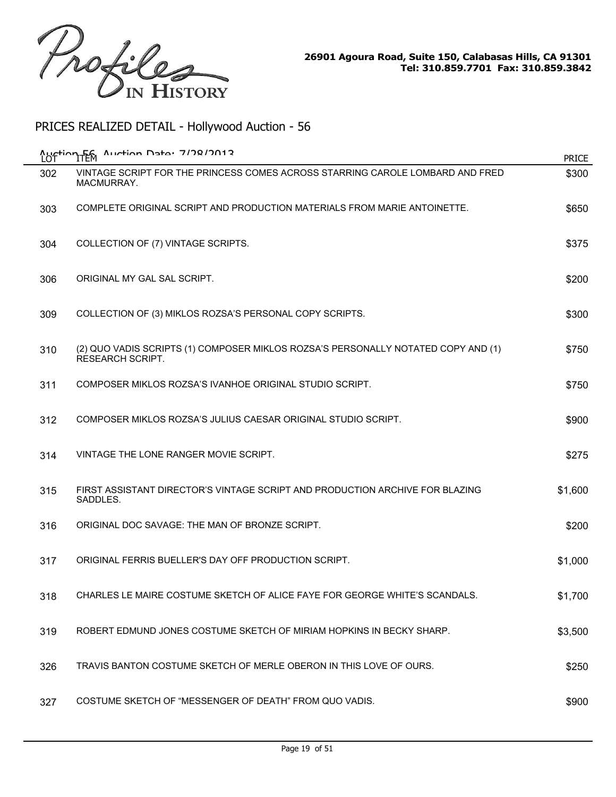

| LOT | Auction F6 Auction Data: 7/78/2012                                                                           | <b>PRICE</b> |
|-----|--------------------------------------------------------------------------------------------------------------|--------------|
| 302 | VINTAGE SCRIPT FOR THE PRINCESS COMES ACROSS STARRING CAROLE LOMBARD AND FRED<br>MACMURRAY.                  | \$300        |
| 303 | COMPLETE ORIGINAL SCRIPT AND PRODUCTION MATERIALS FROM MARIE ANTOINETTE.                                     | \$650        |
| 304 | COLLECTION OF (7) VINTAGE SCRIPTS.                                                                           | \$375        |
| 306 | ORIGINAL MY GAL SAL SCRIPT.                                                                                  | \$200        |
| 309 | COLLECTION OF (3) MIKLOS ROZSA'S PERSONAL COPY SCRIPTS.                                                      | \$300        |
| 310 | (2) QUO VADIS SCRIPTS (1) COMPOSER MIKLOS ROZSA'S PERSONALLY NOTATED COPY AND (1)<br><b>RESEARCH SCRIPT.</b> | \$750        |
| 311 | COMPOSER MIKLOS ROZSA'S IVANHOE ORIGINAL STUDIO SCRIPT.                                                      | \$750        |
| 312 | COMPOSER MIKLOS ROZSA'S JULIUS CAESAR ORIGINAL STUDIO SCRIPT.                                                | \$900        |
| 314 | VINTAGE THE LONE RANGER MOVIE SCRIPT.                                                                        | \$275        |
| 315 | FIRST ASSISTANT DIRECTOR'S VINTAGE SCRIPT AND PRODUCTION ARCHIVE FOR BLAZING<br>SADDLES.                     | \$1,600      |
| 316 | ORIGINAL DOC SAVAGE: THE MAN OF BRONZE SCRIPT.                                                               | \$200        |
| 317 | ORIGINAL FERRIS BUELLER'S DAY OFF PRODUCTION SCRIPT.                                                         | \$1,000      |
| 318 | CHARLES LE MAIRE COSTUME SKETCH OF ALICE FAYE FOR GEORGE WHITE'S SCANDALS.                                   | \$1,700      |
| 319 | ROBERT EDMUND JONES COSTUME SKETCH OF MIRIAM HOPKINS IN BECKY SHARP.                                         | \$3,500      |
| 326 | TRAVIS BANTON COSTUME SKETCH OF MERLE OBERON IN THIS LOVE OF OURS.                                           | \$250        |
| 327 | COSTUME SKETCH OF "MESSENGER OF DEATH" FROM QUO VADIS.                                                       | \$900        |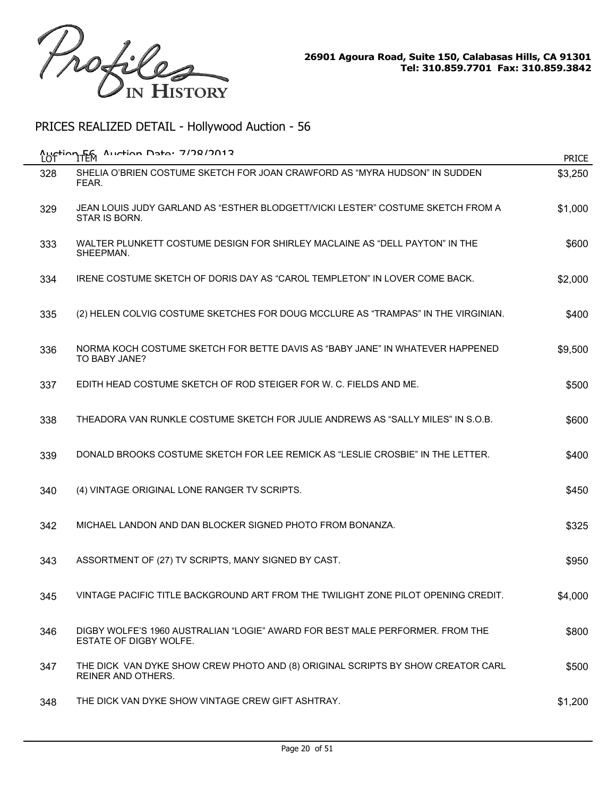

| <u>Austion Fem</u><br>LOT | Auction Data: 7/78/7012                                                                                      | <b>PRICE</b> |
|---------------------------|--------------------------------------------------------------------------------------------------------------|--------------|
| 328                       | SHELIA O'BRIEN COSTUME SKETCH FOR JOAN CRAWFORD AS "MYRA HUDSON" IN SUDDEN<br>FEAR.                          | \$3,250      |
| 329                       | JEAN LOUIS JUDY GARLAND AS "ESTHER BLODGETT/VICKI LESTER" COSTUME SKETCH FROM A<br>STAR IS BORN.             | \$1,000      |
| 333                       | WALTER PLUNKETT COSTUME DESIGN FOR SHIRLEY MACLAINE AS "DELL PAYTON" IN THE<br>SHEEPMAN.                     | \$600        |
| 334                       | IRENE COSTUME SKETCH OF DORIS DAY AS "CAROL TEMPLETON" IN LOVER COME BACK.                                   | \$2,000      |
| 335                       | (2) HELEN COLVIG COSTUME SKETCHES FOR DOUG MCCLURE AS "TRAMPAS" IN THE VIRGINIAN.                            | \$400        |
| 336                       | NORMA KOCH COSTUME SKETCH FOR BETTE DAVIS AS "BABY JANE" IN WHATEVER HAPPENED<br>TO BABY JANE?               | \$9,500      |
| 337                       | EDITH HEAD COSTUME SKETCH OF ROD STEIGER FOR W. C. FIELDS AND ME.                                            | \$500        |
| 338                       | THEADORA VAN RUNKLE COSTUME SKETCH FOR JULIE ANDREWS AS "SALLY MILES" IN S.O.B.                              | \$600        |
| 339                       | DONALD BROOKS COSTUME SKETCH FOR LEE REMICK AS "LESLIE CROSBIE" IN THE LETTER.                               | \$400        |
| 340                       | (4) VINTAGE ORIGINAL LONE RANGER TV SCRIPTS.                                                                 | \$450        |
| 342                       | MICHAEL LANDON AND DAN BLOCKER SIGNED PHOTO FROM BONANZA.                                                    | \$325        |
| 343                       | ASSORTMENT OF (27) TV SCRIPTS, MANY SIGNED BY CAST.                                                          | \$950        |
| 345                       | VINTAGE PACIFIC TITLE BACKGROUND ART FROM THE TWILIGHT ZONE PILOT OPENING CREDIT.                            | \$4,000      |
| 346                       | DIGBY WOLFE'S 1960 AUSTRALIAN "LOGIE" AWARD FOR BEST MALE PERFORMER. FROM THE<br>ESTATE OF DIGBY WOLFE.      | \$800        |
| 347                       | THE DICK VAN DYKE SHOW CREW PHOTO AND (8) ORIGINAL SCRIPTS BY SHOW CREATOR CARL<br><b>REINER AND OTHERS.</b> | \$500        |
| 348                       | THE DICK VAN DYKE SHOW VINTAGE CREW GIFT ASHTRAY.                                                            | \$1,200      |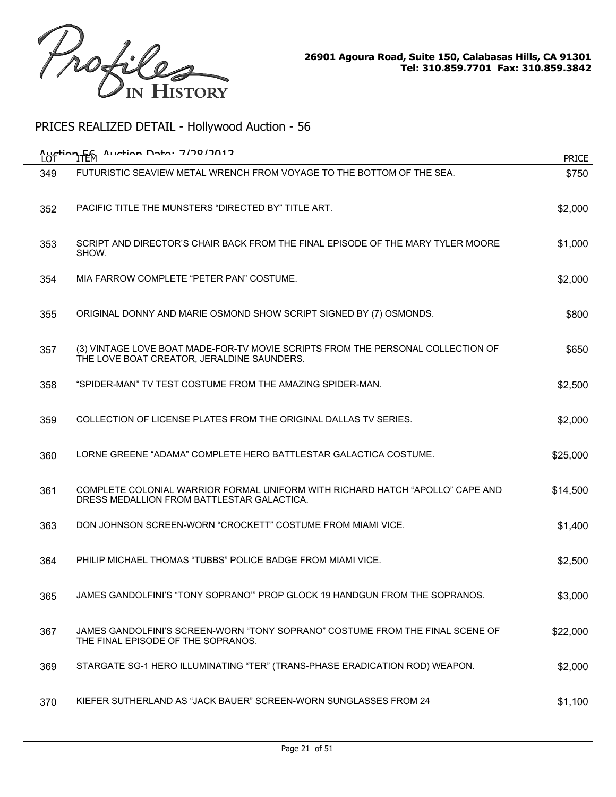

|     | Auction F6 Auction Data: 7/78/2012                                                                                            | <b>PRICE</b> |
|-----|-------------------------------------------------------------------------------------------------------------------------------|--------------|
| 349 | FUTURISTIC SEAVIEW METAL WRENCH FROM VOYAGE TO THE BOTTOM OF THE SEA.                                                         | \$750        |
| 352 | PACIFIC TITLE THE MUNSTERS "DIRECTED BY" TITLE ART.                                                                           | \$2,000      |
| 353 | SCRIPT AND DIRECTOR'S CHAIR BACK FROM THE FINAL EPISODE OF THE MARY TYLER MOORE<br>SHOW.                                      | \$1,000      |
| 354 | MIA FARROW COMPLETE "PETER PAN" COSTUME.                                                                                      | \$2,000      |
| 355 | ORIGINAL DONNY AND MARIE OSMOND SHOW SCRIPT SIGNED BY (7) OSMONDS.                                                            | \$800        |
| 357 | (3) VINTAGE LOVE BOAT MADE-FOR-TV MOVIE SCRIPTS FROM THE PERSONAL COLLECTION OF<br>THE LOVE BOAT CREATOR, JERALDINE SAUNDERS. | \$650        |
| 358 | "SPIDER-MAN" TV TEST COSTUME FROM THE AMAZING SPIDER-MAN.                                                                     | \$2,500      |
| 359 | COLLECTION OF LICENSE PLATES FROM THE ORIGINAL DALLAS TV SERIES.                                                              | \$2,000      |
| 360 | LORNE GREENE "ADAMA" COMPLETE HERO BATTLESTAR GALACTICA COSTUME.                                                              | \$25,000     |
| 361 | COMPLETE COLONIAL WARRIOR FORMAL UNIFORM WITH RICHARD HATCH "APOLLO" CAPE AND<br>DRESS MEDALLION FROM BATTLESTAR GALACTICA.   | \$14,500     |
| 363 | DON JOHNSON SCREEN-WORN "CROCKETT" COSTUME FROM MIAMI VICE.                                                                   | \$1,400      |
| 364 | PHILIP MICHAEL THOMAS "TUBBS" POLICE BADGE FROM MIAMI VICE.                                                                   | \$2,500      |
| 365 | JAMES GANDOLFINI'S "TONY SOPRANO'" PROP GLOCK 19 HANDGUN FROM THE SOPRANOS.                                                   | \$3,000      |
| 367 | JAMES GANDOLFINI'S SCREEN-WORN "TONY SOPRANO" COSTUME FROM THE FINAL SCENE OF<br>THE FINAL EPISODE OF THE SOPRANOS.           | \$22,000     |
| 369 | STARGATE SG-1 HERO ILLUMINATING "TER" (TRANS-PHASE ERADICATION ROD) WEAPON.                                                   | \$2,000      |
| 370 | KIEFER SUTHERLAND AS "JACK BAUER" SCREEN-WORN SUNGLASSES FROM 24                                                              | \$1,100      |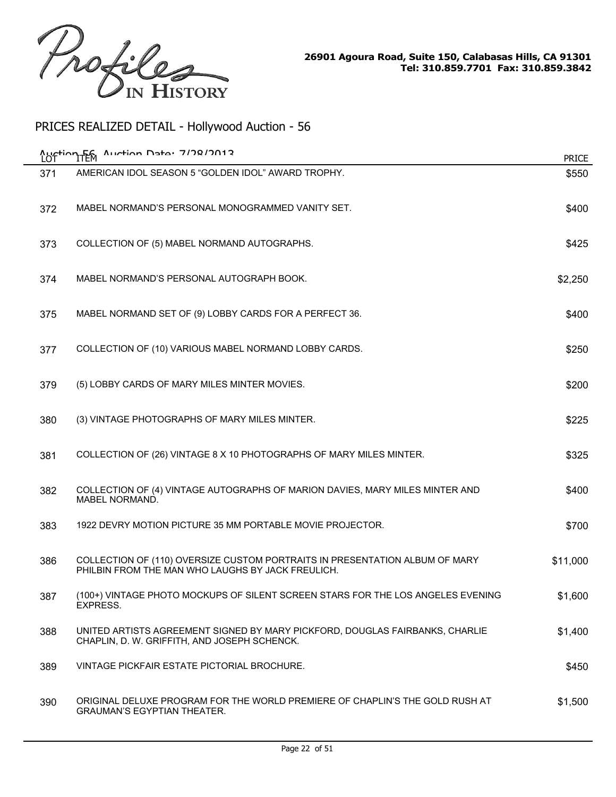

|     | Auction En Auction Data: 7/78/2012                                                                                               | <b>PRICE</b> |
|-----|----------------------------------------------------------------------------------------------------------------------------------|--------------|
| 371 | AMERICAN IDOL SEASON 5 "GOLDEN IDOL" AWARD TROPHY.                                                                               | \$550        |
| 372 | MABEL NORMAND'S PERSONAL MONOGRAMMED VANITY SET.                                                                                 | \$400        |
| 373 | COLLECTION OF (5) MABEL NORMAND AUTOGRAPHS.                                                                                      | \$425        |
| 374 | MABEL NORMAND'S PERSONAL AUTOGRAPH BOOK.                                                                                         | \$2,250      |
| 375 | MABEL NORMAND SET OF (9) LOBBY CARDS FOR A PERFECT 36.                                                                           | \$400        |
| 377 | COLLECTION OF (10) VARIOUS MABEL NORMAND LOBBY CARDS.                                                                            | \$250        |
| 379 | (5) LOBBY CARDS OF MARY MILES MINTER MOVIES.                                                                                     | \$200        |
| 380 | (3) VINTAGE PHOTOGRAPHS OF MARY MILES MINTER.                                                                                    | \$225        |
| 381 | COLLECTION OF (26) VINTAGE 8 X 10 PHOTOGRAPHS OF MARY MILES MINTER.                                                              | \$325        |
| 382 | COLLECTION OF (4) VINTAGE AUTOGRAPHS OF MARION DAVIES, MARY MILES MINTER AND<br>MABEL NORMAND.                                   | \$400        |
| 383 | 1922 DEVRY MOTION PICTURE 35 MM PORTABLE MOVIE PROJECTOR.                                                                        | \$700        |
| 386 | COLLECTION OF (110) OVERSIZE CUSTOM PORTRAITS IN PRESENTATION ALBUM OF MARY<br>PHILBIN FROM THE MAN WHO LAUGHS BY JACK FREULICH. | \$11,000     |
| 387 | (100+) VINTAGE PHOTO MOCKUPS OF SILENT SCREEN STARS FOR THE LOS ANGELES EVENING<br>EXPRESS.                                      | \$1,600      |
| 388 | UNITED ARTISTS AGREEMENT SIGNED BY MARY PICKFORD, DOUGLAS FAIRBANKS, CHARLIE<br>CHAPLIN, D. W. GRIFFITH, AND JOSEPH SCHENCK.     | \$1,400      |
| 389 | VINTAGE PICKFAIR ESTATE PICTORIAL BROCHURE.                                                                                      | \$450        |
| 390 | ORIGINAL DELUXE PROGRAM FOR THE WORLD PREMIERE OF CHAPLIN'S THE GOLD RUSH AT<br><b>GRAUMAN'S EGYPTIAN THEATER.</b>               | \$1,500      |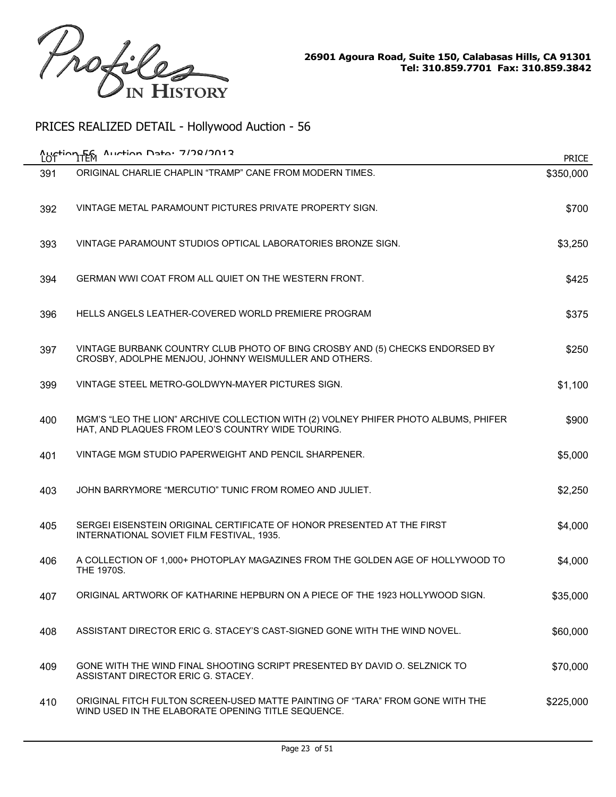

| LO <sup>-</sup> | Auction F6 Auction Data: 7/78/7012                                                                                                       | <b>PRICE</b> |
|-----------------|------------------------------------------------------------------------------------------------------------------------------------------|--------------|
| 391             | ORIGINAL CHARLIE CHAPLIN "TRAMP" CANE FROM MODERN TIMES.                                                                                 | \$350,000    |
| 392             | VINTAGE METAL PARAMOUNT PICTURES PRIVATE PROPERTY SIGN.                                                                                  | \$700        |
| 393             | VINTAGE PARAMOUNT STUDIOS OPTICAL LABORATORIES BRONZE SIGN.                                                                              | \$3,250      |
| 394             | GERMAN WWI COAT FROM ALL QUIET ON THE WESTERN FRONT.                                                                                     | \$425        |
| 396             | HELLS ANGELS LEATHER-COVERED WORLD PREMIERE PROGRAM                                                                                      | \$375        |
| 397             | VINTAGE BURBANK COUNTRY CLUB PHOTO OF BING CROSBY AND (5) CHECKS ENDORSED BY<br>CROSBY, ADOLPHE MENJOU, JOHNNY WEISMULLER AND OTHERS.    | \$250        |
| 399             | VINTAGE STEEL METRO-GOLDWYN-MAYER PICTURES SIGN.                                                                                         | \$1,100      |
| 400             | MGM'S "LEO THE LION" ARCHIVE COLLECTION WITH (2) VOLNEY PHIFER PHOTO ALBUMS, PHIFER<br>HAT, AND PLAQUES FROM LEO'S COUNTRY WIDE TOURING. | \$900        |
| 401             | VINTAGE MGM STUDIO PAPERWEIGHT AND PENCIL SHARPENER.                                                                                     | \$5,000      |
| 403             | JOHN BARRYMORE "MERCUTIO" TUNIC FROM ROMEO AND JULIET.                                                                                   | \$2,250      |
| 405             | SERGEI EISENSTEIN ORIGINAL CERTIFICATE OF HONOR PRESENTED AT THE FIRST<br>INTERNATIONAL SOVIET FILM FESTIVAL, 1935.                      | \$4,000      |
| 406             | A COLLECTION OF 1,000+ PHOTOPLAY MAGAZINES FROM THE GOLDEN AGE OF HOLLYWOOD TO<br>THE 1970S.                                             | \$4,000      |
| 407             | ORIGINAL ARTWORK OF KATHARINE HEPBURN ON A PIECE OF THE 1923 HOLLYWOOD SIGN.                                                             | \$35,000     |
| 408             | ASSISTANT DIRECTOR ERIC G. STACEY'S CAST-SIGNED GONE WITH THE WIND NOVEL.                                                                | \$60,000     |
| 409             | GONE WITH THE WIND FINAL SHOOTING SCRIPT PRESENTED BY DAVID O. SELZNICK TO<br>ASSISTANT DIRECTOR ERIC G. STACEY.                         | \$70,000     |
| 410             | ORIGINAL FITCH FULTON SCREEN-USED MATTE PAINTING OF "TARA" FROM GONE WITH THE<br>WIND USED IN THE ELABORATE OPENING TITLE SEQUENCE.      | \$225,000    |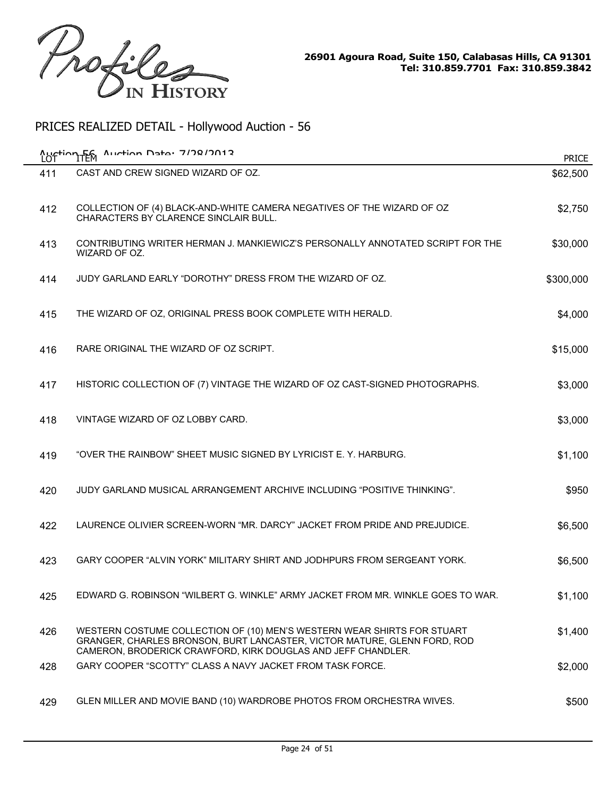

| <b>Auction FEM</b><br>LOT | Auction Data: 7/28/2012                                                                                                                                                                                             | <b>PRICE</b> |
|---------------------------|---------------------------------------------------------------------------------------------------------------------------------------------------------------------------------------------------------------------|--------------|
| 411                       | CAST AND CREW SIGNED WIZARD OF OZ.                                                                                                                                                                                  | \$62,500     |
| 412                       | COLLECTION OF (4) BLACK-AND-WHITE CAMERA NEGATIVES OF THE WIZARD OF OZ<br><b>CHARACTERS BY CLARENCE SINCLAIR BULL.</b>                                                                                              | \$2,750      |
| 413                       | CONTRIBUTING WRITER HERMAN J. MANKIEWICZ'S PERSONALLY ANNOTATED SCRIPT FOR THE<br>WIZARD OF OZ.                                                                                                                     | \$30,000     |
| 414                       | JUDY GARLAND EARLY "DOROTHY" DRESS FROM THE WIZARD OF OZ.                                                                                                                                                           | \$300,000    |
| 415                       | THE WIZARD OF OZ, ORIGINAL PRESS BOOK COMPLETE WITH HERALD.                                                                                                                                                         | \$4,000      |
| 416                       | RARE ORIGINAL THE WIZARD OF OZ SCRIPT.                                                                                                                                                                              | \$15,000     |
| 417                       | HISTORIC COLLECTION OF (7) VINTAGE THE WIZARD OF OZ CAST-SIGNED PHOTOGRAPHS.                                                                                                                                        | \$3,000      |
| 418                       | VINTAGE WIZARD OF OZ LOBBY CARD.                                                                                                                                                                                    | \$3,000      |
| 419                       | "OVER THE RAINBOW" SHEET MUSIC SIGNED BY LYRICIST E. Y. HARBURG.                                                                                                                                                    | \$1,100      |
| 420                       | JUDY GARLAND MUSICAL ARRANGEMENT ARCHIVE INCLUDING "POSITIVE THINKING".                                                                                                                                             | \$950        |
| 422                       | LAURENCE OLIVIER SCREEN-WORN "MR. DARCY" JACKET FROM PRIDE AND PREJUDICE.                                                                                                                                           | \$6,500      |
| 423                       | GARY COOPER "ALVIN YORK" MILITARY SHIRT AND JODHPURS FROM SERGEANT YORK.                                                                                                                                            | \$6,500      |
| 425                       | EDWARD G. ROBINSON "WILBERT G. WINKLE" ARMY JACKET FROM MR. WINKLE GOES TO WAR                                                                                                                                      | \$1,100      |
| 426                       | WESTERN COSTUME COLLECTION OF (10) MEN'S WESTERN WEAR SHIRTS FOR STUART<br>GRANGER, CHARLES BRONSON, BURT LANCASTER, VICTOR MATURE, GLENN FORD, ROD<br>CAMERON, BRODERICK CRAWFORD, KIRK DOUGLAS AND JEFF CHANDLER. | \$1,400      |
| 428                       | GARY COOPER "SCOTTY" CLASS A NAVY JACKET FROM TASK FORCE.                                                                                                                                                           | \$2,000      |
| 429                       | GLEN MILLER AND MOVIE BAND (10) WARDROBE PHOTOS FROM ORCHESTRA WIVES.                                                                                                                                               | \$500        |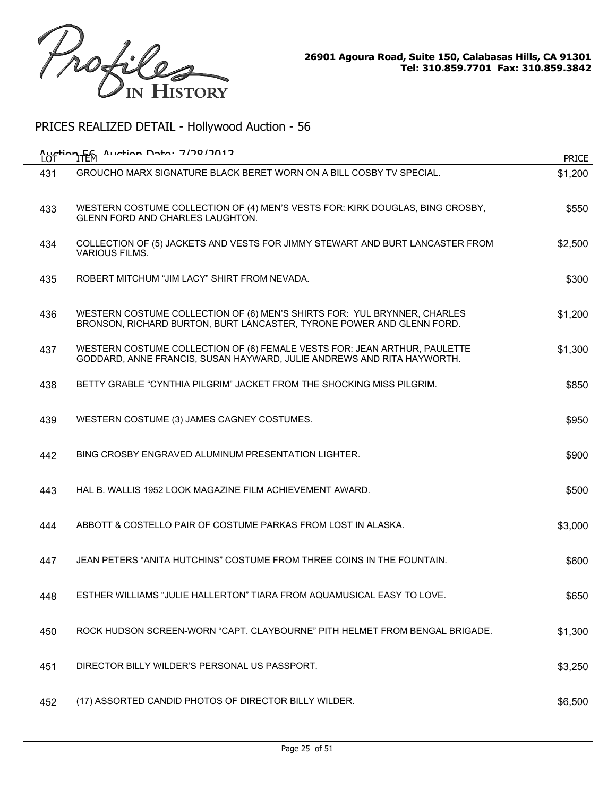

| LOT | Auction F6 Auction Data: 7/78/2012                                                                                                                  | <b>PRICE</b> |
|-----|-----------------------------------------------------------------------------------------------------------------------------------------------------|--------------|
| 431 | GROUCHO MARX SIGNATURE BLACK BERET WORN ON A BILL COSBY TV SPECIAL.                                                                                 | \$1,200      |
| 433 | WESTERN COSTUME COLLECTION OF (4) MEN'S VESTS FOR: KIRK DOUGLAS, BING CROSBY,<br>GLENN FORD AND CHARLES LAUGHTON.                                   | \$550        |
| 434 | COLLECTION OF (5) JACKETS AND VESTS FOR JIMMY STEWART AND BURT LANCASTER FROM<br><b>VARIOUS FILMS.</b>                                              | \$2,500      |
| 435 | ROBERT MITCHUM "JIM LACY" SHIRT FROM NEVADA.                                                                                                        | \$300        |
| 436 | WESTERN COSTUME COLLECTION OF (6) MEN'S SHIRTS FOR: YUL BRYNNER, CHARLES<br>BRONSON, RICHARD BURTON, BURT LANCASTER, TYRONE POWER AND GLENN FORD.   | \$1,200      |
| 437 | WESTERN COSTUME COLLECTION OF (6) FEMALE VESTS FOR: JEAN ARTHUR, PAULETTE<br>GODDARD, ANNE FRANCIS, SUSAN HAYWARD, JULIE ANDREWS AND RITA HAYWORTH. | \$1,300      |
| 438 | BETTY GRABLE "CYNTHIA PILGRIM" JACKET FROM THE SHOCKING MISS PILGRIM.                                                                               | \$850        |
| 439 | WESTERN COSTUME (3) JAMES CAGNEY COSTUMES.                                                                                                          | \$950        |
| 442 | BING CROSBY ENGRAVED ALUMINUM PRESENTATION LIGHTER.                                                                                                 | \$900        |
| 443 | HAL B. WALLIS 1952 LOOK MAGAZINE FILM ACHIEVEMENT AWARD.                                                                                            | \$500        |
| 444 | ABBOTT & COSTELLO PAIR OF COSTUME PARKAS FROM LOST IN ALASKA.                                                                                       | \$3,000      |
| 447 | JEAN PETERS "ANITA HUTCHINS" COSTUME FROM THREE COINS IN THE FOUNTAIN.                                                                              | \$600        |
| 448 | ESTHER WILLIAMS "JULIE HALLERTON" TIARA FROM AQUAMUSICAL EASY TO LOVE                                                                               | \$650        |
| 450 | ROCK HUDSON SCREEN-WORN "CAPT. CLAYBOURNE" PITH HELMET FROM BENGAL BRIGADE.                                                                         | \$1,300      |
| 451 | DIRECTOR BILLY WILDER'S PERSONAL US PASSPORT.                                                                                                       | \$3,250      |
| 452 | (17) ASSORTED CANDID PHOTOS OF DIRECTOR BILLY WILDER.                                                                                               | \$6,500      |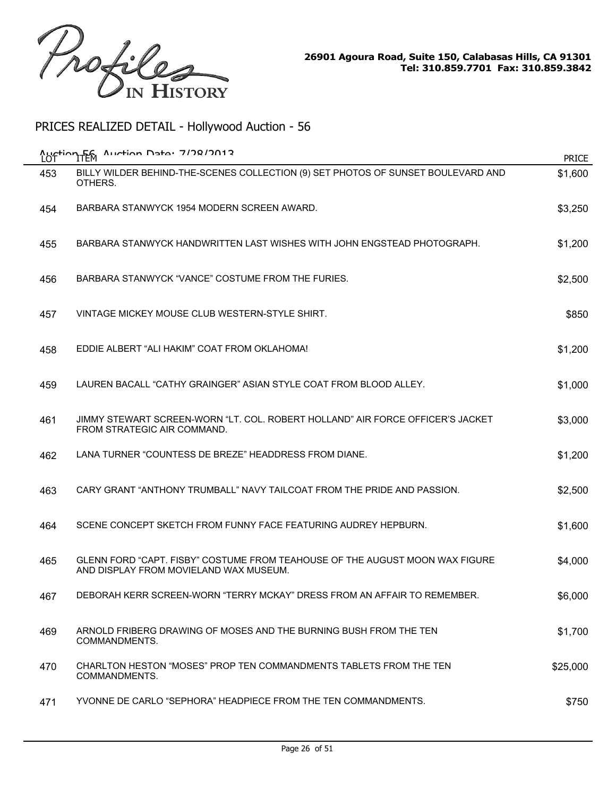

| Auction Fem<br>LOT | $A$ uction Data: 7/78/7012                                                                                             | <b>PRICE</b> |
|--------------------|------------------------------------------------------------------------------------------------------------------------|--------------|
| 453                | BILLY WILDER BEHIND-THE-SCENES COLLECTION (9) SET PHOTOS OF SUNSET BOULEVARD AND<br>OTHERS.                            | \$1,600      |
| 454                | BARBARA STANWYCK 1954 MODERN SCREEN AWARD.                                                                             | \$3,250      |
| 455                | BARBARA STANWYCK HANDWRITTEN LAST WISHES WITH JOHN ENGSTEAD PHOTOGRAPH.                                                | \$1,200      |
| 456                | BARBARA STANWYCK "VANCE" COSTUME FROM THE FURIES.                                                                      | \$2,500      |
| 457                | VINTAGE MICKEY MOUSE CLUB WESTERN-STYLE SHIRT.                                                                         | \$850        |
| 458                | EDDIE ALBERT "ALI HAKIM" COAT FROM OKLAHOMA!                                                                           | \$1,200      |
| 459                | LAUREN BACALL "CATHY GRAINGER" ASIAN STYLE COAT FROM BLOOD ALLEY.                                                      | \$1,000      |
| 461                | JIMMY STEWART SCREEN-WORN "LT. COL. ROBERT HOLLAND" AIR FORCE OFFICER'S JACKET<br>FROM STRATEGIC AIR COMMAND.          | \$3,000      |
| 462                | LANA TURNER "COUNTESS DE BREZE" HEADDRESS FROM DIANE.                                                                  | \$1,200      |
| 463                | CARY GRANT "ANTHONY TRUMBALL" NAVY TAILCOAT FROM THE PRIDE AND PASSION.                                                | \$2,500      |
| 464                | SCENE CONCEPT SKETCH FROM FUNNY FACE FEATURING AUDREY HEPBURN.                                                         | \$1,600      |
| 465                | GLENN FORD "CAPT. FISBY" COSTUME FROM TEAHOUSE OF THE AUGUST MOON WAX FIGURE<br>AND DISPLAY FROM MOVIELAND WAX MUSEUM. | \$4,000      |
| 467                | DEBORAH KERR SCREEN-WORN "TERRY MCKAY" DRESS FROM AN AFFAIR TO REMEMBER.                                               | \$6,000      |
| 469                | ARNOLD FRIBERG DRAWING OF MOSES AND THE BURNING BUSH FROM THE TEN<br>COMMANDMENTS.                                     | \$1,700      |
| 470                | CHARLTON HESTON "MOSES" PROP TEN COMMANDMENTS TABLETS FROM THE TEN<br>COMMANDMENTS.                                    | \$25,000     |
| 471                | YVONNE DE CARLO "SEPHORA" HEADPIECE FROM THE TEN COMMANDMENTS.                                                         | \$750        |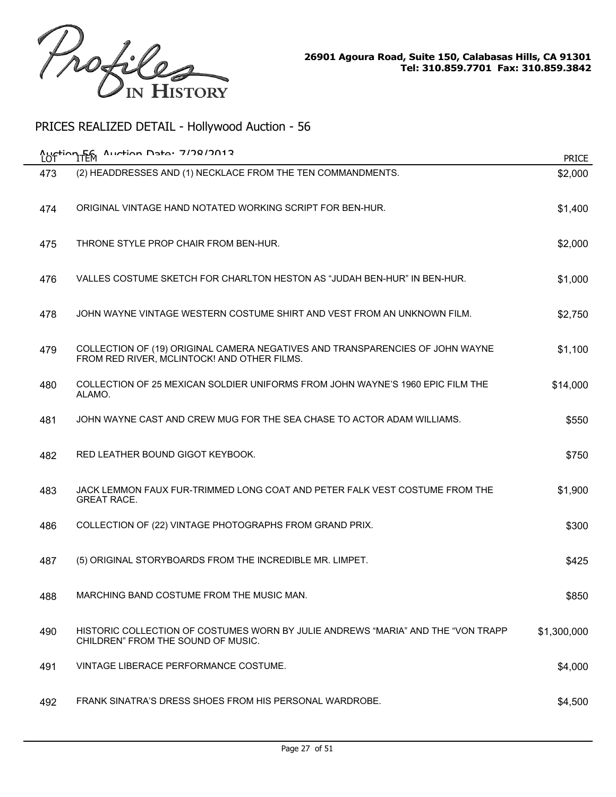

|     | Auction En Auction Data: 7/78/7012                                                                                           | <b>PRICE</b> |
|-----|------------------------------------------------------------------------------------------------------------------------------|--------------|
| 473 | (2) HEADDRESSES AND (1) NECKLACE FROM THE TEN COMMANDMENTS.                                                                  | \$2,000      |
| 474 | ORIGINAL VINTAGE HAND NOTATED WORKING SCRIPT FOR BEN-HUR.                                                                    | \$1,400      |
| 475 | THRONE STYLE PROP CHAIR FROM BEN-HUR.                                                                                        | \$2,000      |
| 476 | VALLES COSTUME SKETCH FOR CHARLTON HESTON AS "JUDAH BEN-HUR" IN BEN-HUR.                                                     | \$1,000      |
| 478 | JOHN WAYNE VINTAGE WESTERN COSTUME SHIRT AND VEST FROM AN UNKNOWN FILM.                                                      | \$2,750      |
| 479 | COLLECTION OF (19) ORIGINAL CAMERA NEGATIVES AND TRANSPARENCIES OF JOHN WAYNE<br>FROM RED RIVER, MCLINTOCK! AND OTHER FILMS. | \$1,100      |
| 480 | COLLECTION OF 25 MEXICAN SOLDIER UNIFORMS FROM JOHN WAYNE'S 1960 EPIC FILM THE<br>ALAMO.                                     | \$14,000     |
| 481 | JOHN WAYNE CAST AND CREW MUG FOR THE SEA CHASE TO ACTOR ADAM WILLIAMS.                                                       | \$550        |
| 482 | RED LEATHER BOUND GIGOT KEYBOOK.                                                                                             | \$750        |
| 483 | JACK LEMMON FAUX FUR-TRIMMED LONG COAT AND PETER FALK VEST COSTUME FROM THE<br><b>GREAT RACE.</b>                            | \$1,900      |
| 486 | COLLECTION OF (22) VINTAGE PHOTOGRAPHS FROM GRAND PRIX.                                                                      | \$300        |
| 487 | (5) ORIGINAL STORYBOARDS FROM THE INCREDIBLE MR. LIMPET.                                                                     | \$425        |
| 488 | MARCHING BAND COSTUME FROM THE MUSIC MAN.                                                                                    | \$850        |
| 490 | HISTORIC COLLECTION OF COSTUMES WORN BY JULIE ANDREWS "MARIA" AND THE "VON TRAPP<br>CHILDREN" FROM THE SOUND OF MUSIC.       | \$1,300,000  |
| 491 | VINTAGE LIBERACE PERFORMANCE COSTUME.                                                                                        | \$4,000      |
| 492 | FRANK SINATRA'S DRESS SHOES FROM HIS PERSONAL WARDROBE.                                                                      | \$4,500      |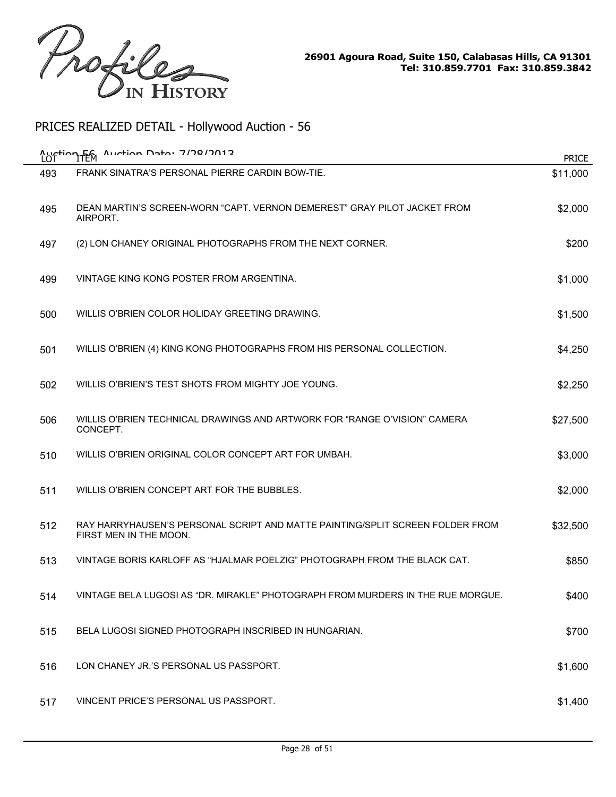

| LOT | $A$ uction Data: 7/78/7012<br>Auction Fem                                                               | <b>PRICE</b> |
|-----|---------------------------------------------------------------------------------------------------------|--------------|
| 493 | FRANK SINATRA'S PERSONAL PIERRE CARDIN BOW-TIE.                                                         | \$11,000     |
| 495 | DEAN MARTIN'S SCREEN-WORN "CAPT, VERNON DEMEREST" GRAY PILOT JACKET FROM<br>AIRPORT.                    | \$2,000      |
| 497 | (2) LON CHANEY ORIGINAL PHOTOGRAPHS FROM THE NEXT CORNER.                                               | \$200        |
| 499 | VINTAGE KING KONG POSTER FROM ARGENTINA.                                                                | \$1,000      |
| 500 | WILLIS O'BRIEN COLOR HOLIDAY GREETING DRAWING.                                                          | \$1,500      |
| 501 | WILLIS O'BRIEN (4) KING KONG PHOTOGRAPHS FROM HIS PERSONAL COLLECTION.                                  | \$4,250      |
| 502 | WILLIS O'BRIEN'S TEST SHOTS FROM MIGHTY JOE YOUNG.                                                      | \$2,250      |
| 506 | WILLIS O'BRIEN TECHNICAL DRAWINGS AND ARTWORK FOR "RANGE O'VISION" CAMERA<br>CONCEPT.                   | \$27,500     |
| 510 | WILLIS O'BRIEN ORIGINAL COLOR CONCEPT ART FOR UMBAH.                                                    | \$3,000      |
| 511 | WILLIS O'BRIEN CONCEPT ART FOR THE BUBBLES.                                                             | \$2,000      |
| 512 | RAY HARRYHAUSEN'S PERSONAL SCRIPT AND MATTE PAINTING/SPLIT SCREEN FOLDER FROM<br>FIRST MEN IN THE MOON. | \$32,500     |
| 513 | VINTAGE BORIS KARLOFF AS "HJALMAR POELZIG" PHOTOGRAPH FROM THE BLACK CAT.                               | \$850        |
| 514 | VINTAGE BELA LUGOSI AS "DR. MIRAKLE" PHOTOGRAPH FROM MURDERS IN THE RUE MORGUE.                         | \$400        |
| 515 | BELA LUGOSI SIGNED PHOTOGRAPH INSCRIBED IN HUNGARIAN.                                                   | \$700        |
| 516 | LON CHANEY JR.'S PERSONAL US PASSPORT.                                                                  | \$1,600      |
| 517 | VINCENT PRICE'S PERSONAL US PASSPORT.                                                                   | \$1,400      |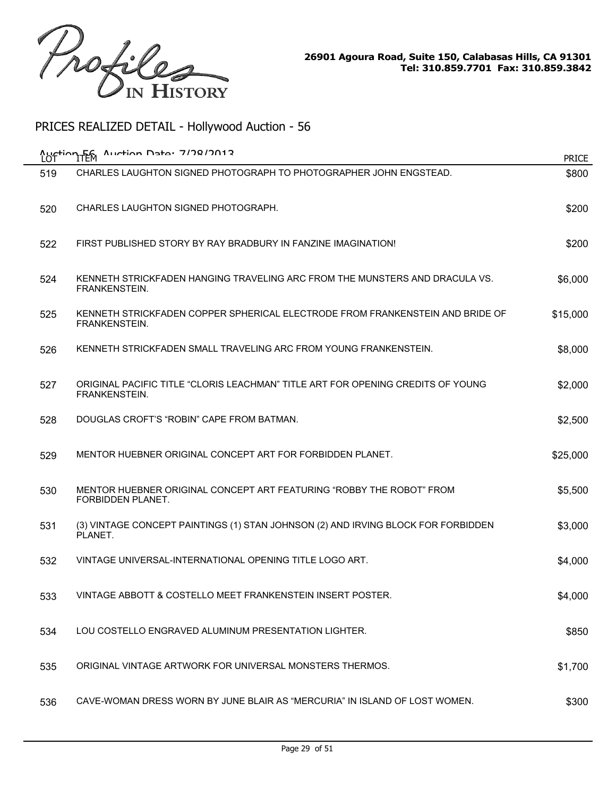

| Auction Fem<br>LOT | $A$ uction Data: 7/78/7012                                                                       | <b>PRICE</b> |
|--------------------|--------------------------------------------------------------------------------------------------|--------------|
| 519                | CHARLES LAUGHTON SIGNED PHOTOGRAPH TO PHOTOGRAPHER JOHN ENGSTEAD.                                | \$800        |
| 520                | CHARLES LAUGHTON SIGNED PHOTOGRAPH.                                                              | \$200        |
| 522                | FIRST PUBLISHED STORY BY RAY BRADBURY IN FANZINE IMAGINATION!                                    | \$200        |
| 524                | KENNETH STRICKFADEN HANGING TRAVELING ARC FROM THE MUNSTERS AND DRACULA VS.<br>FRANKENSTEIN.     | \$6,000      |
| 525                | KENNETH STRICKFADEN COPPER SPHERICAL ELECTRODE FROM FRANKENSTEIN AND BRIDE OF<br>FRANKENSTEIN.   | \$15,000     |
| 526                | KENNETH STRICKFADEN SMALL TRAVELING ARC FROM YOUNG FRANKENSTEIN.                                 | \$8,000      |
| 527                | ORIGINAL PACIFIC TITLE "CLORIS LEACHMAN" TITLE ART FOR OPENING CREDITS OF YOUNG<br>FRANKENSTEIN. | \$2,000      |
| 528                | DOUGLAS CROFT'S "ROBIN" CAPE FROM BATMAN.                                                        | \$2,500      |
| 529                | MENTOR HUEBNER ORIGINAL CONCEPT ART FOR FORBIDDEN PLANET.                                        | \$25,000     |
| 530                | MENTOR HUEBNER ORIGINAL CONCEPT ART FEATURING "ROBBY THE ROBOT" FROM<br>FORBIDDEN PLANET.        | \$5,500      |
| 531                | (3) VINTAGE CONCEPT PAINTINGS (1) STAN JOHNSON (2) AND IRVING BLOCK FOR FORBIDDEN<br>PLANET.     | \$3,000      |
| 532                | VINTAGE UNIVERSAL-INTERNATIONAL OPENING TITLE LOGO ART.                                          | \$4,000      |
| 533                | VINTAGE ABBOTT & COSTELLO MEET FRANKENSTEIN INSERT POSTER.                                       | \$4,000      |
| 534                | LOU COSTELLO ENGRAVED ALUMINUM PRESENTATION LIGHTER.                                             | \$850        |
| 535                | ORIGINAL VINTAGE ARTWORK FOR UNIVERSAL MONSTERS THERMOS.                                         | \$1,700      |
| 536                | CAVE-WOMAN DRESS WORN BY JUNE BLAIR AS "MERCURIA" IN ISLAND OF LOST WOMEN.                       | \$300        |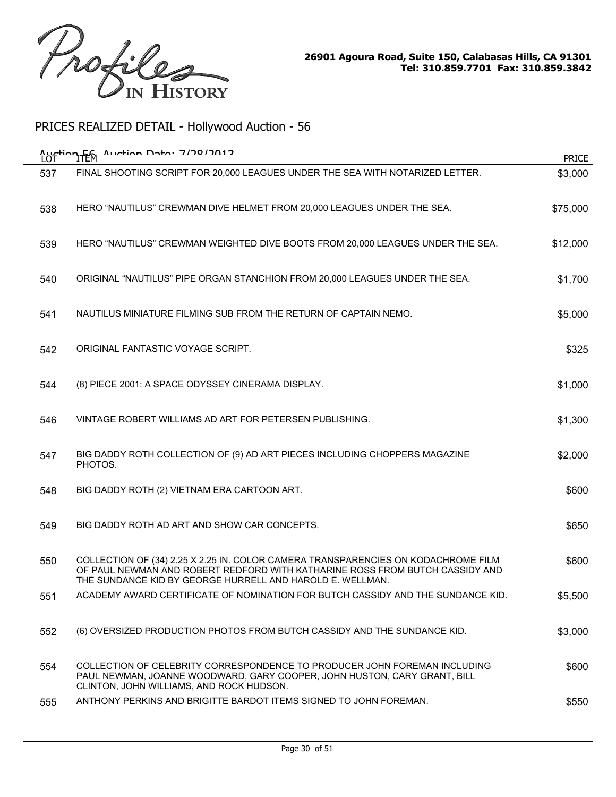

|     | Austing Femalulum Data: 7/78/2012                                                                                                                                                                                              | <b>PRICE</b> |
|-----|--------------------------------------------------------------------------------------------------------------------------------------------------------------------------------------------------------------------------------|--------------|
| 537 | FINAL SHOOTING SCRIPT FOR 20,000 LEAGUES UNDER THE SEA WITH NOTARIZED LETTER.                                                                                                                                                  | \$3,000      |
| 538 | HERO "NAUTILUS" CREWMAN DIVE HELMET FROM 20,000 LEAGUES UNDER THE SEA.                                                                                                                                                         | \$75,000     |
| 539 | HERO "NAUTILUS" CREWMAN WEIGHTED DIVE BOOTS FROM 20,000 LEAGUES UNDER THE SEA.                                                                                                                                                 | \$12,000     |
| 540 | ORIGINAL "NAUTILUS" PIPE ORGAN STANCHION FROM 20,000 LEAGUES UNDER THE SEA.                                                                                                                                                    | \$1,700      |
| 541 | NAUTILUS MINIATURE FILMING SUB FROM THE RETURN OF CAPTAIN NEMO.                                                                                                                                                                | \$5,000      |
| 542 | ORIGINAL FANTASTIC VOYAGE SCRIPT.                                                                                                                                                                                              | \$325        |
| 544 | (8) PIECE 2001: A SPACE ODYSSEY CINERAMA DISPLAY.                                                                                                                                                                              | \$1,000      |
| 546 | VINTAGE ROBERT WILLIAMS AD ART FOR PETERSEN PUBLISHING.                                                                                                                                                                        | \$1,300      |
| 547 | BIG DADDY ROTH COLLECTION OF (9) AD ART PIECES INCLUDING CHOPPERS MAGAZINE<br>PHOTOS.                                                                                                                                          | \$2,000      |
| 548 | BIG DADDY ROTH (2) VIETNAM ERA CARTOON ART.                                                                                                                                                                                    | \$600        |
| 549 | BIG DADDY ROTH AD ART AND SHOW CAR CONCEPTS.                                                                                                                                                                                   | \$650        |
| 550 | COLLECTION OF (34) 2.25 X 2.25 IN. COLOR CAMERA TRANSPARENCIES ON KODACHROME FILM<br>OF PAUL NEWMAN AND ROBERT REDFORD WITH KATHARINE ROSS FROM BUTCH CASSIDY AND<br>THE SUNDANCE KID BY GEORGE HURRELL AND HAROLD E. WELLMAN. | \$600        |
| 551 | ACADEMY AWARD CERTIFICATE OF NOMINATION FOR BUTCH CASSIDY AND THE SUNDANCE KID.                                                                                                                                                | \$5,500      |
| 552 | (6) OVERSIZED PRODUCTION PHOTOS FROM BUTCH CASSIDY AND THE SUNDANCE KID.                                                                                                                                                       | \$3,000      |
| 554 | COLLECTION OF CELEBRITY CORRESPONDENCE TO PRODUCER JOHN FOREMAN INCLUDING<br>PAUL NEWMAN, JOANNE WOODWARD, GARY COOPER, JOHN HUSTON, CARY GRANT, BILL<br>CLINTON, JOHN WILLIAMS, AND ROCK HUDSON.                              | \$600        |
| 555 | ANTHONY PERKINS AND BRIGITTE BARDOT ITEMS SIGNED TO JOHN FOREMAN.                                                                                                                                                              | \$550        |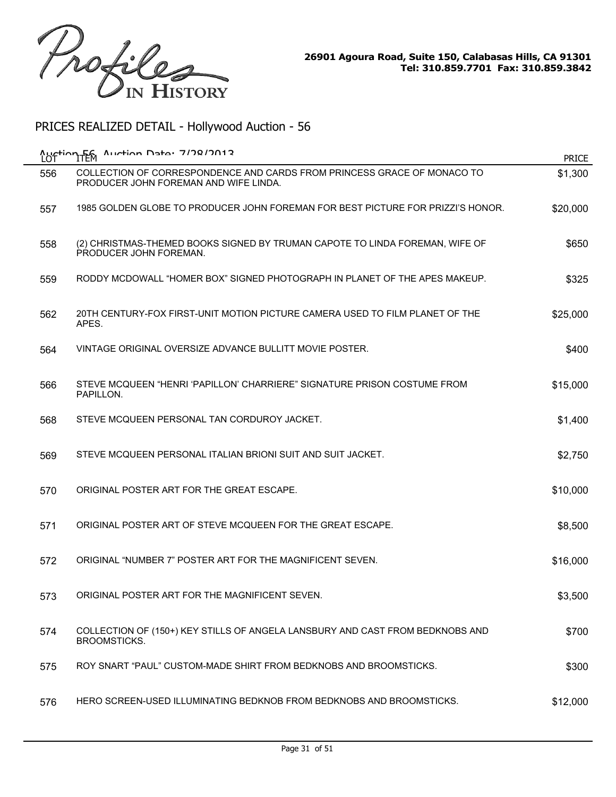

| <b>Auction Fem</b> | $A$ uction Data: 7/78/7012                                                                                       | <b>PRICE</b> |
|--------------------|------------------------------------------------------------------------------------------------------------------|--------------|
| 556                | COLLECTION OF CORRESPONDENCE AND CARDS FROM PRINCESS GRACE OF MONACO TO<br>PRODUCER JOHN FOREMAN AND WIFE LINDA. | \$1,300      |
| 557                | 1985 GOLDEN GLOBE TO PRODUCER JOHN FOREMAN FOR BEST PICTURE FOR PRIZZI'S HONOR.                                  | \$20,000     |
| 558                | (2) CHRISTMAS-THEMED BOOKS SIGNED BY TRUMAN CAPOTE TO LINDA FOREMAN, WIFE OF<br>PRODUCER JOHN FOREMAN.           | \$650        |
| 559                | RODDY MCDOWALL "HOMER BOX" SIGNED PHOTOGRAPH IN PLANET OF THE APES MAKEUP.                                       | \$325        |
| 562                | 20TH CENTURY-FOX FIRST-UNIT MOTION PICTURE CAMERA USED TO FILM PLANET OF THE<br>APES.                            | \$25,000     |
| 564                | VINTAGE ORIGINAL OVERSIZE ADVANCE BULLITT MOVIE POSTER.                                                          | \$400        |
| 566                | STEVE MCQUEEN "HENRI 'PAPILLON' CHARRIERE" SIGNATURE PRISON COSTUME FROM<br>PAPILLON.                            | \$15,000     |
| 568                | STEVE MCQUEEN PERSONAL TAN CORDUROY JACKET.                                                                      | \$1,400      |
| 569                | STEVE MCQUEEN PERSONAL ITALIAN BRIONI SUIT AND SUIT JACKET.                                                      | \$2,750      |
| 570                | ORIGINAL POSTER ART FOR THE GREAT ESCAPE.                                                                        | \$10,000     |
| 571                | ORIGINAL POSTER ART OF STEVE MCQUEEN FOR THE GREAT ESCAPE.                                                       | \$8,500      |
| 572                | ORIGINAL "NUMBER 7" POSTER ART FOR THE MAGNIFICENT SEVEN.                                                        | \$16,000     |
| 573                | ORIGINAL POSTER ART FOR THE MAGNIFICENT SEVEN.                                                                   | \$3,500      |
| 574                | COLLECTION OF (150+) KEY STILLS OF ANGELA LANSBURY AND CAST FROM BEDKNOBS AND<br>BROOMSTICKS.                    | \$700        |
| 575                | ROY SNART "PAUL" CUSTOM-MADE SHIRT FROM BEDKNOBS AND BROOMSTICKS.                                                | \$300        |
| 576                | HERO SCREEN-USED ILLUMINATING BEDKNOB FROM BEDKNOBS AND BROOMSTICKS.                                             | \$12,000     |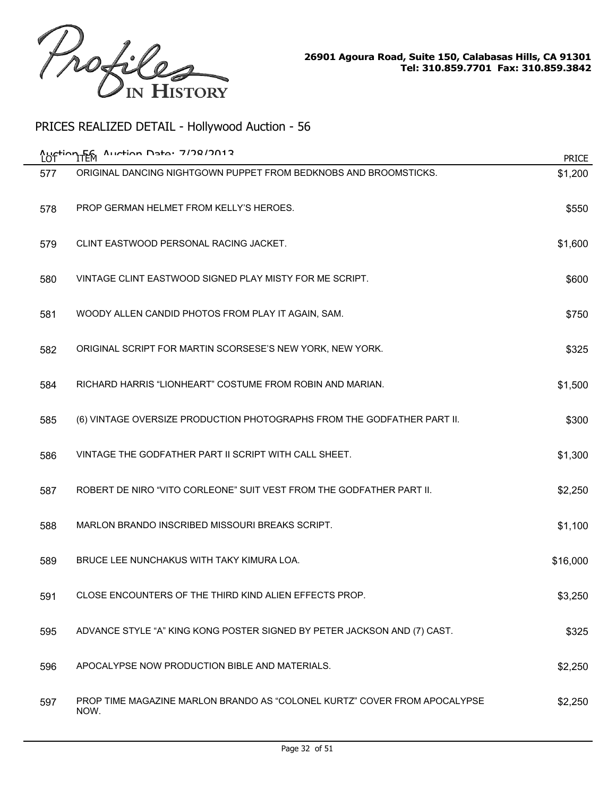

| <b>Austion Fem</b> | $A$ uction Data: 7/78/7013                                                        | <b>PRICE</b> |
|--------------------|-----------------------------------------------------------------------------------|--------------|
| 577                | ORIGINAL DANCING NIGHTGOWN PUPPET FROM BEDKNOBS AND BROOMSTICKS.                  | \$1,200      |
| 578                | PROP GERMAN HELMET FROM KELLY'S HEROES.                                           | \$550        |
| 579                | CLINT EASTWOOD PERSONAL RACING JACKET.                                            | \$1,600      |
| 580                | VINTAGE CLINT EASTWOOD SIGNED PLAY MISTY FOR ME SCRIPT.                           | \$600        |
| 581                | WOODY ALLEN CANDID PHOTOS FROM PLAY IT AGAIN, SAM.                                | \$750        |
| 582                | ORIGINAL SCRIPT FOR MARTIN SCORSESE'S NEW YORK, NEW YORK.                         | \$325        |
| 584                | RICHARD HARRIS "LIONHEART" COSTUME FROM ROBIN AND MARIAN.                         | \$1,500      |
| 585                | (6) VINTAGE OVERSIZE PRODUCTION PHOTOGRAPHS FROM THE GODFATHER PART II.           | \$300        |
| 586                | VINTAGE THE GODFATHER PART II SCRIPT WITH CALL SHEET.                             | \$1,300      |
| 587                | ROBERT DE NIRO "VITO CORLEONE" SUIT VEST FROM THE GODFATHER PART II.              | \$2,250      |
| 588                | MARLON BRANDO INSCRIBED MISSOURI BREAKS SCRIPT.                                   | \$1,100      |
| 589                | BRUCE LEE NUNCHAKUS WITH TAKY KIMURA LOA.                                         | \$16,000     |
| 591                | CLOSE ENCOUNTERS OF THE THIRD KIND ALIEN EFFECTS PROP.                            | \$3,250      |
| 595                | ADVANCE STYLE "A" KING KONG POSTER SIGNED BY PETER JACKSON AND (7) CAST.          | \$325        |
| 596                | APOCALYPSE NOW PRODUCTION BIBLE AND MATERIALS.                                    | \$2,250      |
| 597                | PROP TIME MAGAZINE MARLON BRANDO AS "COLONEL KURTZ" COVER FROM APOCALYPSE<br>NOW. | \$2,250      |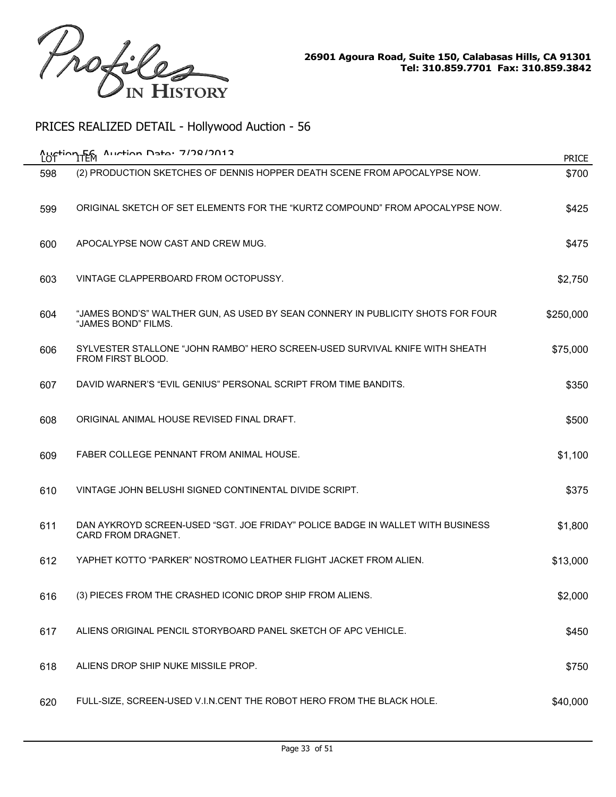

| Auction Fem<br>LOT | $A$ uction Data: 7/78/7012                                                                             | <b>PRICE</b> |
|--------------------|--------------------------------------------------------------------------------------------------------|--------------|
| 598                | (2) PRODUCTION SKETCHES OF DENNIS HOPPER DEATH SCENE FROM APOCALYPSE NOW.                              | \$700        |
| 599                | ORIGINAL SKETCH OF SET ELEMENTS FOR THE "KURTZ COMPOUND" FROM APOCALYPSE NOW.                          | \$425        |
| 600                | APOCALYPSE NOW CAST AND CREW MUG.                                                                      | \$475        |
| 603                | VINTAGE CLAPPERBOARD FROM OCTOPUSSY.                                                                   | \$2,750      |
| 604                | "JAMES BOND'S" WALTHER GUN, AS USED BY SEAN CONNERY IN PUBLICITY SHOTS FOR FOUR<br>"JAMES BOND" FILMS. | \$250,000    |
| 606                | SYLVESTER STALLONE "JOHN RAMBO" HERO SCREEN-USED SURVIVAL KNIFE WITH SHEATH<br>FROM FIRST BLOOD.       | \$75,000     |
| 607                | DAVID WARNER'S "EVIL GENIUS" PERSONAL SCRIPT FROM TIME BANDITS.                                        | \$350        |
| 608                | ORIGINAL ANIMAL HOUSE REVISED FINAL DRAFT.                                                             | \$500        |
| 609                | FABER COLLEGE PENNANT FROM ANIMAL HOUSE.                                                               | \$1,100      |
| 610                | VINTAGE JOHN BELUSHI SIGNED CONTINENTAL DIVIDE SCRIPT.                                                 | \$375        |
| 611                | DAN AYKROYD SCREEN-USED "SGT. JOE FRIDAY" POLICE BADGE IN WALLET WITH BUSINESS<br>CARD FROM DRAGNET.   | \$1,800      |
| 612                | YAPHET KOTTO "PARKER" NOSTROMO LEATHER FLIGHT JACKET FROM ALIEN.                                       | \$13,000     |
| 616                | (3) PIECES FROM THE CRASHED ICONIC DROP SHIP FROM ALIENS.                                              | \$2,000      |
| 617                | ALIENS ORIGINAL PENCIL STORYBOARD PANEL SKETCH OF APC VEHICLE.                                         | \$450        |
| 618                | ALIENS DROP SHIP NUKE MISSILE PROP.                                                                    | \$750        |
| 620                | FULL-SIZE, SCREEN-USED V.I.N.CENT THE ROBOT HERO FROM THE BLACK HOLE.                                  | \$40,000     |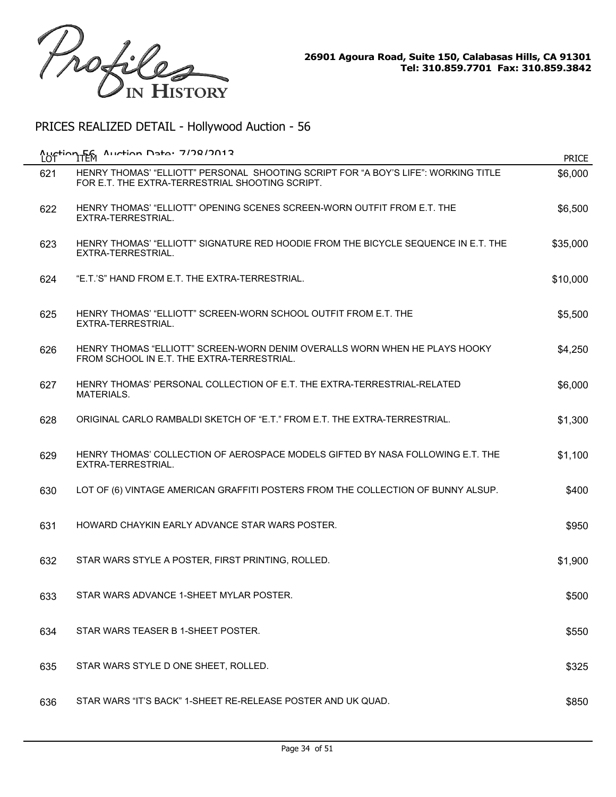

| Auction Fem<br>LOT | Auction Data: 7/78/7012                                                                                                               | <b>PRICE</b> |
|--------------------|---------------------------------------------------------------------------------------------------------------------------------------|--------------|
| 621                | HENRY THOMAS' "ELLIOTT" PERSONAL SHOOTING SCRIPT FOR "A BOY'S LIFE": WORKING TITLE<br>FOR E.T. THE EXTRA-TERRESTRIAL SHOOTING SCRIPT. | \$6,000      |
| 622                | HENRY THOMAS' "ELLIOTT" OPENING SCENES SCREEN-WORN OUTFIT FROM E.T. THE<br>EXTRA-TERRESTRIAL.                                         | \$6,500      |
| 623                | HENRY THOMAS' "ELLIOTT" SIGNATURE RED HOODIE FROM THE BICYCLE SEQUENCE IN E.T. THE<br>EXTRA-TERRESTRIAL.                              | \$35,000     |
| 624                | "E.T.'S" HAND FROM E.T. THE EXTRA-TERRESTRIAL.                                                                                        | \$10,000     |
| 625                | HENRY THOMAS' "ELLIOTT" SCREEN-WORN SCHOOL OUTFIT FROM E.T. THE<br>EXTRA-TERRESTRIAL.                                                 | \$5,500      |
| 626                | HENRY THOMAS "ELLIOTT" SCREEN-WORN DENIM OVERALLS WORN WHEN HE PLAYS HOOKY<br>FROM SCHOOL IN E.T. THE EXTRA-TERRESTRIAL.              | \$4,250      |
| 627                | HENRY THOMAS' PERSONAL COLLECTION OF E.T. THE EXTRA-TERRESTRIAL-RELATED<br><b>MATERIALS.</b>                                          | \$6,000      |
| 628                | ORIGINAL CARLO RAMBALDI SKETCH OF "E.T." FROM E.T. THE EXTRA-TERRESTRIAL.                                                             | \$1,300      |
| 629                | HENRY THOMAS' COLLECTION OF AEROSPACE MODELS GIFTED BY NASA FOLLOWING E.T. THE<br>EXTRA-TERRESTRIAL.                                  | \$1,100      |
| 630                | LOT OF (6) VINTAGE AMERICAN GRAFFITI POSTERS FROM THE COLLECTION OF BUNNY ALSUP.                                                      | \$400        |
| 631                | HOWARD CHAYKIN EARLY ADVANCE STAR WARS POSTER.                                                                                        | \$950        |
| 632                | STAR WARS STYLE A POSTER, FIRST PRINTING, ROLLED.                                                                                     | \$1,900      |
| 633                | STAR WARS ADVANCE 1-SHEET MYLAR POSTER.                                                                                               | \$500        |
| 634                | STAR WARS TEASER B 1-SHEET POSTER.                                                                                                    | \$550        |
| 635                | STAR WARS STYLE D ONE SHEET, ROLLED.                                                                                                  | \$325        |
| 636                | STAR WARS "IT'S BACK" 1-SHEET RE-RELEASE POSTER AND UK QUAD.                                                                          | \$850        |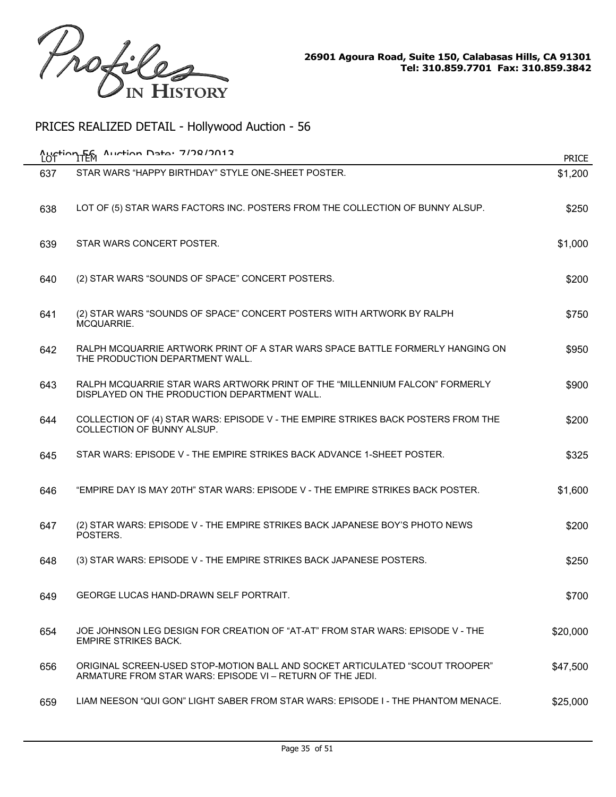

| LO <sup>-</sup> | Auction EG Auction Data: 7/78/2012                                                                                                        | <b>PRICE</b> |
|-----------------|-------------------------------------------------------------------------------------------------------------------------------------------|--------------|
| 637             | STAR WARS "HAPPY BIRTHDAY" STYLE ONE-SHEET POSTER.                                                                                        | \$1,200      |
| 638             | LOT OF (5) STAR WARS FACTORS INC. POSTERS FROM THE COLLECTION OF BUNNY ALSUP.                                                             | \$250        |
| 639             | STAR WARS CONCERT POSTER.                                                                                                                 | \$1,000      |
| 640             | (2) STAR WARS "SOUNDS OF SPACE" CONCERT POSTERS.                                                                                          | \$200        |
| 641             | (2) STAR WARS "SOUNDS OF SPACE" CONCERT POSTERS WITH ARTWORK BY RALPH<br>MCQUARRIE.                                                       | \$750        |
| 642             | RALPH MCQUARRIE ARTWORK PRINT OF A STAR WARS SPACE BATTLE FORMERLY HANGING ON<br>THE PRODUCTION DEPARTMENT WALL.                          | \$950        |
| 643             | RALPH MCQUARRIE STAR WARS ARTWORK PRINT OF THE "MILLENNIUM FALCON" FORMERLY<br>DISPLAYED ON THE PRODUCTION DEPARTMENT WALL.               | \$900        |
| 644             | COLLECTION OF (4) STAR WARS: EPISODE V - THE EMPIRE STRIKES BACK POSTERS FROM THE<br>COLLECTION OF BUNNY ALSUP.                           | \$200        |
| 645             | STAR WARS: EPISODE V - THE EMPIRE STRIKES BACK ADVANCE 1-SHEET POSTER.                                                                    | \$325        |
| 646             | "EMPIRE DAY IS MAY 20TH" STAR WARS: EPISODE V - THE EMPIRE STRIKES BACK POSTER.                                                           | \$1,600      |
| 647             | (2) STAR WARS: EPISODE V - THE EMPIRE STRIKES BACK JAPANESE BOY'S PHOTO NEWS<br>POSTERS.                                                  | \$200        |
| 648             | (3) STAR WARS: EPISODE V - THE EMPIRE STRIKES BACK JAPANESE POSTERS.                                                                      | \$250        |
| 649             | GEORGE LUCAS HAND-DRAWN SELF PORTRAIT.                                                                                                    | \$700        |
| 654             | JOE JOHNSON LEG DESIGN FOR CREATION OF "AT-AT" FROM STAR WARS: EPISODE V - THE<br><b>EMPIRE STRIKES BACK.</b>                             | \$20,000     |
| 656             | ORIGINAL SCREEN-USED STOP-MOTION BALL AND SOCKET ARTICULATED "SCOUT TROOPER"<br>ARMATURE FROM STAR WARS: EPISODE VI - RETURN OF THE JEDI. | \$47,500     |
| 659             | LIAM NEESON "QUI GON" LIGHT SABER FROM STAR WARS: EPISODE I - THE PHANTOM MENACE.                                                         | \$25,000     |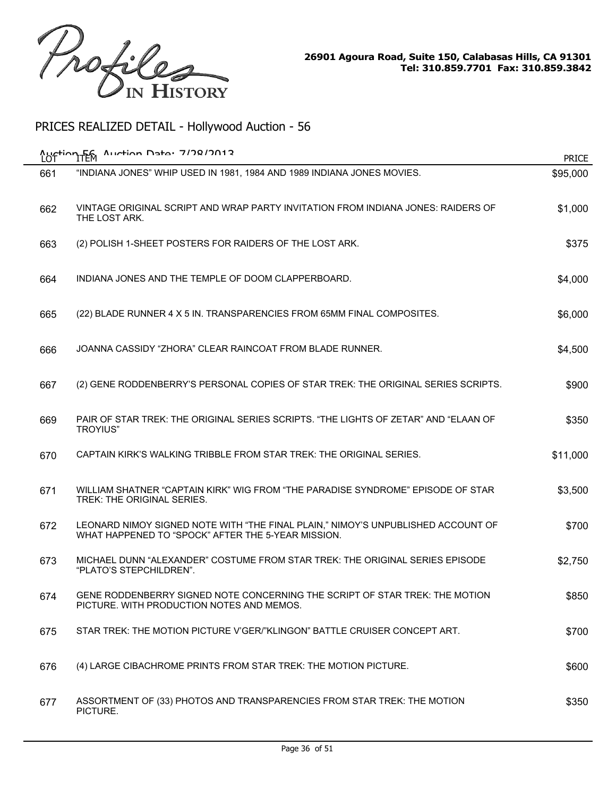

| LOT | Austion F6 Austion Date: 7/78/2012                                                                                                     | <b>PRICE</b> |
|-----|----------------------------------------------------------------------------------------------------------------------------------------|--------------|
| 661 | "INDIANA JONES" WHIP USED IN 1981, 1984 AND 1989 INDIANA JONES MOVIES.                                                                 | \$95,000     |
| 662 | VINTAGE ORIGINAL SCRIPT AND WRAP PARTY INVITATION FROM INDIANA JONES: RAIDERS OF<br>THE LOST ARK.                                      | \$1,000      |
| 663 | (2) POLISH 1-SHEET POSTERS FOR RAIDERS OF THE LOST ARK.                                                                                | \$375        |
| 664 | INDIANA JONES AND THE TEMPLE OF DOOM CLAPPERBOARD.                                                                                     | \$4,000      |
| 665 | (22) BLADE RUNNER 4 X 5 IN. TRANSPARENCIES FROM 65MM FINAL COMPOSITES.                                                                 | \$6,000      |
| 666 | JOANNA CASSIDY "ZHORA" CLEAR RAINCOAT FROM BLADE RUNNER.                                                                               | \$4,500      |
| 667 | (2) GENE RODDENBERRY'S PERSONAL COPIES OF STAR TREK: THE ORIGINAL SERIES SCRIPTS.                                                      | \$900        |
| 669 | PAIR OF STAR TREK: THE ORIGINAL SERIES SCRIPTS. "THE LIGHTS OF ZETAR" AND "ELAAN OF<br><b>TROYIUS"</b>                                 | \$350        |
| 670 | CAPTAIN KIRK'S WALKING TRIBBLE FROM STAR TREK: THE ORIGINAL SERIES.                                                                    | \$11,000     |
| 671 | WILLIAM SHATNER "CAPTAIN KIRK" WIG FROM "THE PARADISE SYNDROME" EPISODE OF STAR<br>TREK: THE ORIGINAL SERIES.                          | \$3,500      |
| 672 | LEONARD NIMOY SIGNED NOTE WITH "THE FINAL PLAIN," NIMOY'S UNPUBLISHED ACCOUNT OF<br>WHAT HAPPENED TO "SPOCK" AFTER THE 5-YEAR MISSION. | \$700        |
| 673 | MICHAEL DUNN "ALEXANDER" COSTUME FROM STAR TREK: THE ORIGINAL SERIES EPISODE<br>"PLATO'S STEPCHILDREN".                                | \$2,750      |
| 674 | GENE RODDENBERRY SIGNED NOTE CONCERNING THE SCRIPT OF STAR TREK: THE MOTION<br>PICTURE. WITH PRODUCTION NOTES AND MEMOS.               | \$850        |
| 675 | STAR TREK: THE MOTION PICTURE V'GER/"KLINGON" BATTLE CRUISER CONCEPT ART.                                                              | \$700        |
| 676 | (4) LARGE CIBACHROME PRINTS FROM STAR TREK: THE MOTION PICTURE.                                                                        | \$600        |
| 677 | ASSORTMENT OF (33) PHOTOS AND TRANSPARENCIES FROM STAR TREK: THE MOTION<br>PICTURE.                                                    | \$350        |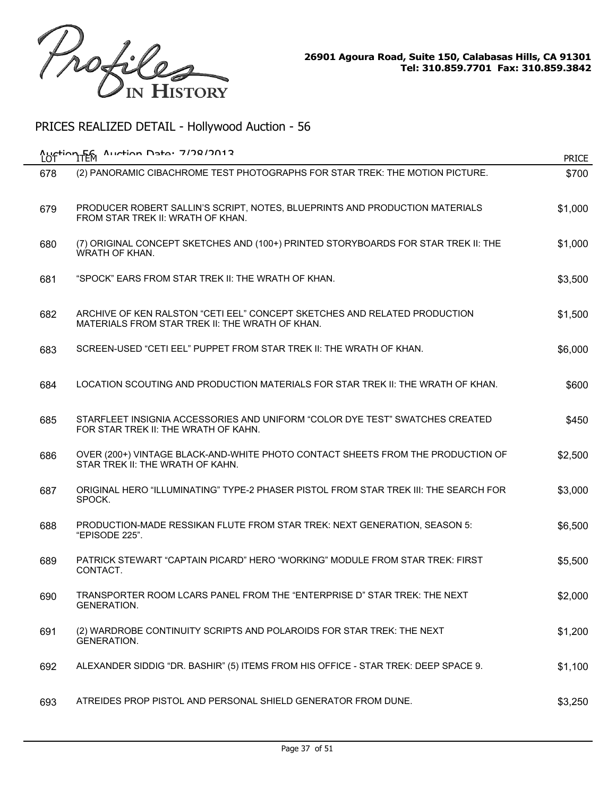

| <b>Austion Fen</b><br>LOT | $A$ uction Data: 7/78/7012                                                                                                   | <b>PRICE</b> |
|---------------------------|------------------------------------------------------------------------------------------------------------------------------|--------------|
| 678                       | (2) PANORAMIC CIBACHROME TEST PHOTOGRAPHS FOR STAR TREK: THE MOTION PICTURE.                                                 | \$700        |
| 679                       | PRODUCER ROBERT SALLIN'S SCRIPT, NOTES, BLUEPRINTS AND PRODUCTION MATERIALS<br>FROM STAR TREK II: WRATH OF KHAN.             | \$1,000      |
| 680                       | (7) ORIGINAL CONCEPT SKETCHES AND (100+) PRINTED STORYBOARDS FOR STAR TREK II: THE<br>WRATH OF KHAN.                         | \$1,000      |
| 681                       | "SPOCK" EARS FROM STAR TREK II: THE WRATH OF KHAN.                                                                           | \$3,500      |
| 682                       | ARCHIVE OF KEN RALSTON "CETI EEL" CONCEPT SKETCHES AND RELATED PRODUCTION<br>MATERIALS FROM STAR TREK II: THE WRATH OF KHAN. | \$1,500      |
| 683                       | SCREEN-USED "CETI EEL" PUPPET FROM STAR TREK II: THE WRATH OF KHAN.                                                          | \$6,000      |
| 684                       | LOCATION SCOUTING AND PRODUCTION MATERIALS FOR STAR TREK II: THE WRATH OF KHAN.                                              | \$600        |
| 685                       | STARFLEET INSIGNIA ACCESSORIES AND UNIFORM "COLOR DYE TEST" SWATCHES CREATED<br>FOR STAR TREK II: THE WRATH OF KAHN.         | \$450        |
| 686                       | OVER (200+) VINTAGE BLACK-AND-WHITE PHOTO CONTACT SHEETS FROM THE PRODUCTION OF<br>STAR TREK II: THE WRATH OF KAHN.          | \$2,500      |
| 687                       | ORIGINAL HERO "ILLUMINATING" TYPE-2 PHASER PISTOL FROM STAR TREK III: THE SEARCH FOR<br>SPOCK.                               | \$3,000      |
| 688                       | PRODUCTION-MADE RESSIKAN FLUTE FROM STAR TREK: NEXT GENERATION, SEASON 5:<br>"EPISODE 225".                                  | \$6,500      |
| 689                       | PATRICK STEWART "CAPTAIN PICARD" HERO "WORKING" MODULE FROM STAR TREK: FIRST<br>CONTACT.                                     | \$5,500      |
| 690                       | TRANSPORTER ROOM LCARS PANEL FROM THE "ENTERPRISE D" STAR TREK: THE NEXT<br><b>GENERATION.</b>                               | \$2,000      |
| 691                       | (2) WARDROBE CONTINUITY SCRIPTS AND POLAROIDS FOR STAR TREK: THE NEXT<br><b>GENERATION.</b>                                  | \$1,200      |
| 692                       | ALEXANDER SIDDIG "DR. BASHIR" (5) ITEMS FROM HIS OFFICE - STAR TREK: DEEP SPACE 9.                                           | \$1,100      |
| 693                       | ATREIDES PROP PISTOL AND PERSONAL SHIELD GENERATOR FROM DUNE.                                                                | \$3,250      |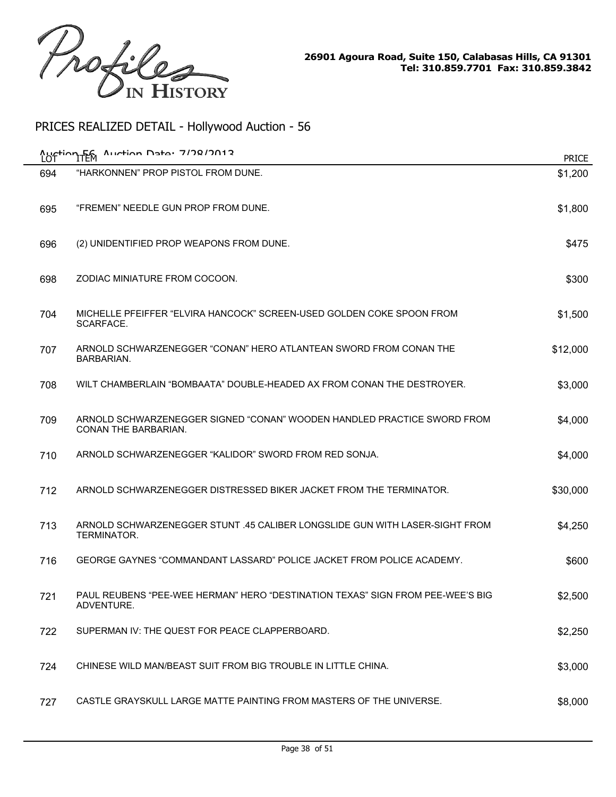

| <b>Austion Fem</b> | $A$ uction Data: 7/78/7012                                                                      | <b>PRICE</b> |
|--------------------|-------------------------------------------------------------------------------------------------|--------------|
| 694                | "HARKONNEN" PROP PISTOL FROM DUNE.                                                              | \$1,200      |
| 695                | "FREMEN" NEEDLE GUN PROP FROM DUNE.                                                             | \$1,800      |
| 696                | (2) UNIDENTIFIED PROP WEAPONS FROM DUNE.                                                        | \$475        |
| 698                | ZODIAC MINIATURE FROM COCOON.                                                                   | \$300        |
| 704                | MICHELLE PFEIFFER "ELVIRA HANCOCK" SCREEN-USED GOLDEN COKE SPOON FROM<br>SCARFACE.              | \$1,500      |
| 707                | ARNOLD SCHWARZENEGGER "CONAN" HERO ATLANTEAN SWORD FROM CONAN THE<br>BARBARIAN.                 | \$12,000     |
| 708                | WILT CHAMBERLAIN "BOMBAATA" DOUBLE-HEADED AX FROM CONAN THE DESTROYER.                          | \$3,000      |
| 709                | ARNOLD SCHWARZENEGGER SIGNED "CONAN" WOODEN HANDLED PRACTICE SWORD FROM<br>CONAN THE BARBARIAN. | \$4,000      |
| 710                | ARNOLD SCHWARZENEGGER "KALIDOR" SWORD FROM RED SONJA.                                           | \$4,000      |
| 712                | ARNOLD SCHWARZENEGGER DISTRESSED BIKER JACKET FROM THE TERMINATOR.                              | \$30,000     |
| 713                | ARNOLD SCHWARZENEGGER STUNT .45 CALIBER LONGSLIDE GUN WITH LASER-SIGHT FROM<br>TERMINATOR.      | \$4,250      |
| 716                | GEORGE GAYNES "COMMANDANT LASSARD" POLICE JACKET FROM POLICE ACADEMY.                           | \$600        |
| 721                | PAUL REUBENS "PEE-WEE HERMAN" HERO "DESTINATION TEXAS" SIGN FROM PEE-WEE'S BIG<br>ADVENTURE.    | \$2,500      |
| 722                | SUPERMAN IV: THE QUEST FOR PEACE CLAPPERBOARD.                                                  | \$2,250      |
| 724                | CHINESE WILD MAN/BEAST SUIT FROM BIG TROUBLE IN LITTLE CHINA.                                   | \$3,000      |
| 727                | CASTLE GRAYSKULL LARGE MATTE PAINTING FROM MASTERS OF THE UNIVERSE.                             | \$8,000      |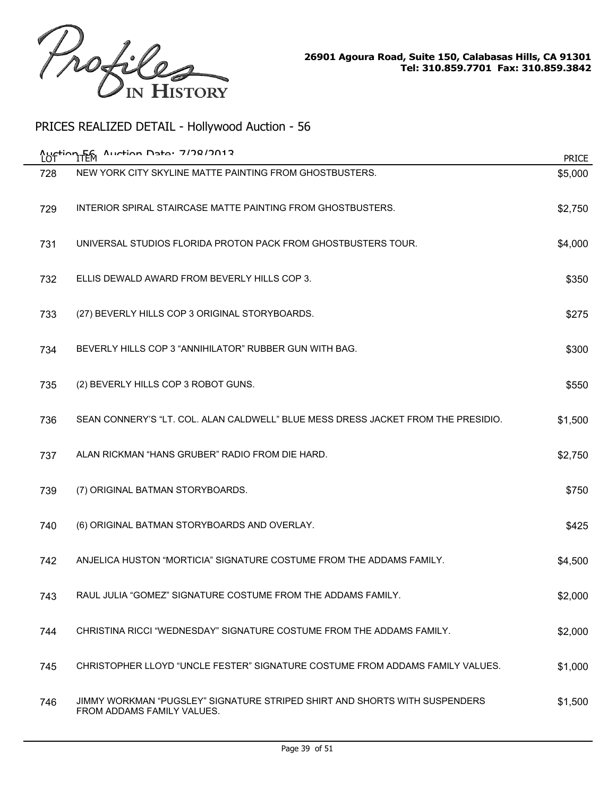

|     | Aurtion Data: 7/78/7012<br><b>Auction Fem</b>                                                            | <b>PRICE</b> |
|-----|----------------------------------------------------------------------------------------------------------|--------------|
| 728 | NEW YORK CITY SKYLINE MATTE PAINTING FROM GHOSTBUSTERS.                                                  | \$5,000      |
| 729 | INTERIOR SPIRAL STAIRCASE MATTE PAINTING FROM GHOSTBUSTERS.                                              | \$2,750      |
| 731 | UNIVERSAL STUDIOS FLORIDA PROTON PACK FROM GHOSTBUSTERS TOUR.                                            | \$4,000      |
| 732 | ELLIS DEWALD AWARD FROM BEVERLY HILLS COP 3.                                                             | \$350        |
| 733 | (27) BEVERLY HILLS COP 3 ORIGINAL STORYBOARDS.                                                           | \$275        |
| 734 | BEVERLY HILLS COP 3 "ANNIHILATOR" RUBBER GUN WITH BAG.                                                   | \$300        |
| 735 | (2) BEVERLY HILLS COP 3 ROBOT GUNS.                                                                      | \$550        |
| 736 | SEAN CONNERY'S "LT. COL. ALAN CALDWELL" BLUE MESS DRESS JACKET FROM THE PRESIDIO.                        | \$1,500      |
| 737 | ALAN RICKMAN "HANS GRUBER" RADIO FROM DIE HARD.                                                          | \$2,750      |
| 739 | (7) ORIGINAL BATMAN STORYBOARDS.                                                                         | \$750        |
| 740 | (6) ORIGINAL BATMAN STORYBOARDS AND OVERLAY.                                                             | \$425        |
| 742 | ANJELICA HUSTON "MORTICIA" SIGNATURE COSTUME FROM THE ADDAMS FAMILY.                                     | \$4,500      |
| 743 | RAUL JULIA "GOMEZ" SIGNATURE COSTUME FROM THE ADDAMS FAMILY.                                             | \$2,000      |
| 744 | CHRISTINA RICCI "WEDNESDAY" SIGNATURE COSTUME FROM THE ADDAMS FAMILY.                                    | \$2,000      |
| 745 | CHRISTOPHER LLOYD "UNCLE FESTER" SIGNATURE COSTUME FROM ADDAMS FAMILY VALUES.                            | \$1,000      |
| 746 | JIMMY WORKMAN "PUGSLEY" SIGNATURE STRIPED SHIRT AND SHORTS WITH SUSPENDERS<br>FROM ADDAMS FAMILY VALUES. | \$1,500      |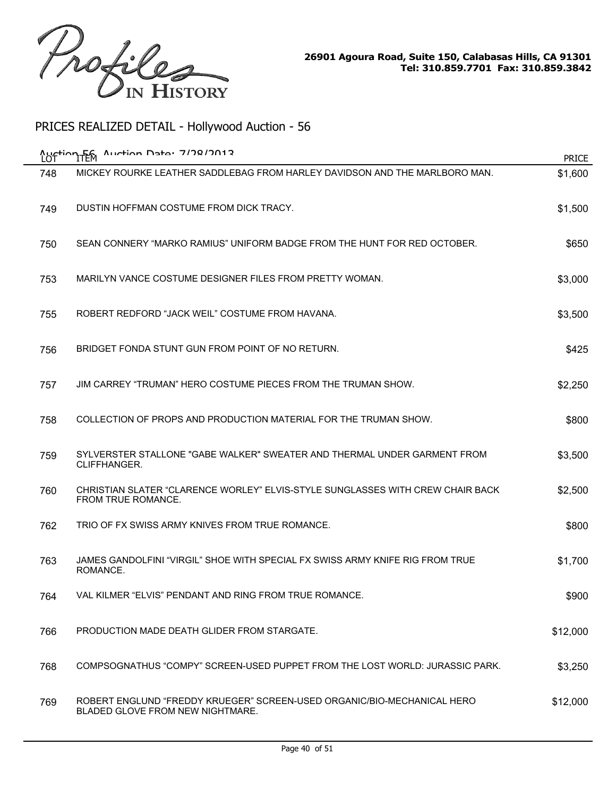

| LOT | Auction F6 Auction Data: 7/78/2012                                                                          | <b>PRICE</b> |
|-----|-------------------------------------------------------------------------------------------------------------|--------------|
| 748 | MICKEY ROURKE LEATHER SADDLEBAG FROM HARLEY DAVIDSON AND THE MARLBORO MAN.                                  | \$1,600      |
| 749 | DUSTIN HOFFMAN COSTUME FROM DICK TRACY.                                                                     | \$1,500      |
| 750 | SEAN CONNERY "MARKO RAMIUS" UNIFORM BADGE FROM THE HUNT FOR RED OCTOBER.                                    | \$650        |
| 753 | MARILYN VANCE COSTUME DESIGNER FILES FROM PRETTY WOMAN.                                                     | \$3,000      |
| 755 | ROBERT REDFORD "JACK WEIL" COSTUME FROM HAVANA.                                                             | \$3,500      |
| 756 | BRIDGET FONDA STUNT GUN FROM POINT OF NO RETURN.                                                            | \$425        |
| 757 | JIM CARREY "TRUMAN" HERO COSTUME PIECES FROM THE TRUMAN SHOW.                                               | \$2,250      |
| 758 | COLLECTION OF PROPS AND PRODUCTION MATERIAL FOR THE TRUMAN SHOW.                                            | \$800        |
| 759 | SYLVERSTER STALLONE "GABE WALKER" SWEATER AND THERMAL UNDER GARMENT FROM<br>CLIFFHANGER.                    | \$3,500      |
| 760 | CHRISTIAN SLATER "CLARENCE WORLEY" ELVIS-STYLE SUNGLASSES WITH CREW CHAIR BACK<br>FROM TRUE ROMANCE.        | \$2,500      |
| 762 | TRIO OF FX SWISS ARMY KNIVES FROM TRUE ROMANCE.                                                             | \$800        |
| 763 | JAMES GANDOLFINI "VIRGIL" SHOE WITH SPECIAL FX SWISS ARMY KNIFE RIG FROM TRUE<br>ROMANCE.                   | \$1,700      |
| 764 | VAL KILMER "ELVIS" PENDANT AND RING FROM TRUE ROMANCE.                                                      | \$900        |
| 766 | PRODUCTION MADE DEATH GLIDER FROM STARGATE.                                                                 | \$12,000     |
| 768 | COMPSOGNATHUS "COMPY" SCREEN-USED PUPPET FROM THE LOST WORLD: JURASSIC PARK.                                | \$3,250      |
| 769 | ROBERT ENGLUND "FREDDY KRUEGER" SCREEN-USED ORGANIC/BIO-MECHANICAL HERO<br>BLADED GLOVE FROM NEW NIGHTMARE. | \$12,000     |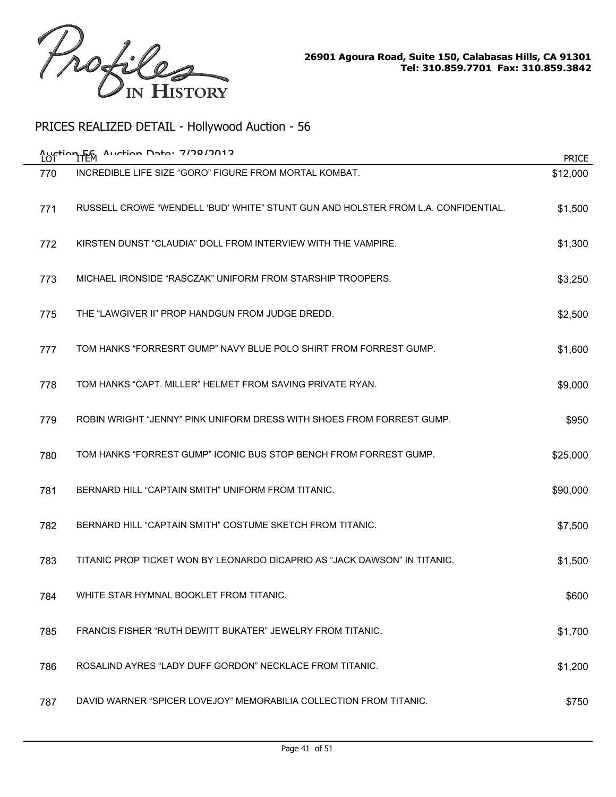

| Austion Fem<br>LO. | $A$ uction Data: 7/78/7012                                                        | <b>PRICE</b> |
|--------------------|-----------------------------------------------------------------------------------|--------------|
| 770                | INCREDIBLE LIFE SIZE "GORO" FIGURE FROM MORTAL KOMBAT.                            | \$12,000     |
| 771                | RUSSELL CROWE "WENDELL 'BUD' WHITE" STUNT GUN AND HOLSTER FROM L.A. CONFIDENTIAL. | \$1,500      |
| 772                | KIRSTEN DUNST "CLAUDIA" DOLL FROM INTERVIEW WITH THE VAMPIRE.                     | \$1,300      |
| 773                | MICHAEL IRONSIDE "RASCZAK" UNIFORM FROM STARSHIP TROOPERS.                        | \$3,250      |
| 775                | THE "LAWGIVER II" PROP HANDGUN FROM JUDGE DREDD.                                  | \$2,500      |
| 777                | TOM HANKS "FORRESRT GUMP" NAVY BLUE POLO SHIRT FROM FORREST GUMP.                 | \$1,600      |
| 778                | TOM HANKS "CAPT. MILLER" HELMET FROM SAVING PRIVATE RYAN.                         | \$9,000      |
| 779                | ROBIN WRIGHT "JENNY" PINK UNIFORM DRESS WITH SHOES FROM FORREST GUMP.             | \$950        |
| 780                | TOM HANKS "FORREST GUMP" ICONIC BUS STOP BENCH FROM FORREST GUMP.                 | \$25,000     |
| 781                | BERNARD HILL "CAPTAIN SMITH" UNIFORM FROM TITANIC.                                | \$90,000     |
| 782                | BERNARD HILL "CAPTAIN SMITH" COSTUME SKETCH FROM TITANIC.                         | \$7,500      |
| 783                | TITANIC PROP TICKET WON BY LEONARDO DICAPRIO AS "JACK DAWSON" IN TITANIC.         | \$1,500      |
| 784                | WHITE STAR HYMNAL BOOKLET FROM TITANIC.                                           | \$600        |
| 785                | FRANCIS FISHER "RUTH DEWITT BUKATER" JEWELRY FROM TITANIC.                        | \$1,700      |
| 786                | ROSALIND AYRES "LADY DUFF GORDON" NECKLACE FROM TITANIC.                          | \$1,200      |
| 787                | DAVID WARNER "SPICER LOVEJOY" MEMORABILIA COLLECTION FROM TITANIC.                | \$750        |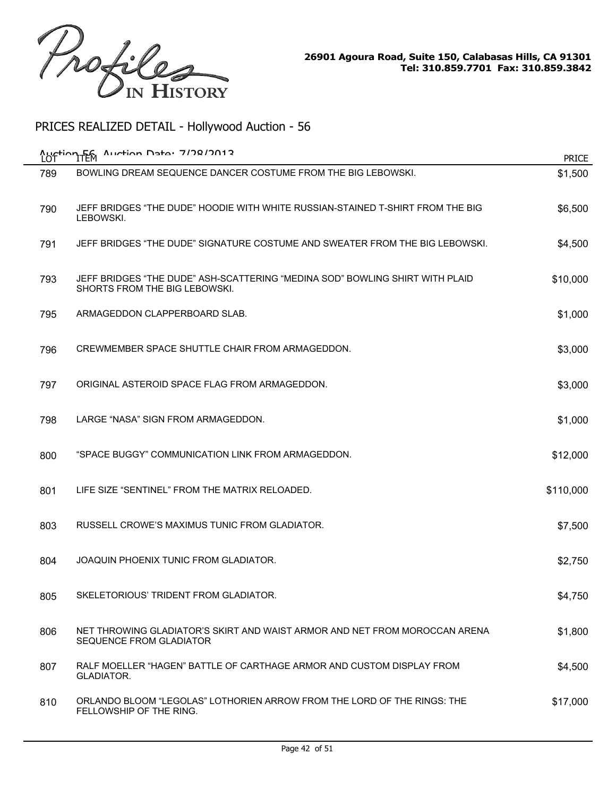

| <b>Austion Fem</b><br>LOT | Auction Data: 7/78/7012                                                                                       | <b>PRICE</b> |
|---------------------------|---------------------------------------------------------------------------------------------------------------|--------------|
| 789                       | BOWLING DREAM SEQUENCE DANCER COSTUME FROM THE BIG LEBOWSKI.                                                  | \$1,500      |
| 790                       | JEFF BRIDGES "THE DUDE" HOODIE WITH WHITE RUSSIAN-STAINED T-SHIRT FROM THE BIG<br>LEBOWSKI.                   | \$6,500      |
| 791                       | JEFF BRIDGES "THE DUDE" SIGNATURE COSTUME AND SWEATER FROM THE BIG LEBOWSKI.                                  | \$4,500      |
| 793                       | JEFF BRIDGES "THE DUDE" ASH-SCATTERING "MEDINA SOD" BOWLING SHIRT WITH PLAID<br>SHORTS FROM THE BIG LEBOWSKI. | \$10,000     |
| 795                       | ARMAGEDDON CLAPPERBOARD SLAB.                                                                                 | \$1,000      |
| 796                       | CREWMEMBER SPACE SHUTTLE CHAIR FROM ARMAGEDDON.                                                               | \$3,000      |
| 797                       | ORIGINAL ASTEROID SPACE FLAG FROM ARMAGEDDON.                                                                 | \$3,000      |
| 798                       | LARGE "NASA" SIGN FROM ARMAGEDDON.                                                                            | \$1,000      |
| 800                       | "SPACE BUGGY" COMMUNICATION LINK FROM ARMAGEDDON.                                                             | \$12,000     |
| 801                       | LIFE SIZE "SENTINEL" FROM THE MATRIX RELOADED.                                                                | \$110,000    |
| 803                       | RUSSELL CROWE'S MAXIMUS TUNIC FROM GLADIATOR.                                                                 | \$7,500      |
| 804                       | JOAQUIN PHOENIX TUNIC FROM GLADIATOR.                                                                         | \$2,750      |
| 805                       | SKELETORIOUS' TRIDENT FROM GLADIATOR                                                                          | \$4,750      |
| 806                       | NET THROWING GLADIATOR'S SKIRT AND WAIST ARMOR AND NET FROM MOROCCAN ARENA<br>SEQUENCE FROM GLADIATOR         | \$1,800      |
| 807                       | RALF MOELLER "HAGEN" BATTLE OF CARTHAGE ARMOR AND CUSTOM DISPLAY FROM<br>GLADIATOR.                           | \$4,500      |
| 810                       | ORLANDO BLOOM "LEGOLAS" LOTHORIEN ARROW FROM THE LORD OF THE RINGS: THE<br>FELLOWSHIP OF THE RING.            | \$17,000     |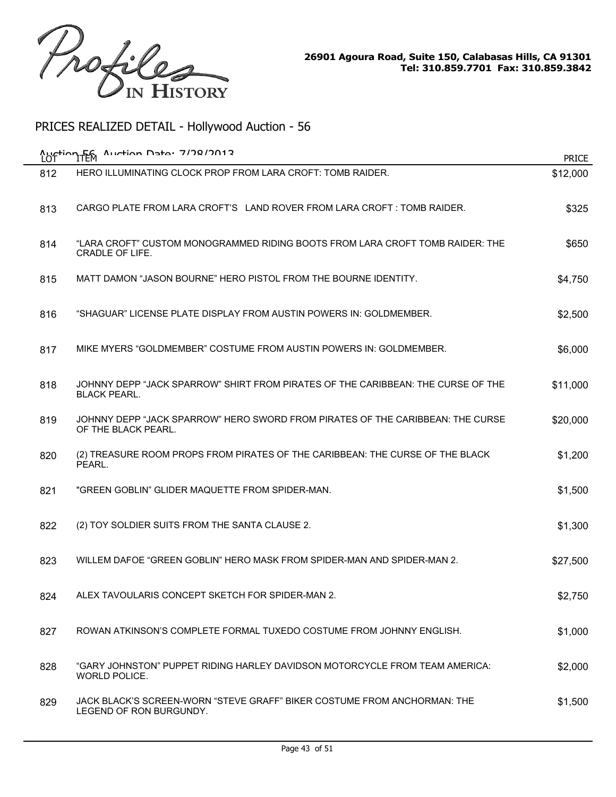

|     | Auction F6 Auction Data: 7/78/7012                                                                      | <b>PRICE</b> |
|-----|---------------------------------------------------------------------------------------------------------|--------------|
| 812 | HERO ILLUMINATING CLOCK PROP FROM LARA CROFT: TOMB RAIDER.                                              | \$12,000     |
| 813 | CARGO PLATE FROM LARA CROFT'S LAND ROVER FROM LARA CROFT : TOMB RAIDER.                                 | \$325        |
| 814 | "LARA CROFT" CUSTOM MONOGRAMMED RIDING BOOTS FROM LARA CROFT TOMB RAIDER: THE<br><b>CRADLE OF LIFE.</b> | \$650        |
| 815 | MATT DAMON "JASON BOURNE" HERO PISTOL FROM THE BOURNE IDENTITY.                                         | \$4,750      |
| 816 | "SHAGUAR" LICENSE PLATE DISPLAY FROM AUSTIN POWERS IN: GOLDMEMBER.                                      | \$2,500      |
| 817 | MIKE MYERS "GOLDMEMBER" COSTUME FROM AUSTIN POWERS IN: GOLDMEMBER.                                      | \$6,000      |
| 818 | JOHNNY DEPP "JACK SPARROW" SHIRT FROM PIRATES OF THE CARIBBEAN: THE CURSE OF THE<br><b>BLACK PEARL.</b> | \$11,000     |
| 819 | JOHNNY DEPP "JACK SPARROW" HERO SWORD FROM PIRATES OF THE CARIBBEAN: THE CURSE<br>OF THE BLACK PEARL.   | \$20,000     |
| 820 | (2) TREASURE ROOM PROPS FROM PIRATES OF THE CARIBBEAN: THE CURSE OF THE BLACK<br>PEARL.                 | \$1,200      |
| 821 | "GREEN GOBLIN" GLIDER MAQUETTE FROM SPIDER-MAN.                                                         | \$1,500      |
| 822 | (2) TOY SOLDIER SUITS FROM THE SANTA CLAUSE 2.                                                          | \$1,300      |
| 823 | WILLEM DAFOE "GREEN GOBLIN" HERO MASK FROM SPIDER-MAN AND SPIDER-MAN 2.                                 | \$27,500     |
| 824 | ALEX TAVOULARIS CONCEPT SKETCH FOR SPIDER-MAN 2.                                                        | \$2,750      |
| 827 | ROWAN ATKINSON'S COMPLETE FORMAL TUXEDO COSTUME FROM JOHNNY ENGLISH.                                    | \$1,000      |
| 828 | "GARY JOHNSTON" PUPPET RIDING HARLEY DAVIDSON MOTORCYCLE FROM TEAM AMERICA:<br>WORLD POLICE.            | \$2,000      |
| 829 | JACK BLACK'S SCREEN-WORN "STEVE GRAFF" BIKER COSTUME FROM ANCHORMAN: THE<br>LEGEND OF RON BURGUNDY.     | \$1,500      |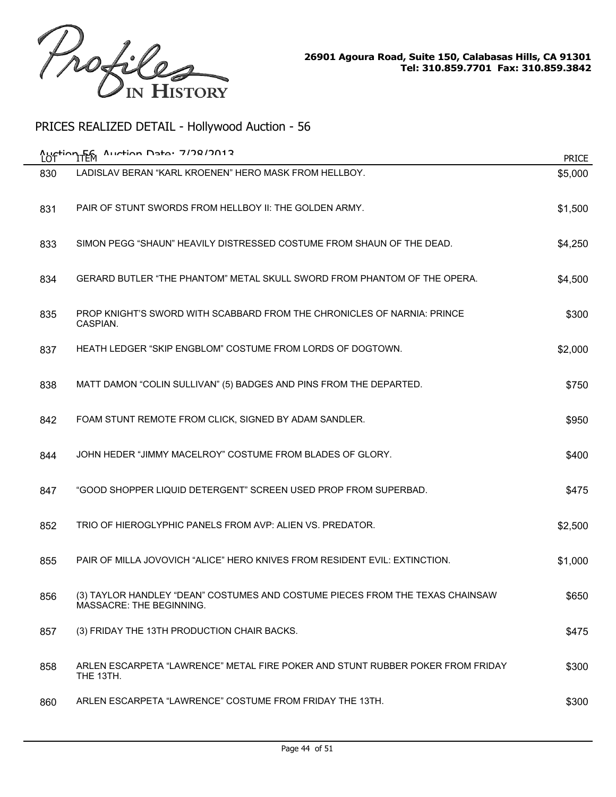

|     | Austion F6 Austion Date: 7/78/2012                                                                        | <b>PRICE</b> |
|-----|-----------------------------------------------------------------------------------------------------------|--------------|
| 830 | LADISLAV BERAN "KARL KROENEN" HERO MASK FROM HELLBOY.                                                     | \$5,000      |
| 831 | PAIR OF STUNT SWORDS FROM HELLBOY II: THE GOLDEN ARMY.                                                    | \$1,500      |
| 833 | SIMON PEGG "SHAUN" HEAVILY DISTRESSED COSTUME FROM SHAUN OF THE DEAD.                                     | \$4,250      |
| 834 | GERARD BUTLER "THE PHANTOM" METAL SKULL SWORD FROM PHANTOM OF THE OPERA.                                  | \$4,500      |
| 835 | PROP KNIGHT'S SWORD WITH SCABBARD FROM THE CHRONICLES OF NARNIA: PRINCE<br>CASPIAN.                       | \$300        |
| 837 | HEATH LEDGER "SKIP ENGBLOM" COSTUME FROM LORDS OF DOGTOWN.                                                | \$2,000      |
| 838 | MATT DAMON "COLIN SULLIVAN" (5) BADGES AND PINS FROM THE DEPARTED.                                        | \$750        |
| 842 | FOAM STUNT REMOTE FROM CLICK, SIGNED BY ADAM SANDLER.                                                     | \$950        |
| 844 | JOHN HEDER "JIMMY MACELROY" COSTUME FROM BLADES OF GLORY.                                                 | \$400        |
| 847 | "GOOD SHOPPER LIQUID DETERGENT" SCREEN USED PROP FROM SUPERBAD.                                           | \$475        |
| 852 | TRIO OF HIEROGLYPHIC PANELS FROM AVP: ALIEN VS. PREDATOR.                                                 | \$2,500      |
| 855 | PAIR OF MILLA JOVOVICH "ALICE" HERO KNIVES FROM RESIDENT EVIL: EXTINCTION.                                | \$1,000      |
| 856 | (3) TAYLOR HANDLEY "DEAN" COSTUMES AND COSTUME PIECES FROM THE TEXAS CHAINSAW<br>MASSACRE: THE BEGINNING. | \$650        |
| 857 | (3) FRIDAY THE 13TH PRODUCTION CHAIR BACKS.                                                               | \$475        |
| 858 | ARLEN ESCARPETA "LAWRENCE" METAL FIRE POKER AND STUNT RUBBER POKER FROM FRIDAY<br>THE 13TH.               | \$300        |
| 860 | ARLEN ESCARPETA "LAWRENCE" COSTUME FROM FRIDAY THE 13TH.                                                  | \$300        |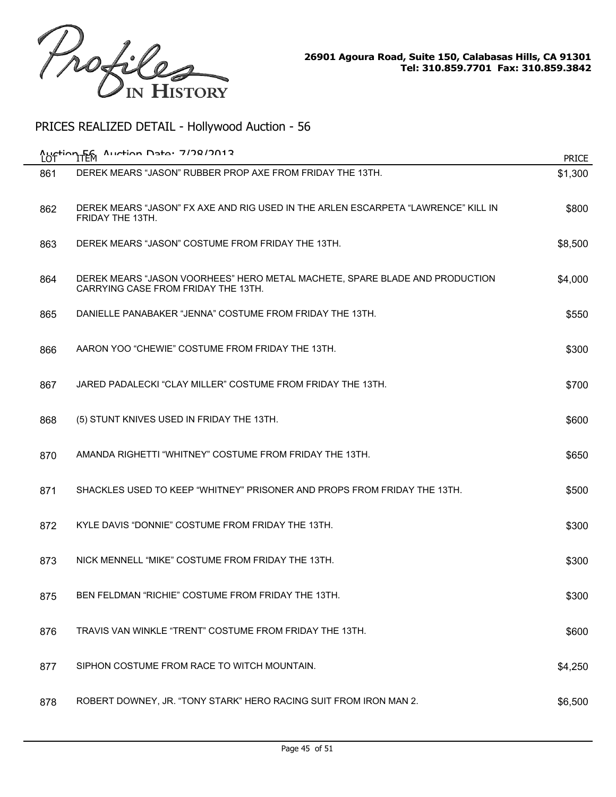

| LOT | Auction F6 Auction Data: 7/78/2012                                                                                 | <b>PRICE</b> |
|-----|--------------------------------------------------------------------------------------------------------------------|--------------|
| 861 | DEREK MEARS "JASON" RUBBER PROP AXE FROM FRIDAY THE 13TH.                                                          | \$1,300      |
| 862 | DEREK MEARS "JASON" FX AXE AND RIG USED IN THE ARLEN ESCARPETA "LAWRENCE" KILL IN<br>FRIDAY THE 13TH.              | \$800        |
| 863 | DEREK MEARS "JASON" COSTUME FROM FRIDAY THE 13TH.                                                                  | \$8,500      |
| 864 | DEREK MEARS "JASON VOORHEES" HERO METAL MACHETE, SPARE BLADE AND PRODUCTION<br>CARRYING CASE FROM FRIDAY THE 13TH. | \$4,000      |
| 865 | DANIELLE PANABAKER "JENNA" COSTUME FROM FRIDAY THE 13TH.                                                           | \$550        |
| 866 | AARON YOO "CHEWIE" COSTUME FROM FRIDAY THE 13TH.                                                                   | \$300        |
| 867 | JARED PADALECKI "CLAY MILLER" COSTUME FROM FRIDAY THE 13TH.                                                        | \$700        |
| 868 | (5) STUNT KNIVES USED IN FRIDAY THE 13TH.                                                                          | \$600        |
| 870 | AMANDA RIGHETTI "WHITNEY" COSTUME FROM FRIDAY THE 13TH.                                                            | \$650        |
| 871 | SHACKLES USED TO KEEP "WHITNEY" PRISONER AND PROPS FROM FRIDAY THE 13TH.                                           | \$500        |
| 872 | KYLE DAVIS "DONNIE" COSTUME FROM FRIDAY THE 13TH.                                                                  | \$300        |
| 873 | NICK MENNELL "MIKE" COSTUME FROM FRIDAY THE 13TH.                                                                  | \$300        |
| 875 | BEN FELDMAN "RICHIE" COSTUME FROM FRIDAY THE 13TH.                                                                 | \$300        |
| 876 | TRAVIS VAN WINKLE "TRENT" COSTUME FROM FRIDAY THE 13TH.                                                            | \$600        |
| 877 | SIPHON COSTUME FROM RACE TO WITCH MOUNTAIN.                                                                        | \$4,250      |
| 878 | ROBERT DOWNEY, JR. "TONY STARK" HERO RACING SUIT FROM IRON MAN 2.                                                  | \$6,500      |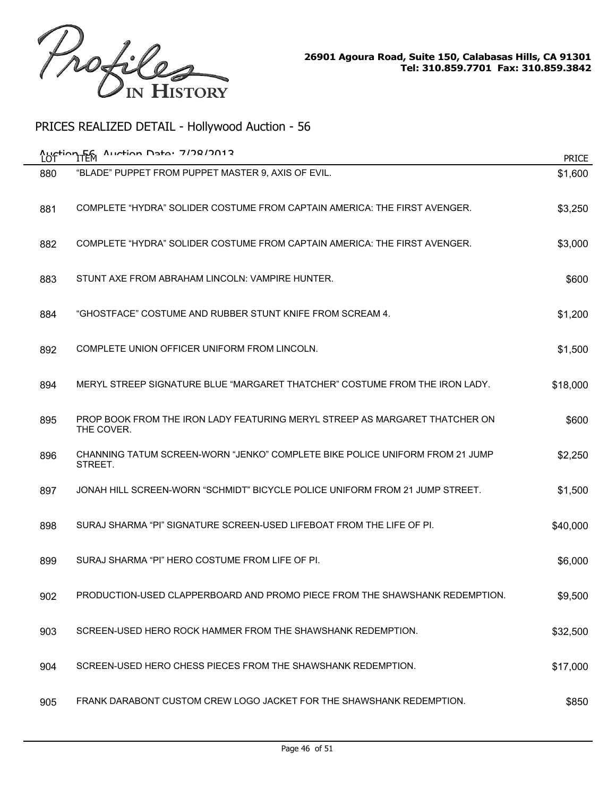

|     | $A$ uction Data: 7/78/7012<br><b>Auction FEM</b>                                          | <b>PRICE</b> |
|-----|-------------------------------------------------------------------------------------------|--------------|
| 880 | "BLADE" PUPPET FROM PUPPET MASTER 9, AXIS OF EVIL.                                        | \$1,600      |
| 881 | COMPLETE "HYDRA" SOLIDER COSTUME FROM CAPTAIN AMERICA: THE FIRST AVENGER.                 | \$3,250      |
| 882 | COMPLETE "HYDRA" SOLIDER COSTUME FROM CAPTAIN AMERICA: THE FIRST AVENGER.                 | \$3,000      |
| 883 | STUNT AXE FROM ABRAHAM LINCOLN: VAMPIRE HUNTER.                                           | \$600        |
| 884 | "GHOSTFACE" COSTUME AND RUBBER STUNT KNIFE FROM SCREAM 4.                                 | \$1,200      |
| 892 | COMPLETE UNION OFFICER UNIFORM FROM LINCOLN.                                              | \$1,500      |
| 894 | MERYL STREEP SIGNATURE BLUE "MARGARET THATCHER" COSTUME FROM THE IRON LADY.               | \$18,000     |
| 895 | PROP BOOK FROM THE IRON LADY FEATURING MERYL STREEP AS MARGARET THATCHER ON<br>THE COVER. | \$600        |
| 896 | CHANNING TATUM SCREEN-WORN "JENKO" COMPLETE BIKE POLICE UNIFORM FROM 21 JUMP<br>STREET.   | \$2,250      |
| 897 | JONAH HILL SCREEN-WORN "SCHMIDT" BICYCLE POLICE UNIFORM FROM 21 JUMP STREET.              | \$1,500      |
| 898 | SURAJ SHARMA "PI" SIGNATURE SCREEN-USED LIFEBOAT FROM THE LIFE OF PI.                     | \$40,000     |
| 899 | SURAJ SHARMA "PI" HERO COSTUME FROM LIFE OF PI.                                           | \$6,000      |
| 902 | PRODUCTION-USED CLAPPERBOARD AND PROMO PIECE FROM THE SHAWSHANK REDEMPTION.               | \$9,500      |
| 903 | SCREEN-USED HERO ROCK HAMMER FROM THE SHAWSHANK REDEMPTION.                               | \$32,500     |
| 904 | SCREEN-USED HERO CHESS PIECES FROM THE SHAWSHANK REDEMPTION.                              | \$17,000     |
| 905 | FRANK DARABONT CUSTOM CREW LOGO JACKET FOR THE SHAWSHANK REDEMPTION.                      | \$850        |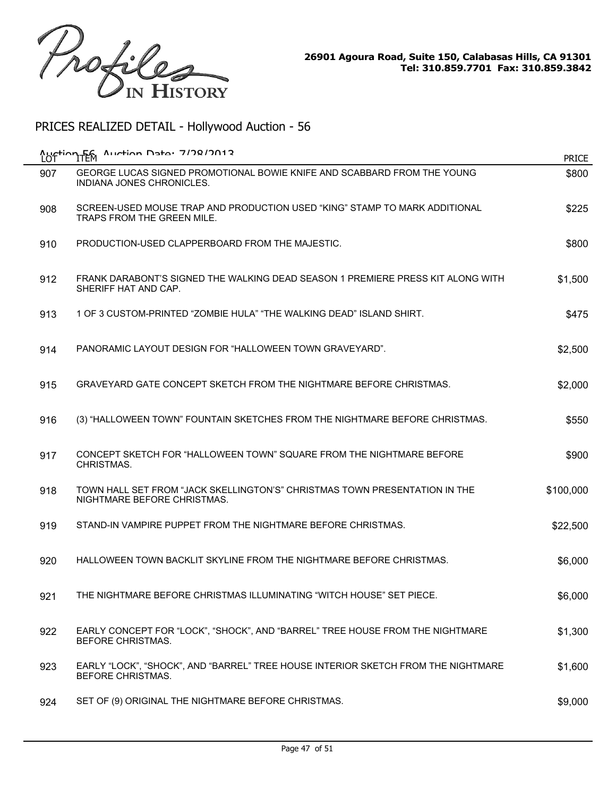

| <b>Auction Fem</b><br>LOT | Auction Data: 7/78/7012                                                                                     | <b>PRICE</b> |
|---------------------------|-------------------------------------------------------------------------------------------------------------|--------------|
| 907                       | GEORGE LUCAS SIGNED PROMOTIONAL BOWIE KNIFE AND SCABBARD FROM THE YOUNG<br><b>INDIANA JONES CHRONICLES.</b> | \$800        |
| 908                       | SCREEN-USED MOUSE TRAP AND PRODUCTION USED "KING" STAMP TO MARK ADDITIONAL<br>TRAPS FROM THE GREEN MILE.    | \$225        |
| 910                       | PRODUCTION-USED CLAPPERBOARD FROM THE MAJESTIC.                                                             | \$800        |
| 912                       | FRANK DARABONT'S SIGNED THE WALKING DEAD SEASON 1 PREMIERE PRESS KIT ALONG WITH<br>SHERIFF HAT AND CAP.     | \$1,500      |
| 913                       | 1 OF 3 CUSTOM-PRINTED "ZOMBIE HULA" "THE WALKING DEAD" ISLAND SHIRT.                                        | \$475        |
| 914                       | PANORAMIC LAYOUT DESIGN FOR "HALLOWEEN TOWN GRAVEYARD".                                                     | \$2,500      |
| 915                       | GRAVEYARD GATE CONCEPT SKETCH FROM THE NIGHTMARE BEFORE CHRISTMAS.                                          | \$2,000      |
| 916                       | (3) "HALLOWEEN TOWN" FOUNTAIN SKETCHES FROM THE NIGHTMARE BEFORE CHRISTMAS.                                 | \$550        |
| 917                       | CONCEPT SKETCH FOR "HALLOWEEN TOWN" SQUARE FROM THE NIGHTMARE BEFORE<br>CHRISTMAS.                          | \$900        |
| 918                       | TOWN HALL SET FROM "JACK SKELLINGTON'S" CHRISTMAS TOWN PRESENTATION IN THE<br>NIGHTMARE BEFORE CHRISTMAS.   | \$100,000    |
| 919                       | STAND-IN VAMPIRE PUPPET FROM THE NIGHTMARE BEFORE CHRISTMAS.                                                | \$22,500     |
| 920                       | HALLOWEEN TOWN BACKLIT SKYLINE FROM THE NIGHTMARE BEFORE CHRISTMAS.                                         | \$6,000      |
| 921                       | THE NIGHTMARE BEFORE CHRISTMAS ILLUMINATING "WITCH HOUSE" SET PIECE.                                        | \$6,000      |
| 922                       | EARLY CONCEPT FOR "LOCK", "SHOCK", AND "BARREL" TREE HOUSE FROM THE NIGHTMARE<br><b>BEFORE CHRISTMAS.</b>   | \$1,300      |
| 923                       | EARLY "LOCK", "SHOCK", AND "BARREL" TREE HOUSE INTERIOR SKETCH FROM THE NIGHTMARE<br>BEFORE CHRISTMAS.      | \$1,600      |
| 924                       | SET OF (9) ORIGINAL THE NIGHTMARE BEFORE CHRISTMAS.                                                         | \$9,000      |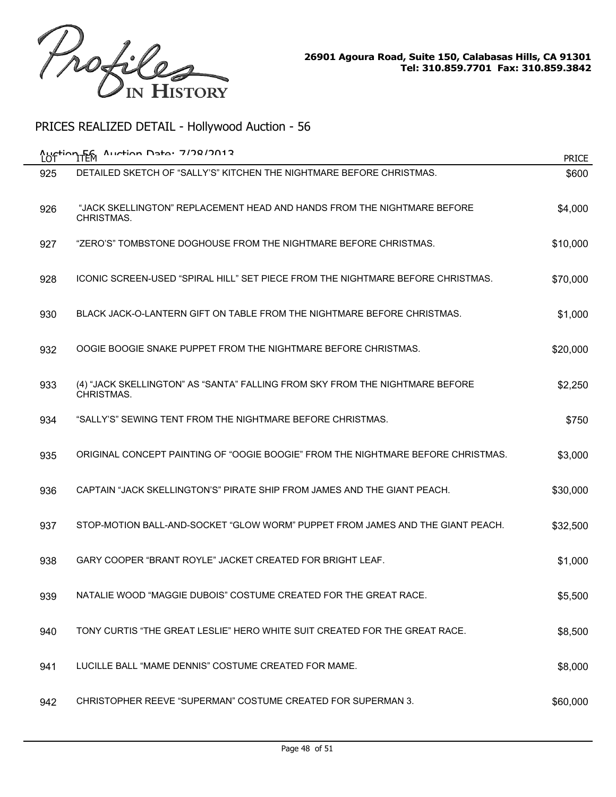

| Auction Fem<br>LOT | $A$ uction Data: 7/78/7012                                                                 | <b>PRICE</b> |
|--------------------|--------------------------------------------------------------------------------------------|--------------|
| 925                | DETAILED SKETCH OF "SALLY'S" KITCHEN THE NIGHTMARE BEFORE CHRISTMAS.                       | \$600        |
| 926                | "JACK SKELLINGTON" REPLACEMENT HEAD AND HANDS FROM THE NIGHTMARE BEFORE<br>CHRISTMAS.      | \$4,000      |
| 927                | "ZERO'S" TOMBSTONE DOGHOUSE FROM THE NIGHTMARE BEFORE CHRISTMAS.                           | \$10,000     |
| 928                | ICONIC SCREEN-USED "SPIRAL HILL" SET PIECE FROM THE NIGHTMARE BEFORE CHRISTMAS.            | \$70,000     |
| 930                | BLACK JACK-O-LANTERN GIFT ON TABLE FROM THE NIGHTMARE BEFORE CHRISTMAS.                    | \$1,000      |
| 932                | OOGIE BOOGIE SNAKE PUPPET FROM THE NIGHTMARE BEFORE CHRISTMAS.                             | \$20,000     |
| 933                | (4) "JACK SKELLINGTON" AS "SANTA" FALLING FROM SKY FROM THE NIGHTMARE BEFORE<br>CHRISTMAS. | \$2,250      |
| 934                | "SALLY'S" SEWING TENT FROM THE NIGHTMARE BEFORE CHRISTMAS.                                 | \$750        |
| 935                | ORIGINAL CONCEPT PAINTING OF "OOGIE BOOGIE" FROM THE NIGHTMARE BEFORE CHRISTMAS.           | \$3,000      |
| 936                | CAPTAIN "JACK SKELLINGTON'S" PIRATE SHIP FROM JAMES AND THE GIANT PEACH.                   | \$30,000     |
| 937                | STOP-MOTION BALL-AND-SOCKET "GLOW WORM" PUPPET FROM JAMES AND THE GIANT PEACH.             | \$32,500     |
| 938                | GARY COOPER "BRANT ROYLE" JACKET CREATED FOR BRIGHT LEAF.                                  | \$1,000      |
| 939                | NATALIE WOOD "MAGGIE DUBOIS" COSTUME CREATED FOR THE GREAT RACE.                           | \$5,500      |
| 940                | TONY CURTIS "THE GREAT LESLIE" HERO WHITE SUIT CREATED FOR THE GREAT RACE.                 | \$8,500      |
| 941                | LUCILLE BALL "MAME DENNIS" COSTUME CREATED FOR MAME.                                       | \$8,000      |
| 942                | CHRISTOPHER REEVE "SUPERMAN" COSTUME CREATED FOR SUPERMAN 3.                               | \$60,000     |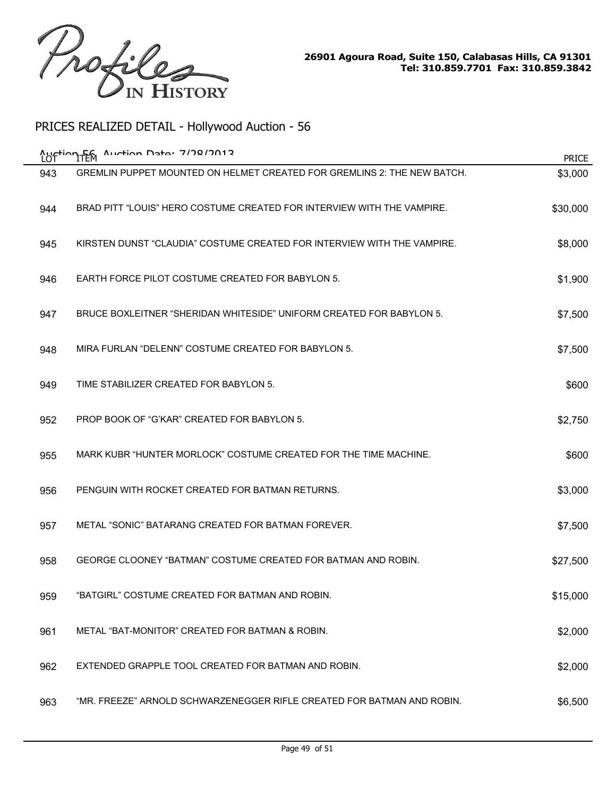

| Auction Data: 7/78/7012<br>Auction Fem<br><b>PRICE</b> |                                                                         |          |  |
|--------------------------------------------------------|-------------------------------------------------------------------------|----------|--|
| 943                                                    | GREMLIN PUPPET MOUNTED ON HELMET CREATED FOR GREMLINS 2: THE NEW BATCH. | \$3,000  |  |
| 944                                                    | BRAD PITT "LOUIS" HERO COSTUME CREATED FOR INTERVIEW WITH THE VAMPIRE.  | \$30,000 |  |
| 945                                                    | KIRSTEN DUNST "CLAUDIA" COSTUME CREATED FOR INTERVIEW WITH THE VAMPIRE. | \$8,000  |  |
| 946                                                    | EARTH FORCE PILOT COSTUME CREATED FOR BABYLON 5.                        | \$1,900  |  |
| 947                                                    | BRUCE BOXLEITNER "SHERIDAN WHITESIDE" UNIFORM CREATED FOR BABYLON 5.    | \$7,500  |  |
| 948                                                    | MIRA FURLAN "DELENN" COSTUME CREATED FOR BABYLON 5.                     | \$7,500  |  |
| 949                                                    | TIME STABILIZER CREATED FOR BABYLON 5.                                  | \$600    |  |
| 952                                                    | PROP BOOK OF "G'KAR" CREATED FOR BABYLON 5.                             | \$2,750  |  |
| 955                                                    | MARK KUBR "HUNTER MORLOCK" COSTUME CREATED FOR THE TIME MACHINE.        | \$600    |  |
| 956                                                    | PENGUIN WITH ROCKET CREATED FOR BATMAN RETURNS.                         | \$3,000  |  |
| 957                                                    | METAL "SONIC" BATARANG CREATED FOR BATMAN FOREVER.                      | \$7,500  |  |
| 958                                                    | GEORGE CLOONEY "BATMAN" COSTUME CREATED FOR BATMAN AND ROBIN.           | \$27,500 |  |
| 959                                                    | "BATGIRL" COSTUME CREATED FOR BATMAN AND ROBIN.                         | \$15,000 |  |
| 961                                                    | METAL "BAT-MONITOR" CREATED FOR BATMAN & ROBIN.                         | \$2,000  |  |
| 962                                                    | EXTENDED GRAPPLE TOOL CREATED FOR BATMAN AND ROBIN.                     | \$2,000  |  |
| 963                                                    | "MR. FREEZE" ARNOLD SCHWARZENEGGER RIFLE CREATED FOR BATMAN AND ROBIN.  | \$6,500  |  |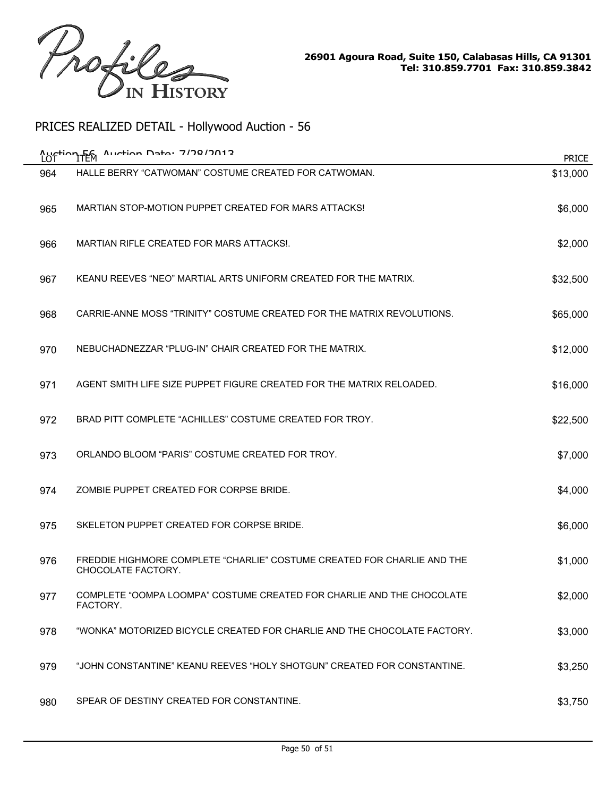

| Auction Data: 7/78/7012<br>Austion Fem<br><b>PRICE</b> |                                                                                               |          |  |
|--------------------------------------------------------|-----------------------------------------------------------------------------------------------|----------|--|
| 964                                                    | HALLE BERRY "CATWOMAN" COSTUME CREATED FOR CATWOMAN.                                          | \$13,000 |  |
| 965                                                    | MARTIAN STOP-MOTION PUPPET CREATED FOR MARS ATTACKS!                                          | \$6,000  |  |
| 966                                                    | <b>MARTIAN RIFLE CREATED FOR MARS ATTACKS!.</b>                                               | \$2,000  |  |
| 967                                                    | KEANU REEVES "NEO" MARTIAL ARTS UNIFORM CREATED FOR THE MATRIX.                               | \$32,500 |  |
| 968                                                    | CARRIE-ANNE MOSS "TRINITY" COSTUME CREATED FOR THE MATRIX REVOLUTIONS.                        | \$65,000 |  |
| 970                                                    | NEBUCHADNEZZAR "PLUG-IN" CHAIR CREATED FOR THE MATRIX.                                        | \$12,000 |  |
| 971                                                    | AGENT SMITH LIFE SIZE PUPPET FIGURE CREATED FOR THE MATRIX RELOADED.                          | \$16,000 |  |
| 972                                                    | BRAD PITT COMPLETE "ACHILLES" COSTUME CREATED FOR TROY.                                       | \$22,500 |  |
| 973                                                    | ORLANDO BLOOM "PARIS" COSTUME CREATED FOR TROY.                                               | \$7,000  |  |
| 974                                                    | ZOMBIE PUPPET CREATED FOR CORPSE BRIDE.                                                       | \$4,000  |  |
| 975                                                    | SKELETON PUPPET CREATED FOR CORPSE BRIDE.                                                     | \$6,000  |  |
| 976                                                    | FREDDIE HIGHMORE COMPLETE "CHARLIE" COSTUME CREATED FOR CHARLIE AND THE<br>CHOCOLATE FACTORY. | \$1,000  |  |
| 977                                                    | COMPLETE "OOMPA LOOMPA" COSTUME CREATED FOR CHARLIE AND THE CHOCOLATE<br>FACTORY.             | \$2,000  |  |
| 978                                                    | "WONKA" MOTORIZED BICYCLE CREATED FOR CHARLIE AND THE CHOCOLATE FACTORY.                      | \$3,000  |  |
| 979                                                    | "JOHN CONSTANTINE" KEANU REEVES "HOLY SHOTGUN" CREATED FOR CONSTANTINE.                       | \$3,250  |  |
| 980                                                    | SPEAR OF DESTINY CREATED FOR CONSTANTINE.                                                     | \$3,750  |  |